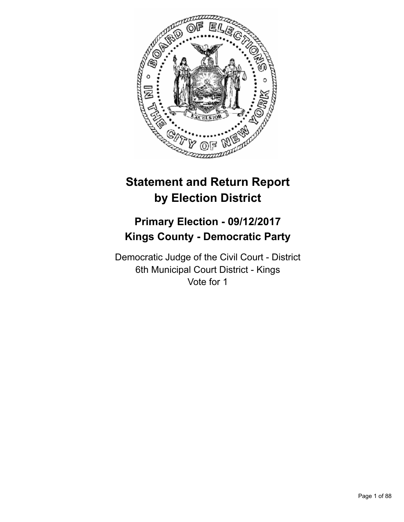

# **Statement and Return Report by Election District**

# **Primary Election - 09/12/2017 Kings County - Democratic Party**

Democratic Judge of the Civil Court - District 6th Municipal Court District - Kings Vote for 1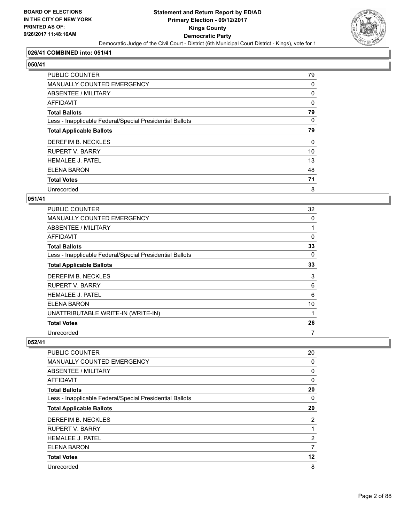

#### **026/41 COMBINED into: 051/41**

#### **050/41**

| PUBLIC COUNTER                                           | 79       |
|----------------------------------------------------------|----------|
| <b>MANUALLY COUNTED EMERGENCY</b>                        | 0        |
| ABSENTEE / MILITARY                                      | 0        |
| AFFIDAVIT                                                | 0        |
| <b>Total Ballots</b>                                     | 79       |
| Less - Inapplicable Federal/Special Presidential Ballots | $\Omega$ |
| <b>Total Applicable Ballots</b>                          | 79       |
| DEREFIM B. NECKLES                                       | 0        |
| <b>RUPERT V. BARRY</b>                                   | 10       |
| <b>HEMALEE J. PATEL</b>                                  | 13       |
| <b>ELENA BARON</b>                                       | 48       |
| <b>Total Votes</b>                                       | 71       |
| Unrecorded                                               | 8        |

#### **051/41**

| <b>PUBLIC COUNTER</b>                                    | 32 |
|----------------------------------------------------------|----|
| MANUALLY COUNTED EMERGENCY                               | 0  |
| ABSENTEE / MILITARY                                      |    |
| AFFIDAVIT                                                | 0  |
| <b>Total Ballots</b>                                     | 33 |
| Less - Inapplicable Federal/Special Presidential Ballots | 0  |
| <b>Total Applicable Ballots</b>                          | 33 |
| DEREFIM B. NECKLES                                       | 3  |
| <b>RUPERT V. BARRY</b>                                   | 6  |
| <b>HEMALEE J. PATEL</b>                                  | 6  |
| ELENA BARON                                              | 10 |
| UNATTRIBUTABLE WRITE-IN (WRITE-IN)                       |    |
| <b>Total Votes</b>                                       | 26 |
| Unrecorded                                               | 7  |

| <b>PUBLIC COUNTER</b>                                    | 20             |
|----------------------------------------------------------|----------------|
| <b>MANUALLY COUNTED EMERGENCY</b>                        | 0              |
| ABSENTEE / MILITARY                                      | 0              |
| AFFIDAVIT                                                | 0              |
| <b>Total Ballots</b>                                     | 20             |
| Less - Inapplicable Federal/Special Presidential Ballots | 0              |
| <b>Total Applicable Ballots</b>                          | 20             |
| DEREFIM B. NECKLES                                       | $\overline{2}$ |
| <b>RUPERT V. BARRY</b>                                   | 1              |
| <b>HEMALEE J. PATEL</b>                                  | $\overline{2}$ |
| <b>ELENA BARON</b>                                       | 7              |
| <b>Total Votes</b>                                       | 12             |
| Unrecorded                                               | 8              |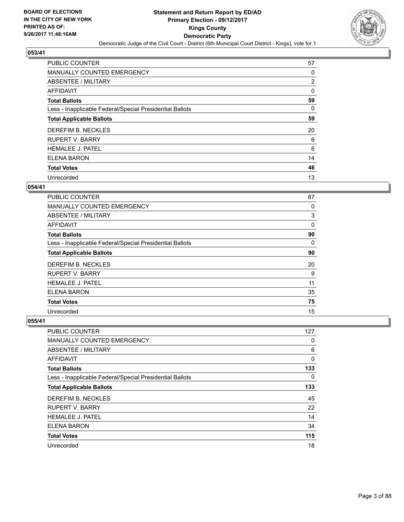

| <b>PUBLIC COUNTER</b>                                    | 57 |
|----------------------------------------------------------|----|
| MANUALLY COUNTED EMERGENCY                               | 0  |
| ABSENTEE / MILITARY                                      | 2  |
| <b>AFFIDAVIT</b>                                         | 0  |
| <b>Total Ballots</b>                                     | 59 |
| Less - Inapplicable Federal/Special Presidential Ballots | 0  |
| <b>Total Applicable Ballots</b>                          | 59 |
| DEREFIM B. NECKLES                                       | 20 |
| <b>RUPERT V. BARRY</b>                                   | 6  |
| <b>HEMALEE J. PATEL</b>                                  | 6  |
| ELENA BARON                                              | 14 |
| <b>Total Votes</b>                                       | 46 |
| Unrecorded                                               | 13 |

#### **054/41**

| <b>PUBLIC COUNTER</b>                                    | 87 |
|----------------------------------------------------------|----|
| <b>MANUALLY COUNTED EMERGENCY</b>                        | 0  |
| ABSENTEE / MILITARY                                      | 3  |
| <b>AFFIDAVIT</b>                                         | 0  |
| <b>Total Ballots</b>                                     | 90 |
| Less - Inapplicable Federal/Special Presidential Ballots | 0  |
| <b>Total Applicable Ballots</b>                          | 90 |
| DEREFIM B. NECKLES                                       | 20 |
| <b>RUPERT V. BARRY</b>                                   | 9  |
| <b>HEMALEE J. PATEL</b>                                  | 11 |
| ELENA BARON                                              | 35 |
| <b>Total Votes</b>                                       | 75 |
| Unrecorded                                               | 15 |

| PUBLIC COUNTER                                           | 127 |
|----------------------------------------------------------|-----|
| MANUALLY COUNTED EMERGENCY                               | 0   |
| ABSENTEE / MILITARY                                      | 6   |
| AFFIDAVIT                                                | 0   |
| <b>Total Ballots</b>                                     | 133 |
| Less - Inapplicable Federal/Special Presidential Ballots | 0   |
| <b>Total Applicable Ballots</b>                          | 133 |
| DEREFIM B. NECKLES                                       | 45  |
| <b>RUPERT V. BARRY</b>                                   | 22  |
| <b>HEMALEE J. PATEL</b>                                  | 14  |
| ELENA BARON                                              | 34  |
| <b>Total Votes</b>                                       | 115 |
| Unrecorded                                               | 18  |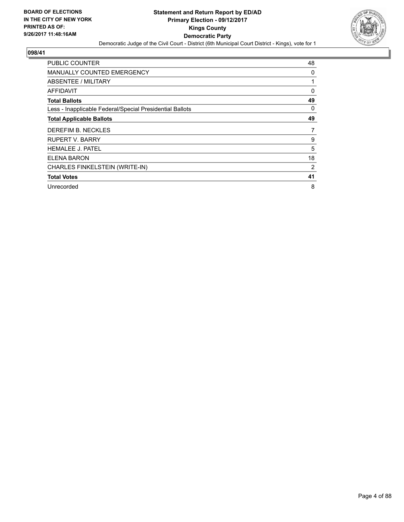

| <b>PUBLIC COUNTER</b>                                    | 48             |
|----------------------------------------------------------|----------------|
| <b>MANUALLY COUNTED EMERGENCY</b>                        | 0              |
| ABSENTEE / MILITARY                                      | 1              |
| AFFIDAVIT                                                | 0              |
| <b>Total Ballots</b>                                     | 49             |
| Less - Inapplicable Federal/Special Presidential Ballots | 0              |
| <b>Total Applicable Ballots</b>                          | 49             |
| DEREFIM B. NECKLES                                       | 7              |
| <b>RUPERT V. BARRY</b>                                   | 9              |
|                                                          |                |
| <b>HEMALEE J. PATEL</b>                                  | 5              |
| <b>ELENA BARON</b>                                       | 18             |
| CHARLES FINKELSTEIN (WRITE-IN)                           | $\overline{2}$ |
| <b>Total Votes</b>                                       | 41             |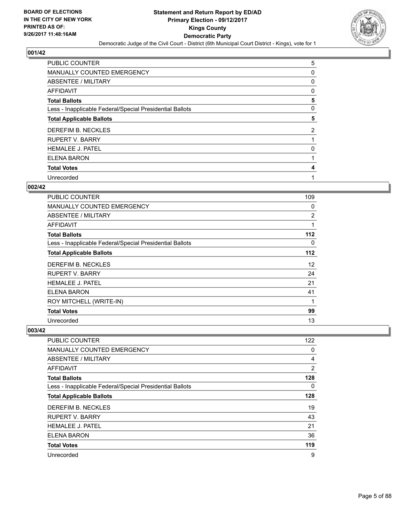

| <b>PUBLIC COUNTER</b>                                    | 5              |
|----------------------------------------------------------|----------------|
| MANUALLY COUNTED EMERGENCY                               | 0              |
| ABSENTEE / MILITARY                                      | 0              |
| AFFIDAVIT                                                | 0              |
| <b>Total Ballots</b>                                     | 5              |
| Less - Inapplicable Federal/Special Presidential Ballots | 0              |
| <b>Total Applicable Ballots</b>                          | 5              |
| DEREFIM B. NECKLES                                       | $\overline{2}$ |
| <b>RUPERT V. BARRY</b>                                   |                |
| <b>HEMALEE J. PATEL</b>                                  | 0              |
| <b>ELENA BARON</b>                                       |                |
| <b>Total Votes</b>                                       | 4              |
| Unrecorded                                               |                |

#### **002/42**

| <b>PUBLIC COUNTER</b>                                    | 109 |
|----------------------------------------------------------|-----|
| <b>MANUALLY COUNTED EMERGENCY</b>                        | 0   |
| <b>ABSENTEE / MILITARY</b>                               | 2   |
| AFFIDAVIT                                                | 1   |
| <b>Total Ballots</b>                                     | 112 |
| Less - Inapplicable Federal/Special Presidential Ballots | 0   |
| <b>Total Applicable Ballots</b>                          | 112 |
| DEREFIM B. NECKLES                                       | 12  |
| <b>RUPERT V. BARRY</b>                                   | 24  |
| <b>HEMALEE J. PATEL</b>                                  | 21  |
| ELENA BARON                                              | 41  |
| ROY MITCHELL (WRITE-IN)                                  | 1   |
| <b>Total Votes</b>                                       | 99  |
| Unrecorded                                               | 13  |

| <b>PUBLIC COUNTER</b>                                    | 122 |
|----------------------------------------------------------|-----|
| <b>MANUALLY COUNTED EMERGENCY</b>                        | 0   |
| ABSENTEE / MILITARY                                      | 4   |
| AFFIDAVIT                                                | 2   |
| <b>Total Ballots</b>                                     | 128 |
| Less - Inapplicable Federal/Special Presidential Ballots | 0   |
| <b>Total Applicable Ballots</b>                          | 128 |
| DEREFIM B. NECKLES                                       | 19  |
| <b>RUPERT V. BARRY</b>                                   | 43  |
| <b>HEMALEE J. PATEL</b>                                  | 21  |
| <b>ELENA BARON</b>                                       | 36  |
| <b>Total Votes</b>                                       | 119 |
| Unrecorded                                               | 9   |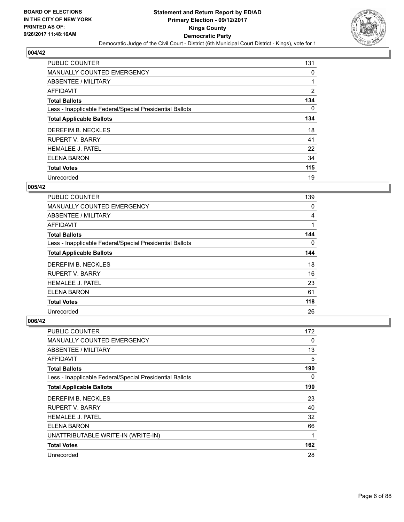

| PUBLIC COUNTER                                           | 131 |
|----------------------------------------------------------|-----|
| <b>MANUALLY COUNTED EMERGENCY</b>                        | 0   |
| ABSENTEE / MILITARY                                      | 1   |
| <b>AFFIDAVIT</b>                                         | 2   |
| <b>Total Ballots</b>                                     | 134 |
| Less - Inapplicable Federal/Special Presidential Ballots | 0   |
| <b>Total Applicable Ballots</b>                          | 134 |
| DEREFIM B. NECKLES                                       | 18  |
| <b>RUPERT V. BARRY</b>                                   | 41  |
| <b>HEMALEE J. PATEL</b>                                  | 22  |
| <b>ELENA BARON</b>                                       | 34  |
| <b>Total Votes</b>                                       | 115 |
| Unrecorded                                               | 19  |

#### **005/42**

| <b>PUBLIC COUNTER</b>                                    | 139      |
|----------------------------------------------------------|----------|
| <b>MANUALLY COUNTED EMERGENCY</b>                        | 0        |
| ABSENTEE / MILITARY                                      | 4        |
| AFFIDAVIT                                                | 1        |
| <b>Total Ballots</b>                                     | 144      |
| Less - Inapplicable Federal/Special Presidential Ballots | $\Omega$ |
| <b>Total Applicable Ballots</b>                          | 144      |
| DEREFIM B. NECKLES                                       | 18       |
| <b>RUPERT V. BARRY</b>                                   | 16       |
| <b>HEMALEE J. PATEL</b>                                  | 23       |
| ELENA BARON                                              | 61       |
| <b>Total Votes</b>                                       | 118      |
| Unrecorded                                               | 26       |

| PUBLIC COUNTER                                           | 172 |
|----------------------------------------------------------|-----|
| <b>MANUALLY COUNTED EMERGENCY</b>                        | 0   |
| ABSENTEE / MILITARY                                      | 13  |
| AFFIDAVIT                                                | 5   |
| <b>Total Ballots</b>                                     | 190 |
| Less - Inapplicable Federal/Special Presidential Ballots | 0   |
| <b>Total Applicable Ballots</b>                          | 190 |
| DEREFIM B. NECKLES                                       | 23  |
| <b>RUPERT V. BARRY</b>                                   | 40  |
| <b>HEMALEE J. PATEL</b>                                  | 32  |
| <b>ELENA BARON</b>                                       | 66  |
| UNATTRIBUTABLE WRITE-IN (WRITE-IN)                       | 1   |
| <b>Total Votes</b>                                       | 162 |
| Unrecorded                                               | 28  |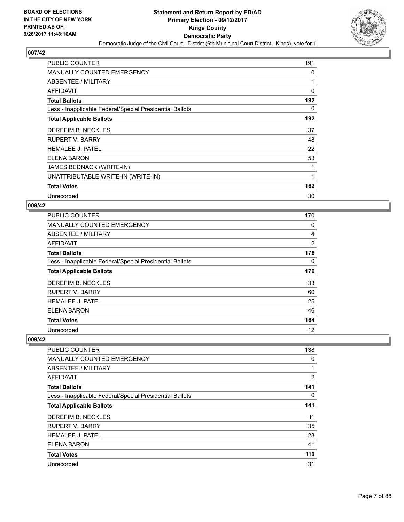

| <b>PUBLIC COUNTER</b>                                    | 191 |
|----------------------------------------------------------|-----|
| <b>MANUALLY COUNTED EMERGENCY</b>                        | 0   |
| <b>ABSENTEE / MILITARY</b>                               | 1   |
| AFFIDAVIT                                                | 0   |
| <b>Total Ballots</b>                                     | 192 |
| Less - Inapplicable Federal/Special Presidential Ballots | 0   |
| <b>Total Applicable Ballots</b>                          | 192 |
| DEREFIM B. NECKLES                                       | 37  |
| <b>RUPERT V. BARRY</b>                                   | 48  |
| <b>HEMALEE J. PATEL</b>                                  | 22  |
| <b>ELENA BARON</b>                                       | 53  |
| JAMES BEDNACK (WRITE-IN)                                 |     |
| UNATTRIBUTABLE WRITE-IN (WRITE-IN)                       | 1   |
| <b>Total Votes</b>                                       | 162 |
| Unrecorded                                               | 30  |

#### **008/42**

| <b>PUBLIC COUNTER</b>                                    | 170 |
|----------------------------------------------------------|-----|
| MANUALLY COUNTED EMERGENCY                               | 0   |
| ABSENTEE / MILITARY                                      | 4   |
| AFFIDAVIT                                                | 2   |
| <b>Total Ballots</b>                                     | 176 |
| Less - Inapplicable Federal/Special Presidential Ballots | 0   |
| <b>Total Applicable Ballots</b>                          | 176 |
| DEREFIM B. NECKLES                                       | 33  |
| <b>RUPERT V. BARRY</b>                                   | 60  |
| <b>HEMALEE J. PATEL</b>                                  | 25  |
| <b>ELENA BARON</b>                                       | 46  |
| <b>Total Votes</b>                                       | 164 |
| Unrecorded                                               | 12  |

| <b>PUBLIC COUNTER</b>                                    | 138 |
|----------------------------------------------------------|-----|
| <b>MANUALLY COUNTED EMERGENCY</b>                        | 0   |
| ABSENTEE / MILITARY                                      |     |
| <b>AFFIDAVIT</b>                                         | 2   |
| <b>Total Ballots</b>                                     | 141 |
| Less - Inapplicable Federal/Special Presidential Ballots | 0   |
| <b>Total Applicable Ballots</b>                          | 141 |
| DEREFIM B. NECKLES                                       | 11  |
| <b>RUPERT V. BARRY</b>                                   | 35  |
| <b>HEMALEE J. PATEL</b>                                  | 23  |
| ELENA BARON                                              | 41  |
| <b>Total Votes</b>                                       | 110 |
| Unrecorded                                               | 31  |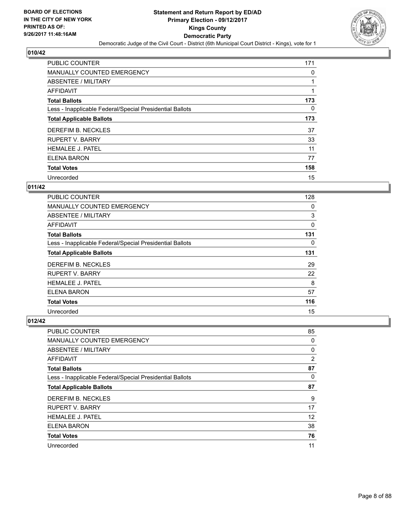

| <b>PUBLIC COUNTER</b>                                    | 171 |
|----------------------------------------------------------|-----|
| MANUALLY COUNTED EMERGENCY                               | 0   |
| ABSENTEE / MILITARY                                      |     |
| <b>AFFIDAVIT</b>                                         |     |
| <b>Total Ballots</b>                                     | 173 |
| Less - Inapplicable Federal/Special Presidential Ballots | 0   |
| <b>Total Applicable Ballots</b>                          | 173 |
| DEREFIM B. NECKLES                                       | 37  |
| <b>RUPERT V. BARRY</b>                                   | 33  |
| <b>HEMALEE J. PATEL</b>                                  | 11  |
| ELENA BARON                                              | 77  |
| <b>Total Votes</b>                                       | 158 |
| Unrecorded                                               | 15  |

## **011/42**

| PUBLIC COUNTER                                           | 128 |
|----------------------------------------------------------|-----|
| <b>MANUALLY COUNTED EMERGENCY</b>                        | 0   |
| ABSENTEE / MILITARY                                      | 3   |
| AFFIDAVIT                                                | 0   |
| <b>Total Ballots</b>                                     | 131 |
| Less - Inapplicable Federal/Special Presidential Ballots | 0   |
| <b>Total Applicable Ballots</b>                          | 131 |
| DEREFIM B. NECKLES                                       | 29  |
| <b>RUPERT V. BARRY</b>                                   | 22  |
| <b>HEMALEE J. PATEL</b>                                  | 8   |
| ELENA BARON                                              | 57  |
| <b>Total Votes</b>                                       | 116 |
| Unrecorded                                               | 15  |

| <b>PUBLIC COUNTER</b>                                    | 85 |
|----------------------------------------------------------|----|
| <b>MANUALLY COUNTED EMERGENCY</b>                        | 0  |
| ABSENTEE / MILITARY                                      | 0  |
| AFFIDAVIT                                                | 2  |
| <b>Total Ballots</b>                                     | 87 |
| Less - Inapplicable Federal/Special Presidential Ballots | 0  |
| <b>Total Applicable Ballots</b>                          | 87 |
| DEREFIM B. NECKLES                                       | 9  |
| <b>RUPERT V. BARRY</b>                                   | 17 |
| <b>HEMALEE J. PATEL</b>                                  | 12 |
| <b>ELENA BARON</b>                                       | 38 |
| <b>Total Votes</b>                                       | 76 |
| Unrecorded                                               | 11 |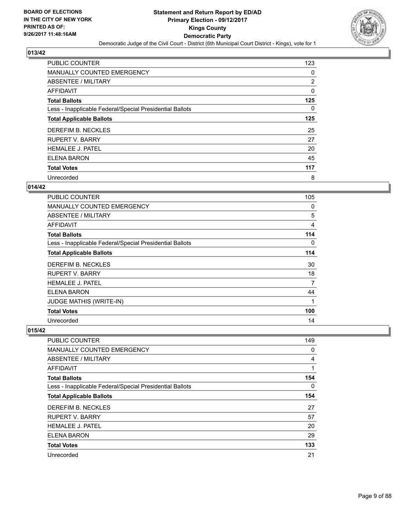

| <b>PUBLIC COUNTER</b>                                    | 123      |
|----------------------------------------------------------|----------|
| MANUALLY COUNTED EMERGENCY                               | 0        |
| ABSENTEE / MILITARY                                      | 2        |
| <b>AFFIDAVIT</b>                                         | 0        |
| <b>Total Ballots</b>                                     | 125      |
| Less - Inapplicable Federal/Special Presidential Ballots | $\Omega$ |
| <b>Total Applicable Ballots</b>                          | 125      |
| DEREFIM B. NECKLES                                       | 25       |
| <b>RUPERT V. BARRY</b>                                   | 27       |
| <b>HEMALEE J. PATEL</b>                                  | 20       |
| ELENA BARON                                              | 45       |
| <b>Total Votes</b>                                       | 117      |
| Unrecorded                                               | 8        |

#### **014/42**

| PUBLIC COUNTER                                           | 105 |
|----------------------------------------------------------|-----|
| <b>MANUALLY COUNTED EMERGENCY</b>                        | 0   |
| ABSENTEE / MILITARY                                      | 5   |
| <b>AFFIDAVIT</b>                                         | 4   |
| <b>Total Ballots</b>                                     | 114 |
| Less - Inapplicable Federal/Special Presidential Ballots | 0   |
| <b>Total Applicable Ballots</b>                          | 114 |
| DEREFIM B. NECKLES                                       | 30  |
| <b>RUPERT V. BARRY</b>                                   | 18  |
| <b>HEMALEE J. PATEL</b>                                  | 7   |
| ELENA BARON                                              | 44  |
| <b>JUDGE MATHIS (WRITE-IN)</b>                           | 1   |
| <b>Total Votes</b>                                       | 100 |
| Unrecorded                                               | 14  |

| <b>PUBLIC COUNTER</b>                                    | 149 |
|----------------------------------------------------------|-----|
| <b>MANUALLY COUNTED EMERGENCY</b>                        | 0   |
| ABSENTEE / MILITARY                                      | 4   |
| AFFIDAVIT                                                |     |
| <b>Total Ballots</b>                                     | 154 |
| Less - Inapplicable Federal/Special Presidential Ballots | 0   |
| <b>Total Applicable Ballots</b>                          | 154 |
| DEREFIM B. NECKLES                                       | 27  |
| <b>RUPERT V. BARRY</b>                                   | 57  |
| <b>HEMALEE J. PATEL</b>                                  | 20  |
| <b>ELENA BARON</b>                                       | 29  |
| <b>Total Votes</b>                                       | 133 |
| Unrecorded                                               | 21  |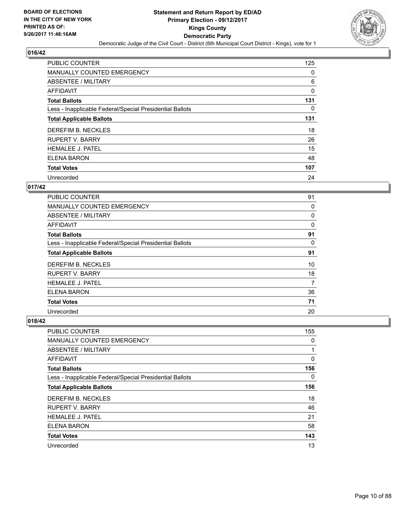

| <b>PUBLIC COUNTER</b>                                    | 125 |
|----------------------------------------------------------|-----|
| <b>MANUALLY COUNTED EMERGENCY</b>                        | 0   |
| ABSENTEE / MILITARY                                      | 6   |
| AFFIDAVIT                                                | 0   |
| <b>Total Ballots</b>                                     | 131 |
| Less - Inapplicable Federal/Special Presidential Ballots | 0   |
| <b>Total Applicable Ballots</b>                          | 131 |
| DEREFIM B. NECKLES                                       | 18  |
| <b>RUPERT V. BARRY</b>                                   | 26  |
| <b>HEMALEE J. PATEL</b>                                  | 15  |
| ELENA BARON                                              | 48  |
| <b>Total Votes</b>                                       | 107 |
| Unrecorded                                               | 24  |

## **017/42**

| <b>PUBLIC COUNTER</b>                                    | 91 |
|----------------------------------------------------------|----|
| <b>MANUALLY COUNTED EMERGENCY</b>                        | 0  |
| ABSENTEE / MILITARY                                      | 0  |
| <b>AFFIDAVIT</b>                                         | 0  |
| <b>Total Ballots</b>                                     | 91 |
| Less - Inapplicable Federal/Special Presidential Ballots | 0  |
| <b>Total Applicable Ballots</b>                          | 91 |
| DEREFIM B. NECKLES                                       | 10 |
| <b>RUPERT V. BARRY</b>                                   | 18 |
| <b>HEMALEE J. PATEL</b>                                  | 7  |
| ELENA BARON                                              | 36 |
| <b>Total Votes</b>                                       | 71 |
| Unrecorded                                               | 20 |

| PUBLIC COUNTER                                           | 155 |
|----------------------------------------------------------|-----|
| MANUALLY COUNTED EMERGENCY                               | 0   |
| ABSENTEE / MILITARY                                      | 1   |
| <b>AFFIDAVIT</b>                                         | 0   |
| <b>Total Ballots</b>                                     | 156 |
| Less - Inapplicable Federal/Special Presidential Ballots | 0   |
| <b>Total Applicable Ballots</b>                          | 156 |
| DEREFIM B. NECKLES                                       | 18  |
| <b>RUPERT V. BARRY</b>                                   | 46  |
| <b>HEMALEE J. PATEL</b>                                  | 21  |
| ELENA BARON                                              | 58  |
| <b>Total Votes</b>                                       | 143 |
| Unrecorded                                               | 13  |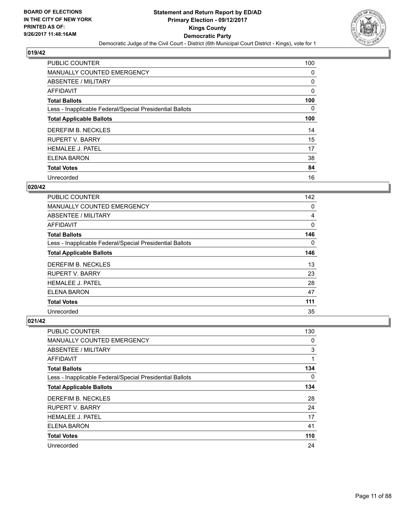

| <b>PUBLIC COUNTER</b>                                    | 100 |
|----------------------------------------------------------|-----|
| MANUALLY COUNTED EMERGENCY                               | 0   |
| ABSENTEE / MILITARY                                      | 0   |
| AFFIDAVIT                                                | 0   |
| <b>Total Ballots</b>                                     | 100 |
| Less - Inapplicable Federal/Special Presidential Ballots | 0   |
| <b>Total Applicable Ballots</b>                          | 100 |
| DEREFIM B. NECKLES                                       | 14  |
| <b>RUPERT V. BARRY</b>                                   | 15  |
| <b>HEMALEE J. PATEL</b>                                  | 17  |
| ELENA BARON                                              | 38  |
| <b>Total Votes</b>                                       | 84  |
| Unrecorded                                               | 16  |

## **020/42**

| <b>PUBLIC COUNTER</b>                                    | 142      |
|----------------------------------------------------------|----------|
| <b>MANUALLY COUNTED EMERGENCY</b>                        | 0        |
| ABSENTEE / MILITARY                                      | 4        |
| AFFIDAVIT                                                | 0        |
| <b>Total Ballots</b>                                     | 146      |
| Less - Inapplicable Federal/Special Presidential Ballots | $\Omega$ |
| <b>Total Applicable Ballots</b>                          | 146      |
| DEREFIM B. NECKLES                                       | 13       |
| <b>RUPERT V. BARRY</b>                                   | 23       |
| <b>HEMALEE J. PATEL</b>                                  | 28       |
| <b>ELENA BARON</b>                                       | 47       |
| <b>Total Votes</b>                                       | 111      |
| Unrecorded                                               | 35       |

| <b>PUBLIC COUNTER</b>                                    | 130 |
|----------------------------------------------------------|-----|
| <b>MANUALLY COUNTED EMERGENCY</b>                        | 0   |
| ABSENTEE / MILITARY                                      | 3   |
| AFFIDAVIT                                                | 1   |
| <b>Total Ballots</b>                                     | 134 |
| Less - Inapplicable Federal/Special Presidential Ballots | 0   |
| <b>Total Applicable Ballots</b>                          | 134 |
| DEREFIM B. NECKLES                                       | 28  |
| <b>RUPERT V. BARRY</b>                                   | 24  |
| <b>HEMALEE J. PATEL</b>                                  | 17  |
| ELENA BARON                                              | 41  |
| <b>Total Votes</b>                                       | 110 |
| Unrecorded                                               | 24  |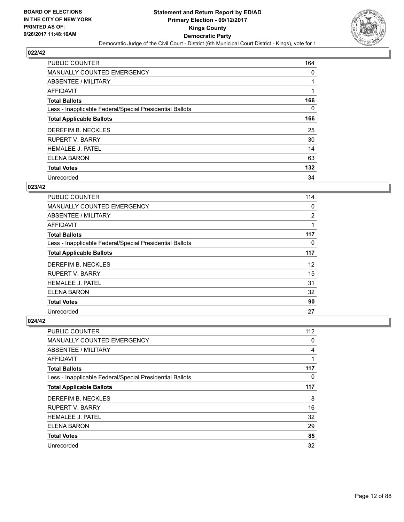

| <b>PUBLIC COUNTER</b>                                    | 164 |
|----------------------------------------------------------|-----|
| MANUALLY COUNTED EMERGENCY                               | 0   |
| ABSENTEE / MILITARY                                      |     |
| <b>AFFIDAVIT</b>                                         |     |
| <b>Total Ballots</b>                                     | 166 |
| Less - Inapplicable Federal/Special Presidential Ballots | 0   |
| <b>Total Applicable Ballots</b>                          | 166 |
| DEREFIM B. NECKLES                                       | 25  |
| <b>RUPERT V. BARRY</b>                                   | 30  |
| <b>HEMALEE J. PATEL</b>                                  | 14  |
| <b>ELENA BARON</b>                                       | 63  |
| <b>Total Votes</b>                                       | 132 |
| Unrecorded                                               | 34  |

## **023/42**

| <b>PUBLIC COUNTER</b>                                    | 114 |
|----------------------------------------------------------|-----|
| <b>MANUALLY COUNTED EMERGENCY</b>                        | 0   |
| ABSENTEE / MILITARY                                      | 2   |
| AFFIDAVIT                                                | 1   |
| <b>Total Ballots</b>                                     | 117 |
| Less - Inapplicable Federal/Special Presidential Ballots | 0   |
| <b>Total Applicable Ballots</b>                          | 117 |
| DEREFIM B. NECKLES                                       | 12  |
| <b>RUPERT V. BARRY</b>                                   | 15  |
| <b>HEMALEE J. PATEL</b>                                  | 31  |
| ELENA BARON                                              | 32  |
| <b>Total Votes</b>                                       | 90  |
| Unrecorded                                               | 27  |

| <b>PUBLIC COUNTER</b>                                    | 112 |
|----------------------------------------------------------|-----|
| <b>MANUALLY COUNTED EMERGENCY</b>                        | 0   |
| ABSENTEE / MILITARY                                      | 4   |
| AFFIDAVIT                                                | 1   |
| <b>Total Ballots</b>                                     | 117 |
| Less - Inapplicable Federal/Special Presidential Ballots | 0   |
| <b>Total Applicable Ballots</b>                          | 117 |
| DEREFIM B. NECKLES                                       | 8   |
| <b>RUPERT V. BARRY</b>                                   | 16  |
| <b>HEMALEE J. PATEL</b>                                  | 32  |
| <b>ELENA BARON</b>                                       | 29  |
| <b>Total Votes</b>                                       | 85  |
| Unrecorded                                               | 32  |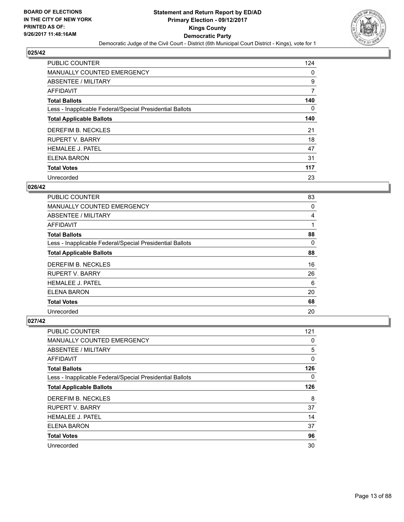

| <b>PUBLIC COUNTER</b>                                    | 124 |
|----------------------------------------------------------|-----|
| <b>MANUALLY COUNTED EMERGENCY</b>                        | 0   |
| ABSENTEE / MILITARY                                      | 9   |
| AFFIDAVIT                                                | 7   |
| <b>Total Ballots</b>                                     | 140 |
| Less - Inapplicable Federal/Special Presidential Ballots | 0   |
| <b>Total Applicable Ballots</b>                          | 140 |
| DEREFIM B. NECKLES                                       | 21  |
| <b>RUPERT V. BARRY</b>                                   | 18  |
| <b>HEMALEE J. PATEL</b>                                  | 47  |
| <b>ELENA BARON</b>                                       | 31  |
| <b>Total Votes</b>                                       | 117 |
| Unrecorded                                               | 23  |

#### **026/42**

| <b>PUBLIC COUNTER</b>                                    | 83 |
|----------------------------------------------------------|----|
| <b>MANUALLY COUNTED EMERGENCY</b>                        | 0  |
| ABSENTEE / MILITARY                                      | 4  |
| AFFIDAVIT                                                |    |
| <b>Total Ballots</b>                                     | 88 |
| Less - Inapplicable Federal/Special Presidential Ballots | 0  |
| <b>Total Applicable Ballots</b>                          | 88 |
| DEREFIM B. NECKLES                                       | 16 |
| <b>RUPERT V. BARRY</b>                                   | 26 |
| <b>HEMALEE J. PATEL</b>                                  | 6  |
| <b>ELENA BARON</b>                                       | 20 |
| <b>Total Votes</b>                                       | 68 |
| Unrecorded                                               | 20 |

| <b>PUBLIC COUNTER</b>                                    | 121 |
|----------------------------------------------------------|-----|
| <b>MANUALLY COUNTED EMERGENCY</b>                        | 0   |
| ABSENTEE / MILITARY                                      | 5   |
| AFFIDAVIT                                                | 0   |
| <b>Total Ballots</b>                                     | 126 |
| Less - Inapplicable Federal/Special Presidential Ballots | 0   |
| <b>Total Applicable Ballots</b>                          | 126 |
| DEREFIM B. NECKLES                                       | 8   |
| <b>RUPERT V. BARRY</b>                                   | 37  |
| <b>HEMALEE J. PATEL</b>                                  | 14  |
| <b>ELENA BARON</b>                                       | 37  |
| <b>Total Votes</b>                                       | 96  |
| Unrecorded                                               | 30  |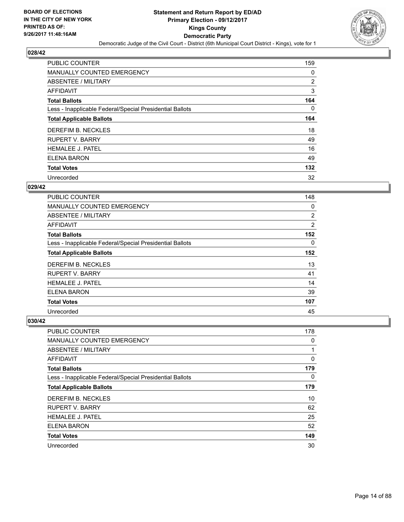

| <b>PUBLIC COUNTER</b>                                    | 159 |
|----------------------------------------------------------|-----|
| MANUALLY COUNTED EMERGENCY                               | 0   |
| ABSENTEE / MILITARY                                      | 2   |
| <b>AFFIDAVIT</b>                                         | 3   |
| <b>Total Ballots</b>                                     | 164 |
| Less - Inapplicable Federal/Special Presidential Ballots | 0   |
| <b>Total Applicable Ballots</b>                          | 164 |
| DEREFIM B. NECKLES                                       | 18  |
| <b>RUPERT V. BARRY</b>                                   | 49  |
| <b>HEMALEE J. PATEL</b>                                  | 16  |
| ELENA BARON                                              | 49  |
| <b>Total Votes</b>                                       | 132 |
| Unrecorded                                               | 32  |

## **029/42**

| <b>PUBLIC COUNTER</b>                                    | 148            |
|----------------------------------------------------------|----------------|
| <b>MANUALLY COUNTED EMERGENCY</b>                        | 0              |
| ABSENTEE / MILITARY                                      | 2              |
| AFFIDAVIT                                                | $\overline{2}$ |
| <b>Total Ballots</b>                                     | 152            |
| Less - Inapplicable Federal/Special Presidential Ballots | $\Omega$       |
| <b>Total Applicable Ballots</b>                          | 152            |
| DEREFIM B. NECKLES                                       | 13             |
| <b>RUPERT V. BARRY</b>                                   | 41             |
| <b>HEMALEE J. PATEL</b>                                  | 14             |
| ELENA BARON                                              | 39             |
| <b>Total Votes</b>                                       | 107            |
| Unrecorded                                               | 45             |

| <b>PUBLIC COUNTER</b>                                    | 178 |
|----------------------------------------------------------|-----|
| <b>MANUALLY COUNTED EMERGENCY</b>                        | 0   |
| ABSENTEE / MILITARY                                      | 1   |
| AFFIDAVIT                                                | 0   |
| <b>Total Ballots</b>                                     | 179 |
| Less - Inapplicable Federal/Special Presidential Ballots | 0   |
| <b>Total Applicable Ballots</b>                          | 179 |
| DEREFIM B. NECKLES                                       | 10  |
| <b>RUPERT V. BARRY</b>                                   | 62  |
| <b>HEMALEE J. PATEL</b>                                  | 25  |
| ELENA BARON                                              | 52  |
| <b>Total Votes</b>                                       | 149 |
| Unrecorded                                               | 30  |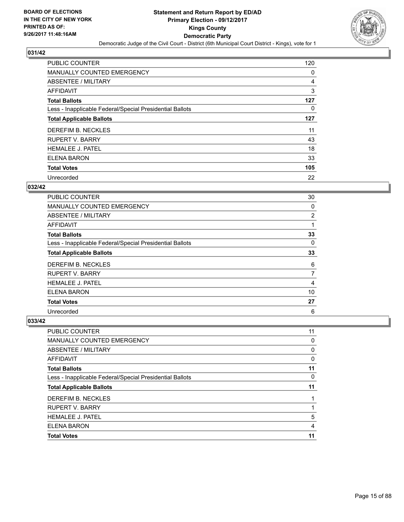

| <b>PUBLIC COUNTER</b>                                    | 120 |
|----------------------------------------------------------|-----|
| MANUALLY COUNTED EMERGENCY                               | 0   |
| ABSENTEE / MILITARY                                      | 4   |
| <b>AFFIDAVIT</b>                                         | 3   |
| <b>Total Ballots</b>                                     | 127 |
| Less - Inapplicable Federal/Special Presidential Ballots | 0   |
| <b>Total Applicable Ballots</b>                          | 127 |
| DEREFIM B. NECKLES                                       | 11  |
| <b>RUPERT V. BARRY</b>                                   | 43  |
| <b>HEMALEE J. PATEL</b>                                  | 18  |
| ELENA BARON                                              | 33  |
| <b>Total Votes</b>                                       | 105 |
| Unrecorded                                               | 22  |

#### **032/42**

| <b>PUBLIC COUNTER</b>                                    | 30 |
|----------------------------------------------------------|----|
| MANUALLY COUNTED EMERGENCY                               | 0  |
| ABSENTEE / MILITARY                                      | 2  |
| <b>AFFIDAVIT</b>                                         |    |
| <b>Total Ballots</b>                                     | 33 |
| Less - Inapplicable Federal/Special Presidential Ballots | 0  |
| <b>Total Applicable Ballots</b>                          | 33 |
| DEREFIM B. NECKLES                                       | 6  |
| <b>RUPERT V. BARRY</b>                                   | 7  |
| <b>HEMALEE J. PATEL</b>                                  | 4  |
| ELENA BARON                                              | 10 |
| <b>Total Votes</b>                                       | 27 |
| Unrecorded                                               | 6  |

| <b>PUBLIC COUNTER</b>                                    | 11 |
|----------------------------------------------------------|----|
| <b>MANUALLY COUNTED EMERGENCY</b>                        | 0  |
| ABSENTEE / MILITARY                                      | 0  |
| AFFIDAVIT                                                | 0  |
| <b>Total Ballots</b>                                     | 11 |
| Less - Inapplicable Federal/Special Presidential Ballots | 0  |
| <b>Total Applicable Ballots</b>                          | 11 |
| DEREFIM B. NECKLES                                       |    |
|                                                          |    |
| <b>RUPERT V. BARRY</b>                                   |    |
| <b>HEMALEE J. PATEL</b>                                  | 5  |
| <b>ELENA BARON</b>                                       | 4  |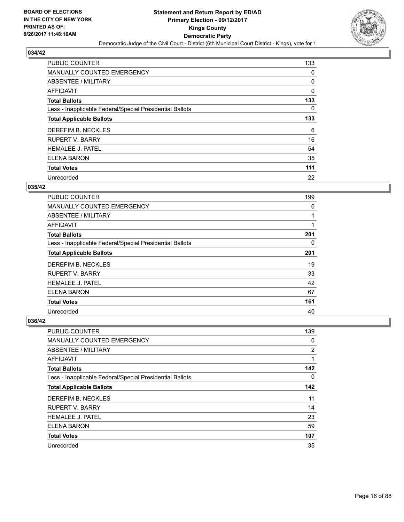

| <b>PUBLIC COUNTER</b>                                    | 133 |
|----------------------------------------------------------|-----|
| MANUALLY COUNTED EMERGENCY                               | 0   |
| ABSENTEE / MILITARY                                      | 0   |
| AFFIDAVIT                                                | 0   |
| <b>Total Ballots</b>                                     | 133 |
| Less - Inapplicable Federal/Special Presidential Ballots | 0   |
| <b>Total Applicable Ballots</b>                          | 133 |
| DEREFIM B. NECKLES                                       | 6   |
| <b>RUPERT V. BARRY</b>                                   | 16  |
| <b>HEMALEE J. PATEL</b>                                  | 54  |
| ELENA BARON                                              | 35  |
| <b>Total Votes</b>                                       | 111 |
| Unrecorded                                               | 22  |

## **035/42**

| <b>PUBLIC COUNTER</b>                                    | 199 |
|----------------------------------------------------------|-----|
| <b>MANUALLY COUNTED EMERGENCY</b>                        | 0   |
| ABSENTEE / MILITARY                                      |     |
| <b>AFFIDAVIT</b>                                         |     |
| <b>Total Ballots</b>                                     | 201 |
| Less - Inapplicable Federal/Special Presidential Ballots | 0   |
| <b>Total Applicable Ballots</b>                          | 201 |
| DEREFIM B. NECKLES                                       | 19  |
| <b>RUPERT V. BARRY</b>                                   | 33  |
| <b>HEMALEE J. PATEL</b>                                  | 42  |
| ELENA BARON                                              | 67  |
| <b>Total Votes</b>                                       | 161 |
| Unrecorded                                               | 40  |

| <b>PUBLIC COUNTER</b>                                    | 139            |
|----------------------------------------------------------|----------------|
| MANUALLY COUNTED EMERGENCY                               | 0              |
| ABSENTEE / MILITARY                                      | $\overline{2}$ |
| <b>AFFIDAVIT</b>                                         | 1              |
| <b>Total Ballots</b>                                     | 142            |
| Less - Inapplicable Federal/Special Presidential Ballots | 0              |
| <b>Total Applicable Ballots</b>                          | 142            |
| DEREFIM B. NECKLES                                       | 11             |
| <b>RUPERT V. BARRY</b>                                   | 14             |
| <b>HEMALEE J. PATEL</b>                                  | 23             |
| <b>ELENA BARON</b>                                       | 59             |
| <b>Total Votes</b>                                       | 107            |
| Unrecorded                                               | 35             |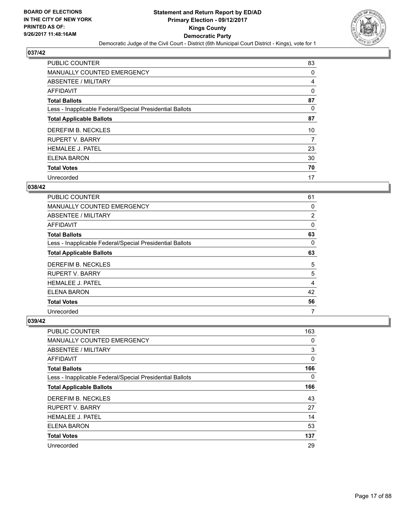

| <b>PUBLIC COUNTER</b>                                    | 83 |
|----------------------------------------------------------|----|
| MANUALLY COUNTED EMERGENCY                               | 0  |
| ABSENTEE / MILITARY                                      | 4  |
| AFFIDAVIT                                                | 0  |
| <b>Total Ballots</b>                                     | 87 |
| Less - Inapplicable Federal/Special Presidential Ballots | 0  |
| <b>Total Applicable Ballots</b>                          | 87 |
| DEREFIM B. NECKLES                                       | 10 |
| <b>RUPERT V. BARRY</b>                                   | 7  |
| <b>HEMALEE J. PATEL</b>                                  | 23 |
| ELENA BARON                                              | 30 |
| <b>Total Votes</b>                                       | 70 |
| Unrecorded                                               | 17 |

#### **038/42**

| <b>PUBLIC COUNTER</b>                                    | 61       |
|----------------------------------------------------------|----------|
| <b>MANUALLY COUNTED EMERGENCY</b>                        | 0        |
| ABSENTEE / MILITARY                                      | 2        |
| AFFIDAVIT                                                | $\Omega$ |
| <b>Total Ballots</b>                                     | 63       |
| Less - Inapplicable Federal/Special Presidential Ballots | 0        |
| <b>Total Applicable Ballots</b>                          | 63       |
| DEREFIM B. NECKLES                                       | 5        |
| <b>RUPERT V. BARRY</b>                                   | 5        |
| <b>HEMALEE J. PATEL</b>                                  | 4        |
| ELENA BARON                                              | 42       |
| <b>Total Votes</b>                                       | 56       |
| Unrecorded                                               | 7        |

| <b>PUBLIC COUNTER</b>                                    | 163 |
|----------------------------------------------------------|-----|
| <b>MANUALLY COUNTED EMERGENCY</b>                        | 0   |
| ABSENTEE / MILITARY                                      | 3   |
| <b>AFFIDAVIT</b>                                         | 0   |
| <b>Total Ballots</b>                                     | 166 |
| Less - Inapplicable Federal/Special Presidential Ballots | 0   |
| <b>Total Applicable Ballots</b>                          | 166 |
| DEREFIM B. NECKLES                                       | 43  |
| <b>RUPERT V. BARRY</b>                                   | 27  |
| <b>HEMALEE J. PATEL</b>                                  | 14  |
| <b>ELENA BARON</b>                                       | 53  |
| <b>Total Votes</b>                                       | 137 |
| Unrecorded                                               | 29  |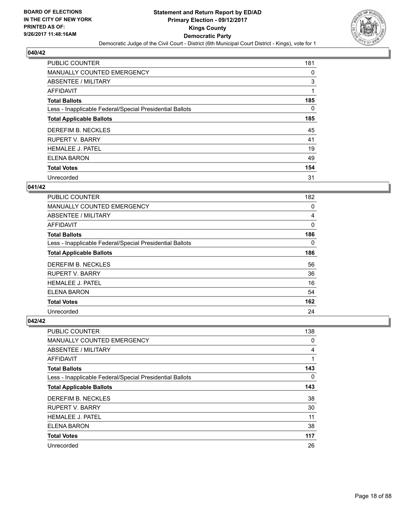

| <b>PUBLIC COUNTER</b>                                    | 181 |
|----------------------------------------------------------|-----|
| MANUALLY COUNTED EMERGENCY                               | 0   |
| ABSENTEE / MILITARY                                      | 3   |
| <b>AFFIDAVIT</b>                                         | 1   |
| <b>Total Ballots</b>                                     | 185 |
| Less - Inapplicable Federal/Special Presidential Ballots | 0   |
| <b>Total Applicable Ballots</b>                          | 185 |
| DEREFIM B. NECKLES                                       | 45  |
| <b>RUPERT V. BARRY</b>                                   | 41  |
| <b>HEMALEE J. PATEL</b>                                  | 19  |
| <b>ELENA BARON</b>                                       | 49  |
| <b>Total Votes</b>                                       | 154 |
| Unrecorded                                               | 31  |

#### **041/42**

| <b>PUBLIC COUNTER</b>                                    | 182 |
|----------------------------------------------------------|-----|
| <b>MANUALLY COUNTED EMERGENCY</b>                        | 0   |
| ABSENTEE / MILITARY                                      | 4   |
| <b>AFFIDAVIT</b>                                         | 0   |
| <b>Total Ballots</b>                                     | 186 |
| Less - Inapplicable Federal/Special Presidential Ballots | 0   |
| <b>Total Applicable Ballots</b>                          | 186 |
| DEREFIM B. NECKLES                                       | 56  |
| <b>RUPERT V. BARRY</b>                                   | 36  |
| <b>HEMALEE J. PATEL</b>                                  | 16  |
| ELENA BARON                                              | 54  |
| <b>Total Votes</b>                                       | 162 |
| Unrecorded                                               | 24  |

| <b>PUBLIC COUNTER</b>                                    | 138 |
|----------------------------------------------------------|-----|
| <b>MANUALLY COUNTED EMERGENCY</b>                        | 0   |
| ABSENTEE / MILITARY                                      | 4   |
| <b>AFFIDAVIT</b>                                         | 1   |
| <b>Total Ballots</b>                                     | 143 |
| Less - Inapplicable Federal/Special Presidential Ballots | 0   |
| <b>Total Applicable Ballots</b>                          | 143 |
| DEREFIM B. NECKLES                                       | 38  |
| <b>RUPERT V. BARRY</b>                                   | 30  |
| <b>HEMALEE J. PATEL</b>                                  | 11  |
| <b>ELENA BARON</b>                                       | 38  |
| <b>Total Votes</b>                                       | 117 |
| Unrecorded                                               | 26  |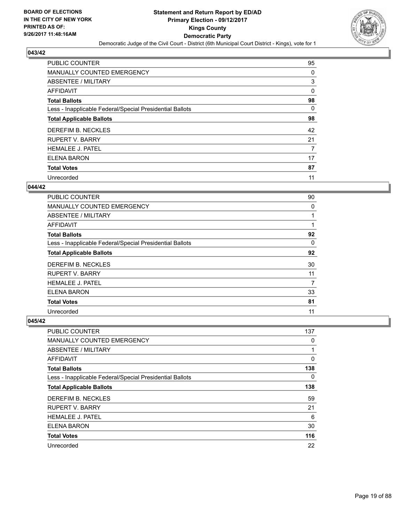

| <b>PUBLIC COUNTER</b>                                    | 95 |
|----------------------------------------------------------|----|
| MANUALLY COUNTED EMERGENCY                               | 0  |
| ABSENTEE / MILITARY                                      | 3  |
| <b>AFFIDAVIT</b>                                         | 0  |
| <b>Total Ballots</b>                                     | 98 |
| Less - Inapplicable Federal/Special Presidential Ballots | 0  |
| <b>Total Applicable Ballots</b>                          | 98 |
| DEREFIM B. NECKLES                                       | 42 |
| <b>RUPERT V. BARRY</b>                                   | 21 |
| <b>HEMALEE J. PATEL</b>                                  | 7  |
| ELENA BARON                                              | 17 |
| <b>Total Votes</b>                                       | 87 |
| Unrecorded                                               | 11 |

## **044/42**

| <b>PUBLIC COUNTER</b>                                    | 90 |
|----------------------------------------------------------|----|
| <b>MANUALLY COUNTED EMERGENCY</b>                        | 0  |
| ABSENTEE / MILITARY                                      |    |
| <b>AFFIDAVIT</b>                                         |    |
| <b>Total Ballots</b>                                     | 92 |
| Less - Inapplicable Federal/Special Presidential Ballots | 0  |
| <b>Total Applicable Ballots</b>                          | 92 |
| DEREFIM B. NECKLES                                       | 30 |
| <b>RUPERT V. BARRY</b>                                   | 11 |
| <b>HEMALEE J. PATEL</b>                                  | 7  |
| ELENA BARON                                              | 33 |
| <b>Total Votes</b>                                       | 81 |
| Unrecorded                                               | 11 |

| <b>PUBLIC COUNTER</b>                                    | 137 |
|----------------------------------------------------------|-----|
| <b>MANUALLY COUNTED EMERGENCY</b>                        | 0   |
| ABSENTEE / MILITARY                                      | 1   |
| AFFIDAVIT                                                | 0   |
| <b>Total Ballots</b>                                     | 138 |
| Less - Inapplicable Federal/Special Presidential Ballots | 0   |
| <b>Total Applicable Ballots</b>                          | 138 |
| DEREFIM B. NECKLES                                       | 59  |
| <b>RUPERT V. BARRY</b>                                   | 21  |
| <b>HEMALEE J. PATEL</b>                                  | 6   |
| ELENA BARON                                              | 30  |
| <b>Total Votes</b>                                       | 116 |
| Unrecorded                                               | 22  |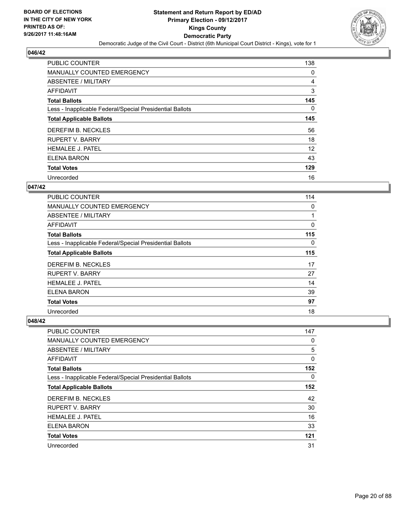

| <b>PUBLIC COUNTER</b>                                    | 138 |
|----------------------------------------------------------|-----|
| MANUALLY COUNTED EMERGENCY                               | 0   |
| ABSENTEE / MILITARY                                      | 4   |
| <b>AFFIDAVIT</b>                                         | 3   |
| <b>Total Ballots</b>                                     | 145 |
| Less - Inapplicable Federal/Special Presidential Ballots | 0   |
| <b>Total Applicable Ballots</b>                          | 145 |
| DEREFIM B. NECKLES                                       | 56  |
| <b>RUPERT V. BARRY</b>                                   | 18  |
| <b>HEMALEE J. PATEL</b>                                  | 12  |
| ELENA BARON                                              | 43  |
| <b>Total Votes</b>                                       | 129 |
| Unrecorded                                               | 16  |

#### **047/42**

| <b>PUBLIC COUNTER</b>                                    | 114 |
|----------------------------------------------------------|-----|
| <b>MANUALLY COUNTED EMERGENCY</b>                        | 0   |
| ABSENTEE / MILITARY                                      |     |
| AFFIDAVIT                                                | 0   |
| <b>Total Ballots</b>                                     | 115 |
| Less - Inapplicable Federal/Special Presidential Ballots | 0   |
| <b>Total Applicable Ballots</b>                          | 115 |
| DEREFIM B. NECKLES                                       | 17  |
| <b>RUPERT V. BARRY</b>                                   | 27  |
| <b>HEMALEE J. PATEL</b>                                  | 14  |
| ELENA BARON                                              | 39  |
| <b>Total Votes</b>                                       | 97  |
| Unrecorded                                               | 18  |

| <b>PUBLIC COUNTER</b>                                    | 147 |
|----------------------------------------------------------|-----|
| MANUALLY COUNTED EMERGENCY                               | 0   |
| ABSENTEE / MILITARY                                      | 5   |
| <b>AFFIDAVIT</b>                                         | 0   |
| <b>Total Ballots</b>                                     | 152 |
| Less - Inapplicable Federal/Special Presidential Ballots | 0   |
| <b>Total Applicable Ballots</b>                          | 152 |
| DEREFIM B. NECKLES                                       | 42  |
| <b>RUPERT V. BARRY</b>                                   | 30  |
| <b>HEMALEE J. PATEL</b>                                  | 16  |
| <b>ELENA BARON</b>                                       | 33  |
| <b>Total Votes</b>                                       | 121 |
| Unrecorded                                               | 31  |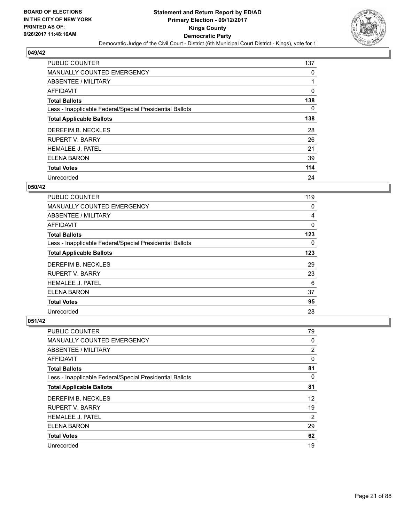

| <b>PUBLIC COUNTER</b>                                    | 137 |
|----------------------------------------------------------|-----|
| MANUALLY COUNTED EMERGENCY                               | 0   |
| ABSENTEE / MILITARY                                      |     |
| <b>AFFIDAVIT</b>                                         | 0   |
| <b>Total Ballots</b>                                     | 138 |
| Less - Inapplicable Federal/Special Presidential Ballots | 0   |
| <b>Total Applicable Ballots</b>                          | 138 |
| DEREFIM B. NECKLES                                       | 28  |
| <b>RUPERT V. BARRY</b>                                   | 26  |
| <b>HEMALEE J. PATEL</b>                                  | 21  |
| ELENA BARON                                              | 39  |
| <b>Total Votes</b>                                       | 114 |
| Unrecorded                                               | 24  |

#### **050/42**

| <b>PUBLIC COUNTER</b>                                    | 119 |
|----------------------------------------------------------|-----|
| <b>MANUALLY COUNTED EMERGENCY</b>                        | 0   |
| ABSENTEE / MILITARY                                      | 4   |
| <b>AFFIDAVIT</b>                                         | 0   |
| <b>Total Ballots</b>                                     | 123 |
| Less - Inapplicable Federal/Special Presidential Ballots | 0   |
| <b>Total Applicable Ballots</b>                          | 123 |
| DEREFIM B. NECKLES                                       | 29  |
| <b>RUPERT V. BARRY</b>                                   | 23  |
| <b>HEMALEE J. PATEL</b>                                  | 6   |
| ELENA BARON                                              | 37  |
| <b>Total Votes</b>                                       | 95  |
| Unrecorded                                               | 28  |

| <b>PUBLIC COUNTER</b>                                    | 79             |
|----------------------------------------------------------|----------------|
| <b>MANUALLY COUNTED EMERGENCY</b>                        | 0              |
| ABSENTEE / MILITARY                                      | 2              |
| AFFIDAVIT                                                | 0              |
| <b>Total Ballots</b>                                     | 81             |
| Less - Inapplicable Federal/Special Presidential Ballots | 0              |
| <b>Total Applicable Ballots</b>                          | 81             |
| DEREFIM B. NECKLES                                       | 12             |
| <b>RUPERT V. BARRY</b>                                   | 19             |
| <b>HEMALEE J. PATEL</b>                                  | $\overline{2}$ |
| ELENA BARON                                              | 29             |
| <b>Total Votes</b>                                       | 62             |
| Unrecorded                                               | 19             |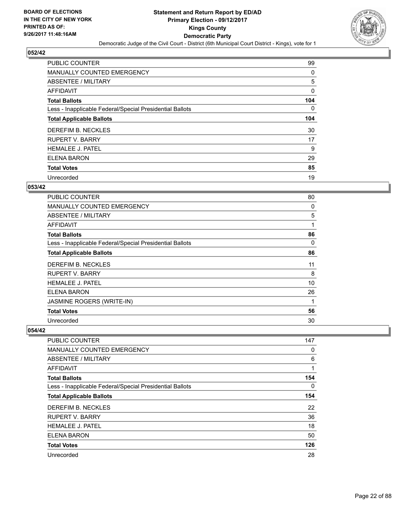

| <b>PUBLIC COUNTER</b>                                    | 99  |
|----------------------------------------------------------|-----|
| MANUALLY COUNTED EMERGENCY                               | 0   |
| ABSENTEE / MILITARY                                      | 5   |
| <b>AFFIDAVIT</b>                                         | 0   |
| <b>Total Ballots</b>                                     | 104 |
| Less - Inapplicable Federal/Special Presidential Ballots | 0   |
| <b>Total Applicable Ballots</b>                          | 104 |
| DEREFIM B. NECKLES                                       | 30  |
| <b>RUPERT V. BARRY</b>                                   | 17  |
| <b>HEMALEE J. PATEL</b>                                  | 9   |
| ELENA BARON                                              | 29  |
| <b>Total Votes</b>                                       | 85  |
| Unrecorded                                               | 19  |

#### **053/42**

| <b>PUBLIC COUNTER</b>                                    | 80 |
|----------------------------------------------------------|----|
| <b>MANUALLY COUNTED EMERGENCY</b>                        | 0  |
| ABSENTEE / MILITARY                                      | 5  |
| AFFIDAVIT                                                | 1  |
| <b>Total Ballots</b>                                     | 86 |
| Less - Inapplicable Federal/Special Presidential Ballots | 0  |
| <b>Total Applicable Ballots</b>                          | 86 |
| DEREFIM B. NECKLES                                       | 11 |
| <b>RUPERT V. BARRY</b>                                   | 8  |
| <b>HEMALEE J. PATEL</b>                                  | 10 |
| ELENA BARON                                              | 26 |
| JASMINE ROGERS (WRITE-IN)                                | 1  |
| <b>Total Votes</b>                                       | 56 |
| Unrecorded                                               | 30 |

| <b>PUBLIC COUNTER</b>                                    | 147 |
|----------------------------------------------------------|-----|
| <b>MANUALLY COUNTED EMERGENCY</b>                        | 0   |
| ABSENTEE / MILITARY                                      | 6   |
| AFFIDAVIT                                                |     |
| <b>Total Ballots</b>                                     | 154 |
| Less - Inapplicable Federal/Special Presidential Ballots | 0   |
| <b>Total Applicable Ballots</b>                          | 154 |
| DEREFIM B. NECKLES                                       | 22  |
| <b>RUPERT V. BARRY</b>                                   | 36  |
| <b>HEMALEE J. PATEL</b>                                  | 18  |
| <b>ELENA BARON</b>                                       | 50  |
| <b>Total Votes</b>                                       | 126 |
| Unrecorded                                               | 28  |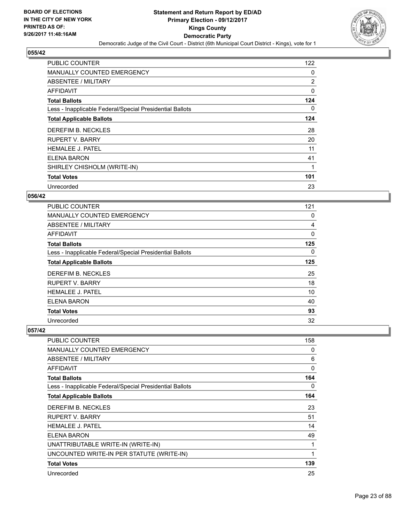

| <b>PUBLIC COUNTER</b>                                    | 122            |
|----------------------------------------------------------|----------------|
| <b>MANUALLY COUNTED EMERGENCY</b>                        | 0              |
| ABSENTEE / MILITARY                                      | $\overline{2}$ |
| AFFIDAVIT                                                | 0              |
| <b>Total Ballots</b>                                     | 124            |
| Less - Inapplicable Federal/Special Presidential Ballots | 0              |
| <b>Total Applicable Ballots</b>                          | 124            |
| DEREFIM B. NECKLES                                       | 28             |
| <b>RUPERT V. BARRY</b>                                   | 20             |
| <b>HEMALEE J. PATEL</b>                                  | 11             |
| ELENA BARON                                              | 41             |
| SHIRLEY CHISHOLM (WRITE-IN)                              |                |
| <b>Total Votes</b>                                       | 101            |
| Unrecorded                                               | 23             |

#### **056/42**

| <b>PUBLIC COUNTER</b>                                    | 121 |
|----------------------------------------------------------|-----|
| MANUALLY COUNTED EMERGENCY                               | 0   |
| ABSENTEE / MILITARY                                      | 4   |
| AFFIDAVIT                                                | 0   |
| <b>Total Ballots</b>                                     | 125 |
| Less - Inapplicable Federal/Special Presidential Ballots | 0   |
| <b>Total Applicable Ballots</b>                          | 125 |
| DEREFIM B. NECKLES                                       | 25  |
| <b>RUPERT V. BARRY</b>                                   | 18  |
| <b>HEMALEE J. PATEL</b>                                  | 10  |
| ELENA BARON                                              | 40  |
| <b>Total Votes</b>                                       | 93  |
| Unrecorded                                               | 32  |

| <b>PUBLIC COUNTER</b>                                    | 158 |
|----------------------------------------------------------|-----|
| <b>MANUALLY COUNTED EMERGENCY</b>                        | 0   |
| ABSENTEE / MILITARY                                      | 6   |
| <b>AFFIDAVIT</b>                                         | 0   |
| <b>Total Ballots</b>                                     | 164 |
| Less - Inapplicable Federal/Special Presidential Ballots | 0   |
| <b>Total Applicable Ballots</b>                          | 164 |
| DEREFIM B. NECKLES                                       | 23  |
| <b>RUPERT V. BARRY</b>                                   | 51  |
| <b>HEMALEE J. PATEL</b>                                  | 14  |
| ELENA BARON                                              | 49  |
| UNATTRIBUTABLE WRITE-IN (WRITE-IN)                       | 1   |
| UNCOUNTED WRITE-IN PER STATUTE (WRITE-IN)                | 1   |
| <b>Total Votes</b>                                       | 139 |
| Unrecorded                                               | 25  |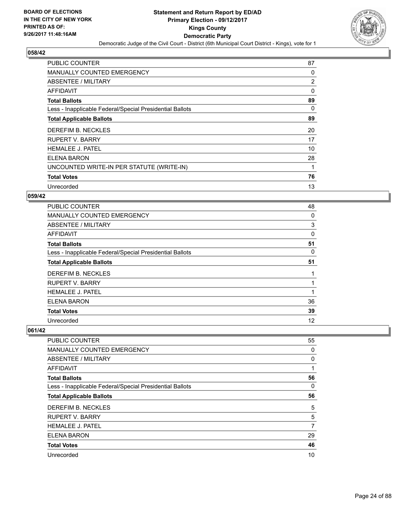

| <b>PUBLIC COUNTER</b>                                    | 87             |
|----------------------------------------------------------|----------------|
| MANUALLY COUNTED EMERGENCY                               | 0              |
| ABSENTEE / MILITARY                                      | $\overline{2}$ |
| <b>AFFIDAVIT</b>                                         | $\Omega$       |
| <b>Total Ballots</b>                                     | 89             |
| Less - Inapplicable Federal/Special Presidential Ballots | 0              |
| <b>Total Applicable Ballots</b>                          | 89             |
| DEREFIM B. NECKLES                                       | 20             |
| <b>RUPERT V. BARRY</b>                                   | 17             |
| <b>HEMALEE J. PATEL</b>                                  | 10             |
| ELENA BARON                                              | 28             |
| UNCOUNTED WRITE-IN PER STATUTE (WRITE-IN)                |                |
| <b>Total Votes</b>                                       | 76             |
| Unrecorded                                               | 13             |

#### **059/42**

| <b>PUBLIC COUNTER</b>                                    | 48 |
|----------------------------------------------------------|----|
| <b>MANUALLY COUNTED EMERGENCY</b>                        | 0  |
| ABSENTEE / MILITARY                                      | 3  |
| <b>AFFIDAVIT</b>                                         | 0  |
| <b>Total Ballots</b>                                     | 51 |
| Less - Inapplicable Federal/Special Presidential Ballots | 0  |
| <b>Total Applicable Ballots</b>                          | 51 |
| DEREFIM B. NECKLES                                       | 1  |
| <b>RUPERT V. BARRY</b>                                   |    |
| <b>HEMALEE J. PATEL</b>                                  | 1  |
| ELENA BARON                                              | 36 |
| <b>Total Votes</b>                                       | 39 |
| Unrecorded                                               | 12 |

| PUBLIC COUNTER                                           | 55 |
|----------------------------------------------------------|----|
| MANUALLY COUNTED EMERGENCY                               | 0  |
| ABSENTEE / MILITARY                                      | 0  |
| AFFIDAVIT                                                |    |
| <b>Total Ballots</b>                                     | 56 |
| Less - Inapplicable Federal/Special Presidential Ballots | 0  |
| <b>Total Applicable Ballots</b>                          | 56 |
| DEREFIM B. NECKLES                                       | 5  |
| <b>RUPERT V. BARRY</b>                                   | 5  |
| <b>HEMALEE J. PATEL</b>                                  | 7  |
| <b>ELENA BARON</b>                                       | 29 |
| <b>Total Votes</b>                                       | 46 |
| Unrecorded                                               | 10 |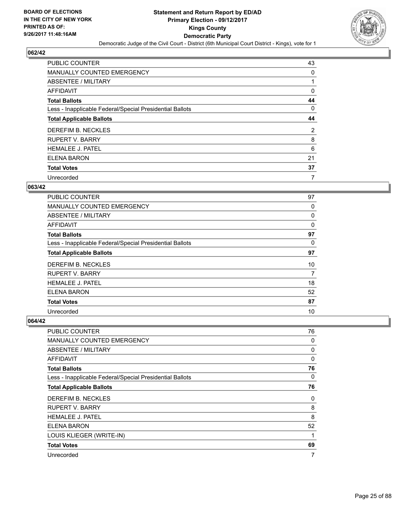

| PUBLIC COUNTER                                           | 43 |
|----------------------------------------------------------|----|
| MANUALLY COUNTED EMERGENCY                               | 0  |
| ABSENTEE / MILITARY                                      |    |
| AFFIDAVIT                                                | 0  |
| <b>Total Ballots</b>                                     | 44 |
| Less - Inapplicable Federal/Special Presidential Ballots | 0  |
| <b>Total Applicable Ballots</b>                          | 44 |
| DEREFIM B. NECKLES                                       | 2  |
| <b>RUPERT V. BARRY</b>                                   | 8  |
| <b>HEMALEE J. PATEL</b>                                  | 6  |
| ELENA BARON                                              | 21 |
| <b>Total Votes</b>                                       | 37 |
| Unrecorded                                               | 7  |

## **063/42**

| PUBLIC COUNTER                                           | 97       |
|----------------------------------------------------------|----------|
| <b>MANUALLY COUNTED EMERGENCY</b>                        | 0        |
| ABSENTEE / MILITARY                                      | 0        |
| AFFIDAVIT                                                | $\Omega$ |
| <b>Total Ballots</b>                                     | 97       |
| Less - Inapplicable Federal/Special Presidential Ballots | 0        |
| <b>Total Applicable Ballots</b>                          | 97       |
| DEREFIM B. NECKLES                                       | 10       |
| <b>RUPERT V. BARRY</b>                                   | 7        |
| <b>HEMALEE J. PATEL</b>                                  | 18       |
| ELENA BARON                                              | 52       |
| <b>Total Votes</b>                                       | 87       |
| Unrecorded                                               | 10       |

| PUBLIC COUNTER                                           | 76 |
|----------------------------------------------------------|----|
| MANUALLY COUNTED EMERGENCY                               | 0  |
| ABSENTEE / MILITARY                                      | 0  |
| AFFIDAVIT                                                | 0  |
| <b>Total Ballots</b>                                     | 76 |
| Less - Inapplicable Federal/Special Presidential Ballots | 0  |
| <b>Total Applicable Ballots</b>                          | 76 |
| DEREFIM B. NECKLES                                       | 0  |
| <b>RUPERT V. BARRY</b>                                   | 8  |
| <b>HEMALEE J. PATEL</b>                                  | 8  |
| ELENA BARON                                              | 52 |
| LOUIS KLIEGER (WRITE-IN)                                 | 1  |
| <b>Total Votes</b>                                       | 69 |
| Unrecorded                                               | 7  |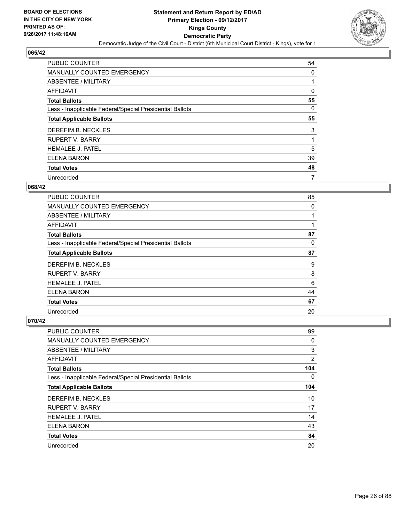

| <b>PUBLIC COUNTER</b>                                    | 54 |
|----------------------------------------------------------|----|
| MANUALLY COUNTED EMERGENCY                               | 0  |
| ABSENTEE / MILITARY                                      |    |
| AFFIDAVIT                                                | 0  |
| <b>Total Ballots</b>                                     | 55 |
| Less - Inapplicable Federal/Special Presidential Ballots | 0  |
| <b>Total Applicable Ballots</b>                          | 55 |
| DEREFIM B. NECKLES                                       | 3  |
| <b>RUPERT V. BARRY</b>                                   |    |
| <b>HEMALEE J. PATEL</b>                                  | 5  |
| ELENA BARON                                              | 39 |
| <b>Total Votes</b>                                       | 48 |
| Unrecorded                                               | 7  |

#### **068/42**

| <b>PUBLIC COUNTER</b>                                    | 85           |
|----------------------------------------------------------|--------------|
| <b>MANUALLY COUNTED EMERGENCY</b>                        | $\mathbf{0}$ |
| ABSENTEE / MILITARY                                      |              |
| <b>AFFIDAVIT</b>                                         |              |
| <b>Total Ballots</b>                                     | 87           |
| Less - Inapplicable Federal/Special Presidential Ballots | 0            |
| <b>Total Applicable Ballots</b>                          | 87           |
| DEREFIM B. NECKLES                                       | 9            |
| <b>RUPERT V. BARRY</b>                                   | 8            |
| <b>HEMALEE J. PATEL</b>                                  | 6            |
| <b>ELENA BARON</b>                                       | 44           |
| <b>Total Votes</b>                                       | 67           |
| Unrecorded                                               | 20           |

| PUBLIC COUNTER                                           | 99             |
|----------------------------------------------------------|----------------|
| <b>MANUALLY COUNTED EMERGENCY</b>                        | 0              |
| ABSENTEE / MILITARY                                      | 3              |
| <b>AFFIDAVIT</b>                                         | $\overline{2}$ |
| <b>Total Ballots</b>                                     | 104            |
| Less - Inapplicable Federal/Special Presidential Ballots | 0              |
| <b>Total Applicable Ballots</b>                          | 104            |
| DEREFIM B. NECKLES                                       | 10             |
| <b>RUPERT V. BARRY</b>                                   | 17             |
| <b>HEMALEE J. PATEL</b>                                  | 14             |
| <b>ELENA BARON</b>                                       | 43             |
| <b>Total Votes</b>                                       | 84             |
| Unrecorded                                               | 20             |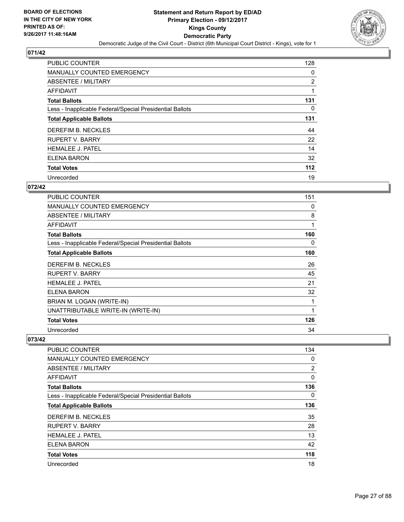

| <b>PUBLIC COUNTER</b>                                    | 128   |
|----------------------------------------------------------|-------|
| MANUALLY COUNTED EMERGENCY                               | 0     |
| ABSENTEE / MILITARY                                      | 2     |
| <b>AFFIDAVIT</b>                                         |       |
| <b>Total Ballots</b>                                     | 131   |
| Less - Inapplicable Federal/Special Presidential Ballots | 0     |
| <b>Total Applicable Ballots</b>                          | 131   |
| DEREFIM B. NECKLES                                       | 44    |
| <b>RUPERT V. BARRY</b>                                   | 22    |
| <b>HEMALEE J. PATEL</b>                                  | 14    |
| ELENA BARON                                              | 32    |
| <b>Total Votes</b>                                       | $112$ |
| Unrecorded                                               | 19    |

#### **072/42**

| <b>PUBLIC COUNTER</b>                                    | 151 |
|----------------------------------------------------------|-----|
| <b>MANUALLY COUNTED EMERGENCY</b>                        | 0   |
| ABSENTEE / MILITARY                                      | 8   |
| <b>AFFIDAVIT</b>                                         | 1   |
| <b>Total Ballots</b>                                     | 160 |
| Less - Inapplicable Federal/Special Presidential Ballots | 0   |
| <b>Total Applicable Ballots</b>                          | 160 |
| DEREFIM B. NECKLES                                       | 26  |
| <b>RUPERT V. BARRY</b>                                   | 45  |
| <b>HEMALEE J. PATEL</b>                                  | 21  |
| ELENA BARON                                              | 32  |
| BRIAN M. LOGAN (WRITE-IN)                                |     |
| UNATTRIBUTABLE WRITE-IN (WRITE-IN)                       | 1   |
| <b>Total Votes</b>                                       | 126 |
| Unrecorded                                               | 34  |

| PUBLIC COUNTER                                           | 134            |
|----------------------------------------------------------|----------------|
| <b>MANUALLY COUNTED EMERGENCY</b>                        | 0              |
| ABSENTEE / MILITARY                                      | $\overline{2}$ |
| <b>AFFIDAVIT</b>                                         | 0              |
| <b>Total Ballots</b>                                     | 136            |
| Less - Inapplicable Federal/Special Presidential Ballots | $\Omega$       |
| <b>Total Applicable Ballots</b>                          | 136            |
| DEREFIM B. NECKLES                                       | 35             |
| <b>RUPERT V. BARRY</b>                                   | 28             |
| <b>HEMALEE J. PATEL</b>                                  | 13             |
| ELENA BARON                                              | 42             |
| <b>Total Votes</b>                                       | 118            |
| Unrecorded                                               | 18             |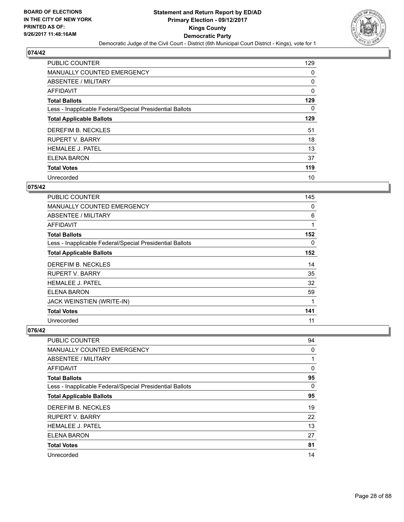

| <b>PUBLIC COUNTER</b>                                    | 129 |
|----------------------------------------------------------|-----|
| MANUALLY COUNTED EMERGENCY                               | 0   |
| ABSENTEE / MILITARY                                      | 0   |
| <b>AFFIDAVIT</b>                                         | 0   |
| <b>Total Ballots</b>                                     | 129 |
| Less - Inapplicable Federal/Special Presidential Ballots | 0   |
| <b>Total Applicable Ballots</b>                          | 129 |
| DEREFIM B. NECKLES                                       | 51  |
| <b>RUPERT V. BARRY</b>                                   | 18  |
| <b>HEMALEE J. PATEL</b>                                  | 13  |
| ELENA BARON                                              | 37  |
| <b>Total Votes</b>                                       | 119 |
| Unrecorded                                               | 10  |

#### **075/42**

| PUBLIC COUNTER                                           | 145 |
|----------------------------------------------------------|-----|
| <b>MANUALLY COUNTED EMERGENCY</b>                        | 0   |
| ABSENTEE / MILITARY                                      | 6   |
| AFFIDAVIT                                                | 1   |
| <b>Total Ballots</b>                                     | 152 |
| Less - Inapplicable Federal/Special Presidential Ballots | 0   |
| <b>Total Applicable Ballots</b>                          | 152 |
| DEREFIM B. NECKLES                                       | 14  |
| <b>RUPERT V. BARRY</b>                                   | 35  |
| <b>HEMALEE J. PATEL</b>                                  | 32  |
| ELENA BARON                                              | 59  |
| JACK WEINSTIEN (WRITE-IN)                                | 1   |
| <b>Total Votes</b>                                       | 141 |
| Unrecorded                                               | 11  |

| PUBLIC COUNTER                                           | 94 |
|----------------------------------------------------------|----|
| <b>MANUALLY COUNTED EMERGENCY</b>                        | 0  |
| ABSENTEE / MILITARY                                      |    |
| AFFIDAVIT                                                | 0  |
| <b>Total Ballots</b>                                     | 95 |
| Less - Inapplicable Federal/Special Presidential Ballots | 0  |
| <b>Total Applicable Ballots</b>                          | 95 |
| DEREFIM B. NECKLES                                       | 19 |
| <b>RUPERT V. BARRY</b>                                   | 22 |
| <b>HEMALEE J. PATEL</b>                                  | 13 |
| ELENA BARON                                              | 27 |
| <b>Total Votes</b>                                       | 81 |
| Unrecorded                                               | 14 |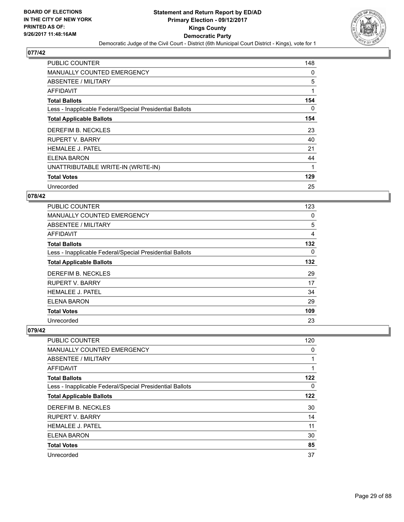

| <b>PUBLIC COUNTER</b>                                    | 148 |
|----------------------------------------------------------|-----|
| <b>MANUALLY COUNTED EMERGENCY</b>                        | 0   |
| ABSENTEE / MILITARY                                      | 5   |
| AFFIDAVIT                                                | 1   |
| <b>Total Ballots</b>                                     | 154 |
| Less - Inapplicable Federal/Special Presidential Ballots | 0   |
| <b>Total Applicable Ballots</b>                          | 154 |
| DEREFIM B. NECKLES                                       | 23  |
| <b>RUPERT V. BARRY</b>                                   | 40  |
| <b>HEMALEE J. PATEL</b>                                  | 21  |
| ELENA BARON                                              | 44  |
| UNATTRIBUTABLE WRITE-IN (WRITE-IN)                       | 1   |
| <b>Total Votes</b>                                       | 129 |
| Unrecorded                                               | 25  |

#### **078/42**

| <b>PUBLIC COUNTER</b>                                    | 123 |
|----------------------------------------------------------|-----|
| MANUALLY COUNTED EMERGENCY                               | 0   |
| ABSENTEE / MILITARY                                      | 5   |
| AFFIDAVIT                                                | 4   |
| <b>Total Ballots</b>                                     | 132 |
| Less - Inapplicable Federal/Special Presidential Ballots | 0   |
| <b>Total Applicable Ballots</b>                          | 132 |
| DEREFIM B. NECKLES                                       | 29  |
| <b>RUPERT V. BARRY</b>                                   | 17  |
| <b>HEMALEE J. PATEL</b>                                  | 34  |
| ELENA BARON                                              | 29  |
| <b>Total Votes</b>                                       | 109 |
| Unrecorded                                               | 23  |

| <b>PUBLIC COUNTER</b>                                    | 120 |
|----------------------------------------------------------|-----|
| <b>MANUALLY COUNTED EMERGENCY</b>                        | 0   |
| ABSENTEE / MILITARY                                      |     |
| AFFIDAVIT                                                |     |
| <b>Total Ballots</b>                                     | 122 |
| Less - Inapplicable Federal/Special Presidential Ballots | 0   |
| <b>Total Applicable Ballots</b>                          | 122 |
| DEREFIM B. NECKLES                                       | 30  |
| <b>RUPERT V. BARRY</b>                                   | 14  |
| <b>HEMALEE J. PATEL</b>                                  | 11  |
| <b>ELENA BARON</b>                                       | 30  |
| <b>Total Votes</b>                                       | 85  |
| Unrecorded                                               | 37  |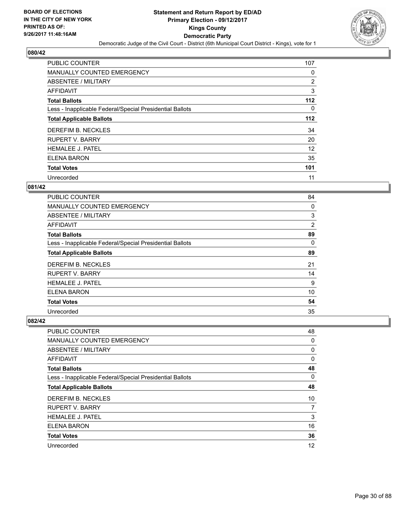

| <b>PUBLIC COUNTER</b>                                    | 107   |
|----------------------------------------------------------|-------|
| MANUALLY COUNTED EMERGENCY                               | 0     |
| ABSENTEE / MILITARY                                      | 2     |
| <b>AFFIDAVIT</b>                                         | 3     |
| <b>Total Ballots</b>                                     | $112$ |
| Less - Inapplicable Federal/Special Presidential Ballots | 0     |
| <b>Total Applicable Ballots</b>                          | $112$ |
| DEREFIM B. NECKLES                                       | 34    |
| <b>RUPERT V. BARRY</b>                                   | 20    |
| <b>HEMALEE J. PATEL</b>                                  | 12    |
| <b>ELENA BARON</b>                                       | 35    |
| <b>Total Votes</b>                                       | 101   |
| Unrecorded                                               | 11    |

#### **081/42**

| PUBLIC COUNTER                                           | 84       |
|----------------------------------------------------------|----------|
| <b>MANUALLY COUNTED EMERGENCY</b>                        | 0        |
| ABSENTEE / MILITARY                                      | 3        |
| <b>AFFIDAVIT</b>                                         | 2        |
| <b>Total Ballots</b>                                     | 89       |
| Less - Inapplicable Federal/Special Presidential Ballots | $\Omega$ |
| <b>Total Applicable Ballots</b>                          | 89       |
| DEREFIM B. NECKLES                                       | 21       |
| <b>RUPERT V. BARRY</b>                                   | 14       |
| <b>HEMALEE J. PATEL</b>                                  | 9        |
| ELENA BARON                                              | 10       |
| <b>Total Votes</b>                                       | 54       |
| Unrecorded                                               | 35       |

| <b>PUBLIC COUNTER</b>                                    | 48 |
|----------------------------------------------------------|----|
| <b>MANUALLY COUNTED EMERGENCY</b>                        | 0  |
| ABSENTEE / MILITARY                                      | 0  |
| AFFIDAVIT                                                | 0  |
| <b>Total Ballots</b>                                     | 48 |
| Less - Inapplicable Federal/Special Presidential Ballots | 0  |
| <b>Total Applicable Ballots</b>                          | 48 |
| DEREFIM B. NECKLES                                       | 10 |
| <b>RUPERT V. BARRY</b>                                   | 7  |
| <b>HEMALEE J. PATEL</b>                                  | 3  |
| <b>ELENA BARON</b>                                       | 16 |
| <b>Total Votes</b>                                       | 36 |
| Unrecorded                                               | 12 |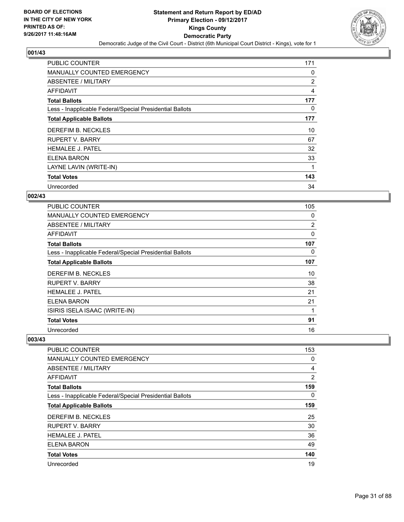

| <b>PUBLIC COUNTER</b>                                    | 171            |
|----------------------------------------------------------|----------------|
| MANUALLY COUNTED EMERGENCY                               | 0              |
| ABSENTEE / MILITARY                                      | 2              |
| AFFIDAVIT                                                | $\overline{4}$ |
| <b>Total Ballots</b>                                     | 177            |
| Less - Inapplicable Federal/Special Presidential Ballots | 0              |
| <b>Total Applicable Ballots</b>                          | 177            |
| DEREFIM B. NECKLES                                       | 10             |
| <b>RUPERT V. BARRY</b>                                   | 67             |
| <b>HEMALEE J. PATEL</b>                                  | 32             |
| ELENA BARON                                              | 33             |
| LAYNE LAVIN (WRITE-IN)                                   | 1              |
| <b>Total Votes</b>                                       | 143            |
| Unrecorded                                               | 34             |

#### **002/43**

| <b>PUBLIC COUNTER</b>                                    | 105 |
|----------------------------------------------------------|-----|
| <b>MANUALLY COUNTED EMERGENCY</b>                        | 0   |
| ABSENTEE / MILITARY                                      | 2   |
| <b>AFFIDAVIT</b>                                         | 0   |
| <b>Total Ballots</b>                                     | 107 |
| Less - Inapplicable Federal/Special Presidential Ballots | 0   |
| <b>Total Applicable Ballots</b>                          | 107 |
| DEREFIM B. NECKLES                                       | 10  |
| RUPERT V. BARRY                                          | 38  |
| <b>HEMALEE J. PATEL</b>                                  | 21  |
| ELENA BARON                                              | 21  |
| ISIRIS ISELA ISAAC (WRITE-IN)                            | 1   |
| <b>Total Votes</b>                                       | 91  |
| Unrecorded                                               | 16  |

| PUBLIC COUNTER                                           | 153            |
|----------------------------------------------------------|----------------|
| <b>MANUALLY COUNTED EMERGENCY</b>                        | 0              |
| ABSENTEE / MILITARY                                      | 4              |
| <b>AFFIDAVIT</b>                                         | $\overline{2}$ |
| <b>Total Ballots</b>                                     | 159            |
| Less - Inapplicable Federal/Special Presidential Ballots | 0              |
| <b>Total Applicable Ballots</b>                          | 159            |
| DEREFIM B. NECKLES                                       | 25             |
| <b>RUPERT V. BARRY</b>                                   | 30             |
| <b>HEMALEE J. PATEL</b>                                  | 36             |
| ELENA BARON                                              | 49             |
| <b>Total Votes</b>                                       | 140            |
| Unrecorded                                               | 19             |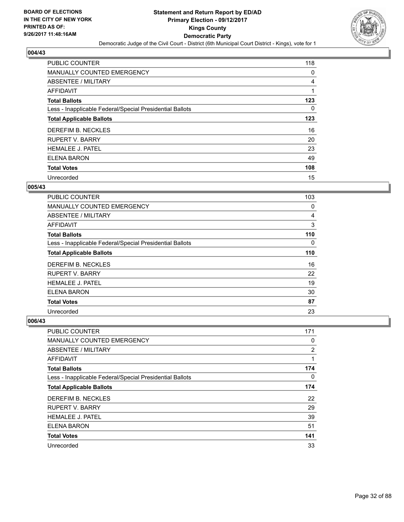

| <b>PUBLIC COUNTER</b>                                    | 118 |
|----------------------------------------------------------|-----|
| MANUALLY COUNTED EMERGENCY                               | 0   |
| ABSENTEE / MILITARY                                      | 4   |
| <b>AFFIDAVIT</b>                                         |     |
| <b>Total Ballots</b>                                     | 123 |
| Less - Inapplicable Federal/Special Presidential Ballots | 0   |
| <b>Total Applicable Ballots</b>                          | 123 |
| DEREFIM B. NECKLES                                       | 16  |
| <b>RUPERT V. BARRY</b>                                   | 20  |
| <b>HEMALEE J. PATEL</b>                                  | 23  |
| <b>ELENA BARON</b>                                       | 49  |
| <b>Total Votes</b>                                       | 108 |
| Unrecorded                                               | 15  |

#### **005/43**

| PUBLIC COUNTER                                           | 103 |
|----------------------------------------------------------|-----|
| <b>MANUALLY COUNTED EMERGENCY</b>                        | 0   |
| ABSENTEE / MILITARY                                      | 4   |
| AFFIDAVIT                                                | 3   |
| <b>Total Ballots</b>                                     | 110 |
| Less - Inapplicable Federal/Special Presidential Ballots | 0   |
| <b>Total Applicable Ballots</b>                          | 110 |
| DEREFIM B. NECKLES                                       | 16  |
| <b>RUPERT V. BARRY</b>                                   | 22  |
| <b>HEMALEE J. PATEL</b>                                  | 19  |
| <b>ELENA BARON</b>                                       | 30  |
| <b>Total Votes</b>                                       | 87  |
| Unrecorded                                               | 23  |

| <b>PUBLIC COUNTER</b>                                    | 171 |
|----------------------------------------------------------|-----|
| <b>MANUALLY COUNTED EMERGENCY</b>                        | 0   |
| ABSENTEE / MILITARY                                      | 2   |
| AFFIDAVIT                                                | 1   |
| <b>Total Ballots</b>                                     | 174 |
| Less - Inapplicable Federal/Special Presidential Ballots | 0   |
| <b>Total Applicable Ballots</b>                          | 174 |
| DEREFIM B. NECKLES                                       | 22  |
| <b>RUPERT V. BARRY</b>                                   | 29  |
| <b>HEMALEE J. PATEL</b>                                  | 39  |
| <b>ELENA BARON</b>                                       | 51  |
| <b>Total Votes</b>                                       | 141 |
| Unrecorded                                               | 33  |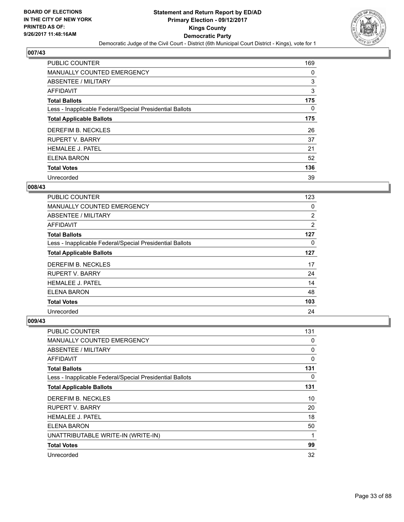

| <b>PUBLIC COUNTER</b>                                    | 169 |
|----------------------------------------------------------|-----|
| <b>MANUALLY COUNTED EMERGENCY</b>                        | 0   |
| ABSENTEE / MILITARY                                      | 3   |
| AFFIDAVIT                                                | 3   |
| <b>Total Ballots</b>                                     | 175 |
| Less - Inapplicable Federal/Special Presidential Ballots | 0   |
| <b>Total Applicable Ballots</b>                          | 175 |
| DEREFIM B. NECKLES                                       | 26  |
| <b>RUPERT V. BARRY</b>                                   | 37  |
| <b>HEMALEE J. PATEL</b>                                  | 21  |
| ELENA BARON                                              | 52  |
| <b>Total Votes</b>                                       | 136 |
| Unrecorded                                               | 39  |

#### **008/43**

| PUBLIC COUNTER                                           | 123            |
|----------------------------------------------------------|----------------|
| <b>MANUALLY COUNTED EMERGENCY</b>                        | 0              |
| ABSENTEE / MILITARY                                      | 2              |
| AFFIDAVIT                                                | $\overline{2}$ |
| <b>Total Ballots</b>                                     | 127            |
| Less - Inapplicable Federal/Special Presidential Ballots | 0              |
| <b>Total Applicable Ballots</b>                          | 127            |
| DEREFIM B. NECKLES                                       | 17             |
| <b>RUPERT V. BARRY</b>                                   | 24             |
| <b>HEMALEE J. PATEL</b>                                  | 14             |
| ELENA BARON                                              | 48             |
| <b>Total Votes</b>                                       | 103            |
| Unrecorded                                               | 24             |

| PUBLIC COUNTER                                           | 131          |
|----------------------------------------------------------|--------------|
| <b>MANUALLY COUNTED EMERGENCY</b>                        | 0            |
| ABSENTEE / MILITARY                                      | 0            |
| AFFIDAVIT                                                | $\mathbf{0}$ |
| <b>Total Ballots</b>                                     | 131          |
| Less - Inapplicable Federal/Special Presidential Ballots | 0            |
| <b>Total Applicable Ballots</b>                          | 131          |
| DEREFIM B. NECKLES                                       | 10           |
| <b>RUPERT V. BARRY</b>                                   | 20           |
| <b>HEMALEE J. PATEL</b>                                  | 18           |
| <b>ELENA BARON</b>                                       | 50           |
| UNATTRIBUTABLE WRITE-IN (WRITE-IN)                       | 1            |
| <b>Total Votes</b>                                       | 99           |
| Unrecorded                                               | 32           |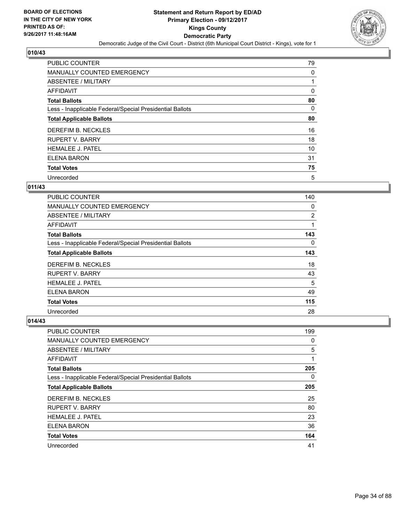

| PUBLIC COUNTER                                           | 79 |
|----------------------------------------------------------|----|
| MANUALLY COUNTED EMERGENCY                               | 0  |
| ABSENTEE / MILITARY                                      |    |
| AFFIDAVIT                                                | 0  |
| <b>Total Ballots</b>                                     | 80 |
| Less - Inapplicable Federal/Special Presidential Ballots | 0  |
| <b>Total Applicable Ballots</b>                          | 80 |
| DEREFIM B. NECKLES                                       | 16 |
| <b>RUPERT V. BARRY</b>                                   | 18 |
| <b>HEMALEE J. PATEL</b>                                  | 10 |
| ELENA BARON                                              | 31 |
| <b>Total Votes</b>                                       | 75 |
| Unrecorded                                               | 5  |

## **011/43**

| PUBLIC COUNTER                                           | 140 |
|----------------------------------------------------------|-----|
| <b>MANUALLY COUNTED EMERGENCY</b>                        | 0   |
| <b>ABSENTEE / MILITARY</b>                               | 2   |
| <b>AFFIDAVIT</b>                                         |     |
| <b>Total Ballots</b>                                     | 143 |
| Less - Inapplicable Federal/Special Presidential Ballots | 0   |
| <b>Total Applicable Ballots</b>                          | 143 |
| DEREFIM B. NECKLES                                       | 18  |
| <b>RUPERT V. BARRY</b>                                   | 43  |
| <b>HEMALEE J. PATEL</b>                                  | 5   |
| <b>ELENA BARON</b>                                       | 49  |
| <b>Total Votes</b>                                       | 115 |
| Unrecorded                                               | 28  |

| PUBLIC COUNTER                                           | 199 |
|----------------------------------------------------------|-----|
| MANUALLY COUNTED EMERGENCY                               | 0   |
| ABSENTEE / MILITARY                                      | 5   |
| AFFIDAVIT                                                | 1   |
| <b>Total Ballots</b>                                     | 205 |
| Less - Inapplicable Federal/Special Presidential Ballots | 0   |
| <b>Total Applicable Ballots</b>                          | 205 |
| DEREFIM B. NECKLES                                       | 25  |
| <b>RUPERT V. BARRY</b>                                   | 80  |
| <b>HEMALEE J. PATEL</b>                                  | 23  |
| <b>ELENA BARON</b>                                       | 36  |
| <b>Total Votes</b>                                       | 164 |
| Unrecorded                                               | 41  |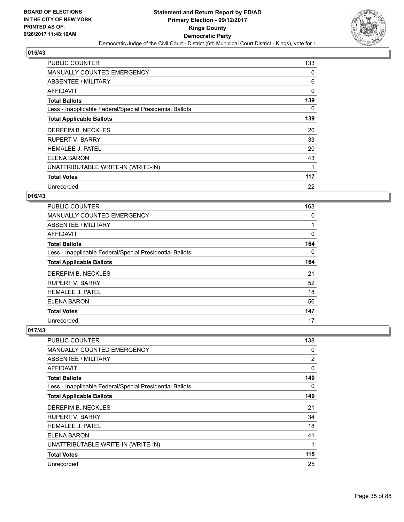

| <b>PUBLIC COUNTER</b>                                    | 133 |
|----------------------------------------------------------|-----|
| <b>MANUALLY COUNTED EMERGENCY</b>                        | 0   |
| ABSENTEE / MILITARY                                      | 6   |
| AFFIDAVIT                                                | 0   |
| <b>Total Ballots</b>                                     | 139 |
| Less - Inapplicable Federal/Special Presidential Ballots | 0   |
| <b>Total Applicable Ballots</b>                          | 139 |
| DEREFIM B. NECKLES                                       | 20  |
| <b>RUPERT V. BARRY</b>                                   | 33  |
| <b>HEMALEE J. PATEL</b>                                  | 20  |
| <b>ELENA BARON</b>                                       | 43  |
| UNATTRIBUTABLE WRITE-IN (WRITE-IN)                       |     |
| <b>Total Votes</b>                                       | 117 |
| Unrecorded                                               | 22  |

#### **016/43**

| PUBLIC COUNTER                                           | 163 |
|----------------------------------------------------------|-----|
| <b>MANUALLY COUNTED EMERGENCY</b>                        | 0   |
| ABSENTEE / MILITARY                                      | 1   |
| <b>AFFIDAVIT</b>                                         | 0   |
| <b>Total Ballots</b>                                     | 164 |
| Less - Inapplicable Federal/Special Presidential Ballots | 0   |
| <b>Total Applicable Ballots</b>                          | 164 |
| DEREFIM B. NECKLES                                       | 21  |
| <b>RUPERT V. BARRY</b>                                   | 52  |
| <b>HEMALEE J. PATEL</b>                                  | 18  |
| ELENA BARON                                              | 56  |
| <b>Total Votes</b>                                       | 147 |
| Unrecorded                                               | 17  |

| <b>PUBLIC COUNTER</b>                                    | 138 |
|----------------------------------------------------------|-----|
| <b>MANUALLY COUNTED EMERGENCY</b>                        | 0   |
| ABSENTEE / MILITARY                                      | 2   |
| AFFIDAVIT                                                | 0   |
| <b>Total Ballots</b>                                     | 140 |
| Less - Inapplicable Federal/Special Presidential Ballots | 0   |
| <b>Total Applicable Ballots</b>                          | 140 |
| DEREFIM B. NECKLES                                       | 21  |
| RUPERT V. BARRY                                          | 34  |
| <b>HEMALEE J. PATEL</b>                                  | 18  |
| <b>ELENA BARON</b>                                       | 41  |
| UNATTRIBUTABLE WRITE-IN (WRITE-IN)                       | 1   |
| <b>Total Votes</b>                                       | 115 |
| Unrecorded                                               | 25  |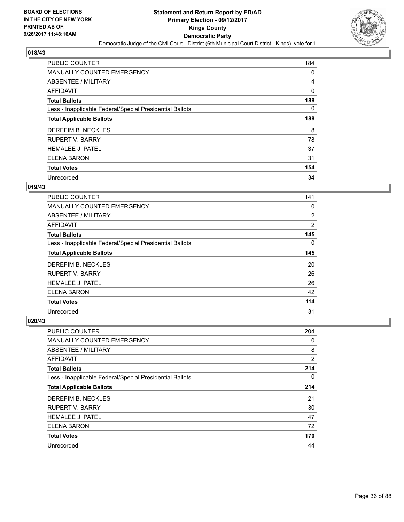

| <b>PUBLIC COUNTER</b>                                    | 184 |
|----------------------------------------------------------|-----|
| MANUALLY COUNTED EMERGENCY                               | 0   |
| ABSENTEE / MILITARY                                      | 4   |
| <b>AFFIDAVIT</b>                                         | 0   |
| <b>Total Ballots</b>                                     | 188 |
| Less - Inapplicable Federal/Special Presidential Ballots | 0   |
| <b>Total Applicable Ballots</b>                          | 188 |
| DEREFIM B. NECKLES                                       | 8   |
| <b>RUPERT V. BARRY</b>                                   | 78  |
| <b>HEMALEE J. PATEL</b>                                  | 37  |
| ELENA BARON                                              | 31  |
| <b>Total Votes</b>                                       | 154 |
| Unrecorded                                               | 34  |

#### **019/43**

| PUBLIC COUNTER                                           | 141 |
|----------------------------------------------------------|-----|
| <b>MANUALLY COUNTED EMERGENCY</b>                        | 0   |
| ABSENTEE / MILITARY                                      | 2   |
| <b>AFFIDAVIT</b>                                         | 2   |
| <b>Total Ballots</b>                                     | 145 |
| Less - Inapplicable Federal/Special Presidential Ballots | 0   |
| <b>Total Applicable Ballots</b>                          | 145 |
| DEREFIM B. NECKLES                                       | 20  |
| <b>RUPERT V. BARRY</b>                                   | 26  |
| <b>HEMALEE J. PATEL</b>                                  | 26  |
| ELENA BARON                                              | 42  |
| <b>Total Votes</b>                                       | 114 |
| Unrecorded                                               | 31  |

| <b>PUBLIC COUNTER</b>                                    | 204            |
|----------------------------------------------------------|----------------|
| MANUALLY COUNTED EMERGENCY                               | 0              |
| ABSENTEE / MILITARY                                      | 8              |
| AFFIDAVIT                                                | $\overline{2}$ |
| <b>Total Ballots</b>                                     | 214            |
| Less - Inapplicable Federal/Special Presidential Ballots | 0              |
| <b>Total Applicable Ballots</b>                          | 214            |
| DEREFIM B. NECKLES                                       | 21             |
| <b>RUPERT V. BARRY</b>                                   | 30             |
| <b>HEMALEE J. PATEL</b>                                  | 47             |
| ELENA BARON                                              | 72             |
| <b>Total Votes</b>                                       | 170            |
| Unrecorded                                               | 44             |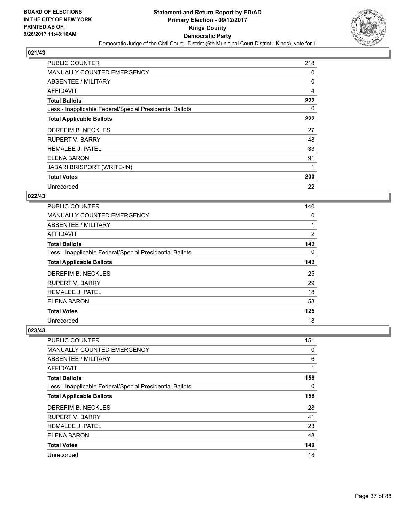

| <b>PUBLIC COUNTER</b>                                    | 218            |
|----------------------------------------------------------|----------------|
| <b>MANUALLY COUNTED EMERGENCY</b>                        | 0              |
| ABSENTEE / MILITARY                                      | 0              |
| <b>AFFIDAVIT</b>                                         | $\overline{4}$ |
| <b>Total Ballots</b>                                     | 222            |
| Less - Inapplicable Federal/Special Presidential Ballots | 0              |
| <b>Total Applicable Ballots</b>                          | 222            |
| DEREFIM B. NECKLES                                       | 27             |
| <b>RUPERT V. BARRY</b>                                   | 48             |
| <b>HEMALEE J. PATEL</b>                                  | 33             |
| ELENA BARON                                              | 91             |
| <b>JABARI BRISPORT (WRITE-IN)</b>                        | 1              |
| <b>Total Votes</b>                                       | 200            |
| Unrecorded                                               | 22             |

# **022/43**

| <b>PUBLIC COUNTER</b>                                    | 140 |
|----------------------------------------------------------|-----|
| <b>MANUALLY COUNTED EMERGENCY</b>                        | 0   |
| ABSENTEE / MILITARY                                      | 1   |
| AFFIDAVIT                                                | 2   |
| <b>Total Ballots</b>                                     | 143 |
| Less - Inapplicable Federal/Special Presidential Ballots | 0   |
| <b>Total Applicable Ballots</b>                          | 143 |
| DEREFIM B. NECKLES                                       | 25  |
| <b>RUPERT V. BARRY</b>                                   | 29  |
| <b>HEMALEE J. PATEL</b>                                  | 18  |
| <b>ELENA BARON</b>                                       | 53  |
| <b>Total Votes</b>                                       | 125 |
| Unrecorded                                               | 18  |

| <b>PUBLIC COUNTER</b>                                    | 151 |
|----------------------------------------------------------|-----|
| <b>MANUALLY COUNTED EMERGENCY</b>                        | 0   |
| ABSENTEE / MILITARY                                      | 6   |
| AFFIDAVIT                                                |     |
| <b>Total Ballots</b>                                     | 158 |
| Less - Inapplicable Federal/Special Presidential Ballots | 0   |
| <b>Total Applicable Ballots</b>                          | 158 |
| DEREFIM B. NECKLES                                       | 28  |
| <b>RUPERT V. BARRY</b>                                   | 41  |
| <b>HEMALEE J. PATEL</b>                                  | 23  |
| <b>ELENA BARON</b>                                       | 48  |
| <b>Total Votes</b>                                       | 140 |
| Unrecorded                                               | 18  |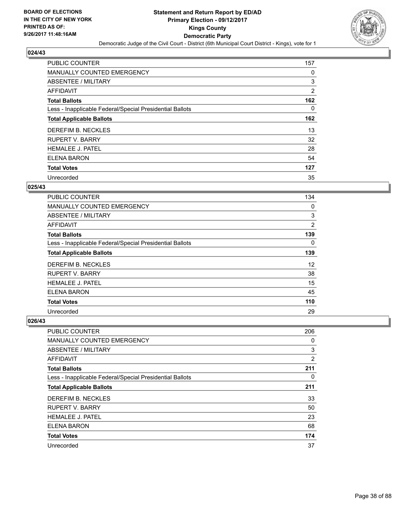

| <b>PUBLIC COUNTER</b>                                    | 157 |
|----------------------------------------------------------|-----|
| <b>MANUALLY COUNTED EMERGENCY</b>                        | 0   |
| ABSENTEE / MILITARY                                      | 3   |
| AFFIDAVIT                                                | 2   |
| <b>Total Ballots</b>                                     | 162 |
| Less - Inapplicable Federal/Special Presidential Ballots | 0   |
| <b>Total Applicable Ballots</b>                          | 162 |
| DEREFIM B. NECKLES                                       | 13  |
| <b>RUPERT V. BARRY</b>                                   | 32  |
| <b>HEMALEE J. PATEL</b>                                  | 28  |
| <b>ELENA BARON</b>                                       | 54  |
| <b>Total Votes</b>                                       | 127 |
| Unrecorded                                               | 35  |

# **025/43**

| <b>PUBLIC COUNTER</b>                                    | 134 |
|----------------------------------------------------------|-----|
| <b>MANUALLY COUNTED EMERGENCY</b>                        | 0   |
| ABSENTEE / MILITARY                                      | 3   |
| AFFIDAVIT                                                | 2   |
| <b>Total Ballots</b>                                     | 139 |
| Less - Inapplicable Federal/Special Presidential Ballots | 0   |
| <b>Total Applicable Ballots</b>                          | 139 |
| DEREFIM B. NECKLES                                       | 12  |
| <b>RUPERT V. BARRY</b>                                   | 38  |
| <b>HEMALEE J. PATEL</b>                                  | 15  |
| <b>ELENA BARON</b>                                       | 45  |
| <b>Total Votes</b>                                       | 110 |
| Unrecorded                                               | 29  |

| <b>PUBLIC COUNTER</b>                                    | 206            |
|----------------------------------------------------------|----------------|
| <b>MANUALLY COUNTED EMERGENCY</b>                        | 0              |
| ABSENTEE / MILITARY                                      | 3              |
| AFFIDAVIT                                                | $\overline{2}$ |
| <b>Total Ballots</b>                                     | 211            |
| Less - Inapplicable Federal/Special Presidential Ballots | 0              |
| <b>Total Applicable Ballots</b>                          | 211            |
| DEREFIM B. NECKLES                                       | 33             |
| <b>RUPERT V. BARRY</b>                                   | 50             |
| <b>HEMALEE J. PATEL</b>                                  | 23             |
| <b>ELENA BARON</b>                                       | 68             |
| <b>Total Votes</b>                                       | 174            |
| Unrecorded                                               | 37             |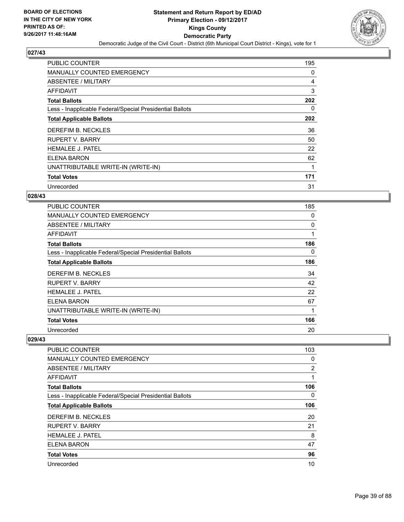

| <b>PUBLIC COUNTER</b>                                    | 195 |
|----------------------------------------------------------|-----|
| <b>MANUALLY COUNTED EMERGENCY</b>                        | 0   |
| ABSENTEE / MILITARY                                      | 4   |
| AFFIDAVIT                                                | 3   |
| <b>Total Ballots</b>                                     | 202 |
| Less - Inapplicable Federal/Special Presidential Ballots | 0   |
| <b>Total Applicable Ballots</b>                          | 202 |
| DEREFIM B. NECKLES                                       | 36  |
| <b>RUPERT V. BARRY</b>                                   | 50  |
| <b>HEMALEE J. PATEL</b>                                  | 22  |
| ELENA BARON                                              | 62  |
| UNATTRIBUTABLE WRITE-IN (WRITE-IN)                       | 1   |
| <b>Total Votes</b>                                       | 171 |
| Unrecorded                                               | 31  |

# **028/43**

| <b>PUBLIC COUNTER</b>                                    | 185 |
|----------------------------------------------------------|-----|
| <b>MANUALLY COUNTED EMERGENCY</b>                        | 0   |
| <b>ABSENTEE / MILITARY</b>                               | 0   |
| AFFIDAVIT                                                | 1   |
| <b>Total Ballots</b>                                     | 186 |
| Less - Inapplicable Federal/Special Presidential Ballots | 0   |
| <b>Total Applicable Ballots</b>                          | 186 |
| DEREFIM B. NECKLES                                       | 34  |
| RUPERT V. BARRY                                          | 42  |
| <b>HEMALEE J. PATEL</b>                                  | 22  |
| ELENA BARON                                              | 67  |
| UNATTRIBUTABLE WRITE-IN (WRITE-IN)                       | 1   |
| <b>Total Votes</b>                                       | 166 |
| Unrecorded                                               | 20  |

| <b>PUBLIC COUNTER</b>                                    | 103            |
|----------------------------------------------------------|----------------|
| <b>MANUALLY COUNTED EMERGENCY</b>                        | 0              |
| ABSENTEE / MILITARY                                      | $\overline{2}$ |
| <b>AFFIDAVIT</b>                                         | 1              |
| <b>Total Ballots</b>                                     | 106            |
| Less - Inapplicable Federal/Special Presidential Ballots | 0              |
| <b>Total Applicable Ballots</b>                          | 106            |
| DEREFIM B. NECKLES                                       | 20             |
| <b>RUPERT V. BARRY</b>                                   | 21             |
| <b>HEMALEE J. PATEL</b>                                  | 8              |
| ELENA BARON                                              | 47             |
| <b>Total Votes</b>                                       | 96             |
| Unrecorded                                               | 10             |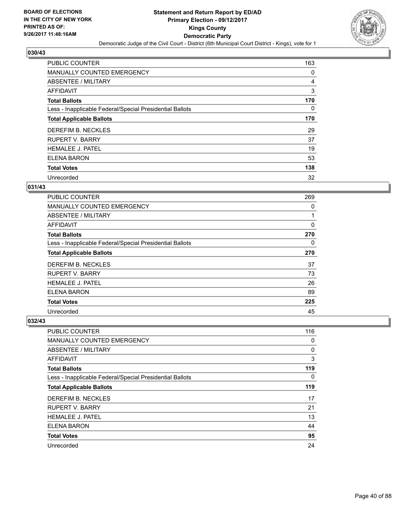

| <b>PUBLIC COUNTER</b>                                    | 163 |
|----------------------------------------------------------|-----|
| MANUALLY COUNTED EMERGENCY                               | 0   |
| ABSENTEE / MILITARY                                      | 4   |
| <b>AFFIDAVIT</b>                                         | 3   |
| <b>Total Ballots</b>                                     | 170 |
| Less - Inapplicable Federal/Special Presidential Ballots | 0   |
| <b>Total Applicable Ballots</b>                          | 170 |
| DEREFIM B. NECKLES                                       | 29  |
| <b>RUPERT V. BARRY</b>                                   | 37  |
| <b>HEMALEE J. PATEL</b>                                  | 19  |
| <b>ELENA BARON</b>                                       | 53  |
| <b>Total Votes</b>                                       | 138 |
| Unrecorded                                               | 32  |

# **031/43**

| <b>PUBLIC COUNTER</b>                                    | 269 |
|----------------------------------------------------------|-----|
| <b>MANUALLY COUNTED EMERGENCY</b>                        | 0   |
| ABSENTEE / MILITARY                                      | 1   |
| AFFIDAVIT                                                | 0   |
| <b>Total Ballots</b>                                     | 270 |
| Less - Inapplicable Federal/Special Presidential Ballots | 0   |
| <b>Total Applicable Ballots</b>                          | 270 |
| DEREFIM B. NECKLES                                       | 37  |
| <b>RUPERT V. BARRY</b>                                   | 73  |
| <b>HEMALEE J. PATEL</b>                                  | 26  |
| ELENA BARON                                              | 89  |
| <b>Total Votes</b>                                       | 225 |
| Unrecorded                                               | 45  |

| <b>PUBLIC COUNTER</b>                                    | 116 |
|----------------------------------------------------------|-----|
| <b>MANUALLY COUNTED EMERGENCY</b>                        | 0   |
| ABSENTEE / MILITARY                                      | 0   |
| AFFIDAVIT                                                | 3   |
| <b>Total Ballots</b>                                     | 119 |
| Less - Inapplicable Federal/Special Presidential Ballots | 0   |
| <b>Total Applicable Ballots</b>                          | 119 |
| DEREFIM B. NECKLES                                       | 17  |
| <b>RUPERT V. BARRY</b>                                   | 21  |
| <b>HEMALEE J. PATEL</b>                                  | 13  |
| <b>ELENA BARON</b>                                       | 44  |
| <b>Total Votes</b>                                       | 95  |
| Unrecorded                                               | 24  |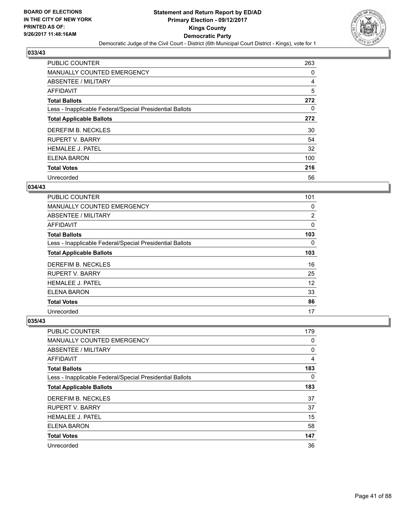

| <b>PUBLIC COUNTER</b>                                    | 263 |
|----------------------------------------------------------|-----|
| MANUALLY COUNTED EMERGENCY                               | 0   |
| ABSENTEE / MILITARY                                      | 4   |
| <b>AFFIDAVIT</b>                                         | 5   |
| <b>Total Ballots</b>                                     | 272 |
| Less - Inapplicable Federal/Special Presidential Ballots | 0   |
| <b>Total Applicable Ballots</b>                          | 272 |
| DEREFIM B. NECKLES                                       | 30  |
| <b>RUPERT V. BARRY</b>                                   | 54  |
| <b>HEMALEE J. PATEL</b>                                  | 32  |
| <b>ELENA BARON</b>                                       | 100 |
| <b>Total Votes</b>                                       | 216 |
| Unrecorded                                               | 56  |

## **034/43**

| <b>PUBLIC COUNTER</b>                                    | 101 |
|----------------------------------------------------------|-----|
| <b>MANUALLY COUNTED EMERGENCY</b>                        | 0   |
| ABSENTEE / MILITARY                                      | 2   |
| <b>AFFIDAVIT</b>                                         | 0   |
| <b>Total Ballots</b>                                     | 103 |
| Less - Inapplicable Federal/Special Presidential Ballots | 0   |
| <b>Total Applicable Ballots</b>                          | 103 |
| DEREFIM B. NECKLES                                       | 16  |
| <b>RUPERT V. BARRY</b>                                   | 25  |
| <b>HEMALEE J. PATEL</b>                                  | 12  |
| ELENA BARON                                              | 33  |
| <b>Total Votes</b>                                       | 86  |
| Unrecorded                                               | 17  |

| <b>PUBLIC COUNTER</b>                                    | 179 |
|----------------------------------------------------------|-----|
| <b>MANUALLY COUNTED EMERGENCY</b>                        | 0   |
| ABSENTEE / MILITARY                                      | 0   |
| AFFIDAVIT                                                | 4   |
| <b>Total Ballots</b>                                     | 183 |
| Less - Inapplicable Federal/Special Presidential Ballots | 0   |
| <b>Total Applicable Ballots</b>                          | 183 |
| DEREFIM B. NECKLES                                       | 37  |
| <b>RUPERT V. BARRY</b>                                   | 37  |
| <b>HEMALEE J. PATEL</b>                                  | 15  |
| <b>ELENA BARON</b>                                       | 58  |
| <b>Total Votes</b>                                       | 147 |
| Unrecorded                                               | 36  |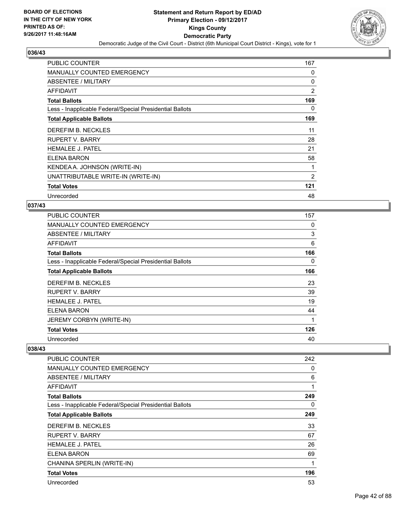

| <b>PUBLIC COUNTER</b>                                    | 167 |
|----------------------------------------------------------|-----|
| <b>MANUALLY COUNTED EMERGENCY</b>                        | 0   |
| ABSENTEE / MILITARY                                      | 0   |
| <b>AFFIDAVIT</b>                                         | 2   |
| <b>Total Ballots</b>                                     | 169 |
| Less - Inapplicable Federal/Special Presidential Ballots | 0   |
| <b>Total Applicable Ballots</b>                          | 169 |
| DEREFIM B. NECKLES                                       | 11  |
| RUPERT V. BARRY                                          | 28  |
| <b>HEMALEE J. PATEL</b>                                  | 21  |
| <b>ELENA BARON</b>                                       | 58  |
| KENDEA A. JOHNSON (WRITE-IN)                             | 1   |
| UNATTRIBUTABLE WRITE-IN (WRITE-IN)                       | 2   |
| <b>Total Votes</b>                                       | 121 |
| Unrecorded                                               | 48  |

# **037/43**

| PUBLIC COUNTER                                           | 157 |
|----------------------------------------------------------|-----|
| MANUALLY COUNTED EMERGENCY                               | 0   |
| ABSENTEE / MILITARY                                      | 3   |
| AFFIDAVIT                                                | 6   |
| <b>Total Ballots</b>                                     | 166 |
| Less - Inapplicable Federal/Special Presidential Ballots | 0   |
| <b>Total Applicable Ballots</b>                          | 166 |
| DEREFIM B. NECKLES                                       | 23  |
| RUPERT V. BARRY                                          | 39  |
| <b>HEMALEE J. PATEL</b>                                  | 19  |
| <b>ELENA BARON</b>                                       | 44  |
| JEREMY CORBYN (WRITE-IN)                                 | 1   |
| <b>Total Votes</b>                                       | 126 |
| Unrecorded                                               | 40  |

| <b>PUBLIC COUNTER</b>                                    | 242 |
|----------------------------------------------------------|-----|
| <b>MANUALLY COUNTED EMERGENCY</b>                        | 0   |
| ABSENTEE / MILITARY                                      | 6   |
| AFFIDAVIT                                                | 1   |
| <b>Total Ballots</b>                                     | 249 |
| Less - Inapplicable Federal/Special Presidential Ballots | 0   |
| <b>Total Applicable Ballots</b>                          | 249 |
| DEREFIM B. NECKLES                                       | 33  |
| <b>RUPERT V. BARRY</b>                                   | 67  |
| <b>HEMALEE J. PATEL</b>                                  | 26  |
| <b>ELENA BARON</b>                                       | 69  |
| CHANINA SPERLIN (WRITE-IN)                               | 1   |
| <b>Total Votes</b>                                       | 196 |
| Unrecorded                                               | 53  |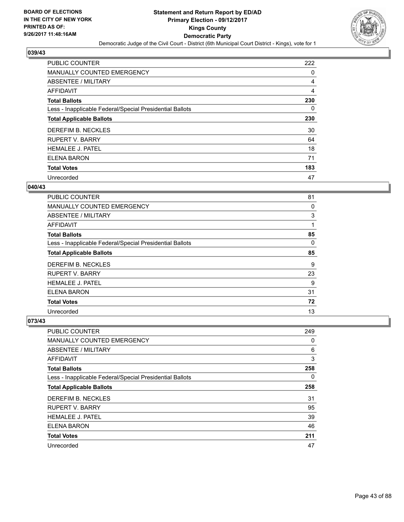

| <b>PUBLIC COUNTER</b>                                    | 222 |
|----------------------------------------------------------|-----|
| MANUALLY COUNTED EMERGENCY                               | 0   |
| ABSENTEE / MILITARY                                      | 4   |
| <b>AFFIDAVIT</b>                                         | 4   |
| <b>Total Ballots</b>                                     | 230 |
| Less - Inapplicable Federal/Special Presidential Ballots | 0   |
| <b>Total Applicable Ballots</b>                          | 230 |
| DEREFIM B. NECKLES                                       | 30  |
| <b>RUPERT V. BARRY</b>                                   | 64  |
| <b>HEMALEE J. PATEL</b>                                  | 18  |
| <b>ELENA BARON</b>                                       | 71  |
| <b>Total Votes</b>                                       | 183 |
| Unrecorded                                               | 47  |

## **040/43**

| <b>PUBLIC COUNTER</b>                                    | 81 |
|----------------------------------------------------------|----|
| <b>MANUALLY COUNTED EMERGENCY</b>                        | 0  |
| ABSENTEE / MILITARY                                      | 3  |
| AFFIDAVIT                                                | 1  |
| <b>Total Ballots</b>                                     | 85 |
| Less - Inapplicable Federal/Special Presidential Ballots | 0  |
| <b>Total Applicable Ballots</b>                          | 85 |
| DEREFIM B. NECKLES                                       | 9  |
| <b>RUPERT V. BARRY</b>                                   | 23 |
| <b>HEMALEE J. PATEL</b>                                  | 9  |
| ELENA BARON                                              | 31 |
| <b>Total Votes</b>                                       | 72 |
| Unrecorded                                               | 13 |

| <b>PUBLIC COUNTER</b>                                    | 249 |
|----------------------------------------------------------|-----|
| <b>MANUALLY COUNTED EMERGENCY</b>                        | 0   |
| ABSENTEE / MILITARY                                      | 6   |
| AFFIDAVIT                                                | 3   |
| <b>Total Ballots</b>                                     | 258 |
| Less - Inapplicable Federal/Special Presidential Ballots | 0   |
| <b>Total Applicable Ballots</b>                          | 258 |
| DEREFIM B. NECKLES                                       | 31  |
| <b>RUPERT V. BARRY</b>                                   | 95  |
| <b>HEMALEE J. PATEL</b>                                  | 39  |
| <b>ELENA BARON</b>                                       | 46  |
| <b>Total Votes</b>                                       | 211 |
| Unrecorded                                               | 47  |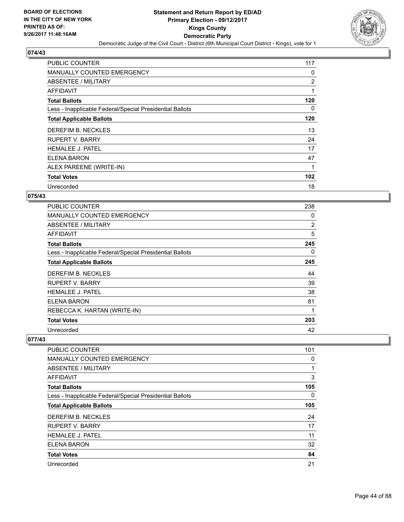

| <b>PUBLIC COUNTER</b>                                    | 117            |
|----------------------------------------------------------|----------------|
| <b>MANUALLY COUNTED EMERGENCY</b>                        | 0              |
| ABSENTEE / MILITARY                                      | $\overline{2}$ |
| AFFIDAVIT                                                | 1              |
| <b>Total Ballots</b>                                     | 120            |
| Less - Inapplicable Federal/Special Presidential Ballots | 0              |
| <b>Total Applicable Ballots</b>                          | 120            |
| DEREFIM B. NECKLES                                       | 13             |
| <b>RUPERT V. BARRY</b>                                   | 24             |
| <b>HEMALEE J. PATEL</b>                                  | 17             |
| ELENA BARON                                              | 47             |
| ALEX PAREENE (WRITE-IN)                                  | 1              |
| <b>Total Votes</b>                                       | 102            |
| Unrecorded                                               | 18             |

# **075/43**

| <b>PUBLIC COUNTER</b>                                    | 238            |
|----------------------------------------------------------|----------------|
| <b>MANUALLY COUNTED EMERGENCY</b>                        | 0              |
| ABSENTEE / MILITARY                                      | $\overline{2}$ |
| <b>AFFIDAVIT</b>                                         | 5              |
| <b>Total Ballots</b>                                     | 245            |
| Less - Inapplicable Federal/Special Presidential Ballots | 0              |
| <b>Total Applicable Ballots</b>                          | 245            |
| DEREFIM B. NECKLES                                       | 44             |
| <b>RUPERT V. BARRY</b>                                   | 39             |
| HEMALEE J. PATEL                                         | 38             |
| ELENA BARON                                              | 81             |
| REBECCA K. HARTAN (WRITE-IN)                             | 1              |
| <b>Total Votes</b>                                       | 203            |
| Unrecorded                                               | 42             |

| <b>PUBLIC COUNTER</b>                                    | 101 |
|----------------------------------------------------------|-----|
| <b>MANUALLY COUNTED EMERGENCY</b>                        | 0   |
| ABSENTEE / MILITARY                                      |     |
| <b>AFFIDAVIT</b>                                         | 3   |
| <b>Total Ballots</b>                                     | 105 |
| Less - Inapplicable Federal/Special Presidential Ballots | 0   |
| <b>Total Applicable Ballots</b>                          | 105 |
| DEREFIM B. NECKLES                                       | 24  |
| <b>RUPERT V. BARRY</b>                                   | 17  |
| <b>HEMALEE J. PATEL</b>                                  | 11  |
| ELENA BARON                                              | 32  |
| <b>Total Votes</b>                                       | 84  |
| Unrecorded                                               | 21  |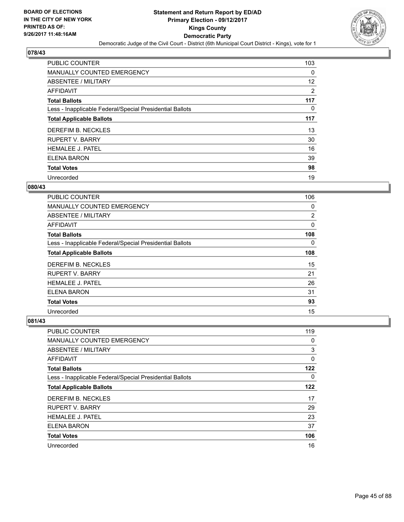

| <b>PUBLIC COUNTER</b>                                    | 103 |
|----------------------------------------------------------|-----|
| MANUALLY COUNTED EMERGENCY                               | 0   |
| ABSENTEE / MILITARY                                      | 12  |
| AFFIDAVIT                                                | 2   |
| <b>Total Ballots</b>                                     | 117 |
| Less - Inapplicable Federal/Special Presidential Ballots | 0   |
| <b>Total Applicable Ballots</b>                          | 117 |
| DEREFIM B. NECKLES                                       | 13  |
| <b>RUPERT V. BARRY</b>                                   | 30  |
| <b>HEMALEE J. PATEL</b>                                  | 16  |
| <b>ELENA BARON</b>                                       | 39  |
| <b>Total Votes</b>                                       | 98  |
| Unrecorded                                               | 19  |

## **080/43**

| <b>PUBLIC COUNTER</b>                                    | 106      |
|----------------------------------------------------------|----------|
| <b>MANUALLY COUNTED EMERGENCY</b>                        | 0        |
| ABSENTEE / MILITARY                                      | 2        |
| AFFIDAVIT                                                | 0        |
| <b>Total Ballots</b>                                     | 108      |
| Less - Inapplicable Federal/Special Presidential Ballots | $\Omega$ |
| <b>Total Applicable Ballots</b>                          | 108      |
| DEREFIM B. NECKLES                                       | 15       |
| <b>RUPERT V. BARRY</b>                                   | 21       |
| <b>HEMALEE J. PATEL</b>                                  | 26       |
| ELENA BARON                                              | 31       |
| <b>Total Votes</b>                                       | 93       |
| Unrecorded                                               | 15       |

| <b>PUBLIC COUNTER</b>                                    | 119 |
|----------------------------------------------------------|-----|
| <b>MANUALLY COUNTED EMERGENCY</b>                        | 0   |
| ABSENTEE / MILITARY                                      | 3   |
| AFFIDAVIT                                                | 0   |
| <b>Total Ballots</b>                                     | 122 |
| Less - Inapplicable Federal/Special Presidential Ballots | 0   |
| <b>Total Applicable Ballots</b>                          | 122 |
| DEREFIM B. NECKLES                                       | 17  |
| <b>RUPERT V. BARRY</b>                                   | 29  |
| <b>HEMALEE J. PATEL</b>                                  | 23  |
| <b>ELENA BARON</b>                                       | 37  |
| <b>Total Votes</b>                                       | 106 |
| Unrecorded                                               | 16  |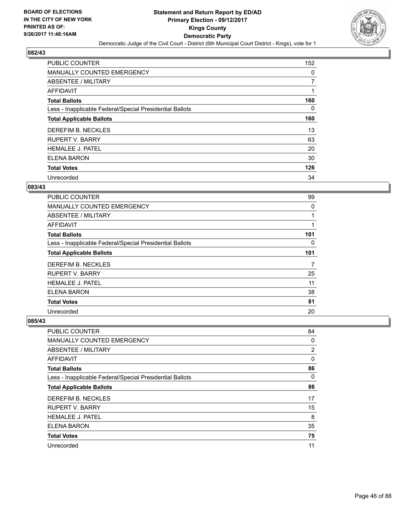

| <b>PUBLIC COUNTER</b>                                    | 152            |
|----------------------------------------------------------|----------------|
| <b>MANUALLY COUNTED EMERGENCY</b>                        | 0              |
| ABSENTEE / MILITARY                                      | $\overline{7}$ |
| AFFIDAVIT                                                |                |
| <b>Total Ballots</b>                                     | 160            |
| Less - Inapplicable Federal/Special Presidential Ballots | 0              |
| <b>Total Applicable Ballots</b>                          | 160            |
| DEREFIM B. NECKLES                                       | 13             |
| <b>RUPERT V. BARRY</b>                                   | 63             |
| <b>HEMALEE J. PATEL</b>                                  | 20             |
| <b>ELENA BARON</b>                                       | 30             |
| <b>Total Votes</b>                                       | 126            |
| Unrecorded                                               | 34             |

# **083/43**

| <b>PUBLIC COUNTER</b>                                    | 99  |
|----------------------------------------------------------|-----|
| <b>MANUALLY COUNTED EMERGENCY</b>                        | 0   |
| ABSENTEE / MILITARY                                      |     |
| <b>AFFIDAVIT</b>                                         |     |
| <b>Total Ballots</b>                                     | 101 |
| Less - Inapplicable Federal/Special Presidential Ballots | 0   |
| <b>Total Applicable Ballots</b>                          | 101 |
| DEREFIM B. NECKLES                                       | 7   |
| <b>RUPERT V. BARRY</b>                                   | 25  |
| <b>HEMALEE J. PATEL</b>                                  | 11  |
| ELENA BARON                                              | 38  |
| <b>Total Votes</b>                                       | 81  |
| Unrecorded                                               | 20  |

| <b>PUBLIC COUNTER</b>                                    | 84 |
|----------------------------------------------------------|----|
| MANUALLY COUNTED EMERGENCY                               | 0  |
| ABSENTEE / MILITARY                                      | 2  |
| AFFIDAVIT                                                | 0  |
| <b>Total Ballots</b>                                     | 86 |
| Less - Inapplicable Federal/Special Presidential Ballots | 0  |
| <b>Total Applicable Ballots</b>                          | 86 |
| DEREFIM B. NECKLES                                       | 17 |
| <b>RUPERT V. BARRY</b>                                   | 15 |
| <b>HEMALEE J. PATEL</b>                                  | 8  |
| <b>ELENA BARON</b>                                       | 35 |
| <b>Total Votes</b>                                       | 75 |
| Unrecorded                                               | 11 |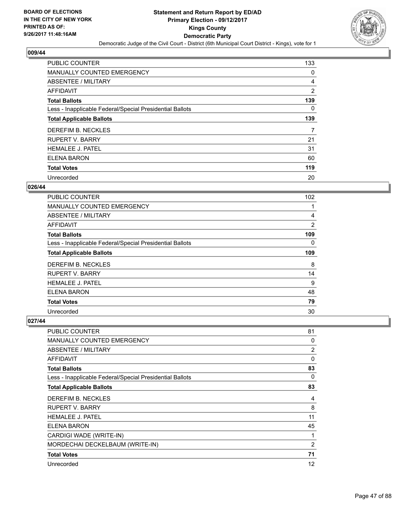

| <b>PUBLIC COUNTER</b>                                    | 133 |
|----------------------------------------------------------|-----|
| MANUALLY COUNTED EMERGENCY                               | 0   |
| ABSENTEE / MILITARY                                      | 4   |
| <b>AFFIDAVIT</b>                                         | 2   |
| <b>Total Ballots</b>                                     | 139 |
| Less - Inapplicable Federal/Special Presidential Ballots | 0   |
| <b>Total Applicable Ballots</b>                          | 139 |
| DEREFIM B. NECKLES                                       | 7   |
| <b>RUPERT V. BARRY</b>                                   | 21  |
| <b>HEMALEE J. PATEL</b>                                  | 31  |
| <b>ELENA BARON</b>                                       | 60  |
| <b>Total Votes</b>                                       | 119 |
| Unrecorded                                               | 20  |

## **026/44**

| <b>PUBLIC COUNTER</b>                                    | 102            |
|----------------------------------------------------------|----------------|
| MANUALLY COUNTED EMERGENCY                               |                |
| ABSENTEE / MILITARY                                      | 4              |
| <b>AFFIDAVIT</b>                                         | $\overline{2}$ |
| <b>Total Ballots</b>                                     | 109            |
| Less - Inapplicable Federal/Special Presidential Ballots | 0              |
| <b>Total Applicable Ballots</b>                          | 109            |
| DEREFIM B. NECKLES                                       | 8              |
| <b>RUPERT V. BARRY</b>                                   | 14             |
| <b>HEMALEE J. PATEL</b>                                  | 9              |
| <b>ELENA BARON</b>                                       | 48             |
| <b>Total Votes</b>                                       | 79             |
| Unrecorded                                               | 30             |

| <b>PUBLIC COUNTER</b>                                    | 81             |
|----------------------------------------------------------|----------------|
| MANUALLY COUNTED EMERGENCY                               | 0              |
| <b>ABSENTEE / MILITARY</b>                               | 2              |
| <b>AFFIDAVIT</b>                                         | 0              |
| <b>Total Ballots</b>                                     | 83             |
| Less - Inapplicable Federal/Special Presidential Ballots | 0              |
| <b>Total Applicable Ballots</b>                          | 83             |
| DEREFIM B. NECKLES                                       | 4              |
| <b>RUPERT V. BARRY</b>                                   | 8              |
| <b>HEMALEE J. PATEL</b>                                  | 11             |
| ELENA BARON                                              | 45             |
| CARDIGI WADE (WRITE-IN)                                  | 1              |
| MORDECHAI DECKELBAUM (WRITE-IN)                          | $\overline{2}$ |
| <b>Total Votes</b>                                       | 71             |
| Unrecorded                                               | 12             |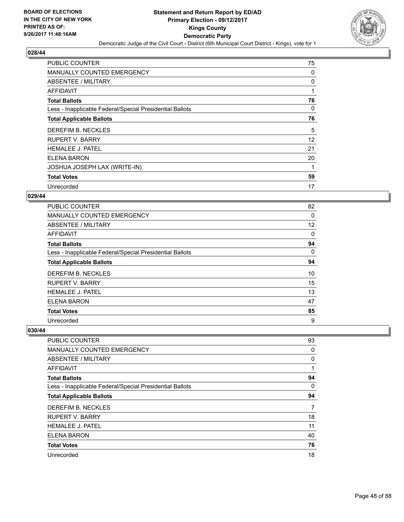

| PUBLIC COUNTER                                           | 75          |
|----------------------------------------------------------|-------------|
| MANUALLY COUNTED EMERGENCY                               | 0           |
| ABSENTEE / MILITARY                                      | 0           |
| AFFIDAVIT                                                | $\mathbf 1$ |
| <b>Total Ballots</b>                                     | 76          |
| Less - Inapplicable Federal/Special Presidential Ballots | 0           |
| <b>Total Applicable Ballots</b>                          | 76          |
| DEREFIM B. NECKLES                                       | 5           |
| <b>RUPERT V. BARRY</b>                                   | 12          |
| <b>HEMALEE J. PATEL</b>                                  | 21          |
| ELENA BARON                                              | 20          |
| JOSHUA JOSEPH LAX (WRITE-IN)                             |             |
| <b>Total Votes</b>                                       | 59          |
| Unrecorded                                               | 17          |

# **029/44**

| <b>PUBLIC COUNTER</b>                                    | 82 |
|----------------------------------------------------------|----|
| <b>MANUALLY COUNTED EMERGENCY</b>                        | 0  |
| ABSENTEE / MILITARY                                      | 12 |
| <b>AFFIDAVIT</b>                                         | 0  |
| <b>Total Ballots</b>                                     | 94 |
| Less - Inapplicable Federal/Special Presidential Ballots | 0  |
| <b>Total Applicable Ballots</b>                          | 94 |
| DEREFIM B. NECKLES                                       | 10 |
| <b>RUPERT V. BARRY</b>                                   | 15 |
| <b>HEMALEE J. PATEL</b>                                  | 13 |
| ELENA BARON                                              | 47 |
| <b>Total Votes</b>                                       | 85 |
| Unrecorded                                               | 9  |

| <b>PUBLIC COUNTER</b>                                    | 93 |
|----------------------------------------------------------|----|
| <b>MANUALLY COUNTED EMERGENCY</b>                        | 0  |
| ABSENTEE / MILITARY                                      | 0  |
| AFFIDAVIT                                                |    |
| <b>Total Ballots</b>                                     | 94 |
| Less - Inapplicable Federal/Special Presidential Ballots | 0  |
| <b>Total Applicable Ballots</b>                          | 94 |
| DEREFIM B. NECKLES                                       | 7  |
| <b>RUPERT V. BARRY</b>                                   | 18 |
| <b>HEMALEE J. PATEL</b>                                  | 11 |
| <b>ELENA BARON</b>                                       | 40 |
| <b>Total Votes</b>                                       | 76 |
| Unrecorded                                               | 18 |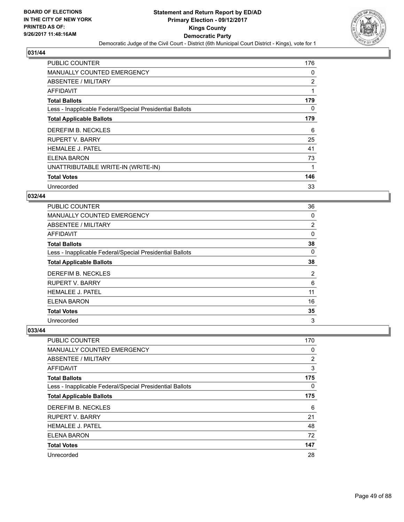

| <b>PUBLIC COUNTER</b>                                    | 176            |
|----------------------------------------------------------|----------------|
| <b>MANUALLY COUNTED EMERGENCY</b>                        | 0              |
| ABSENTEE / MILITARY                                      | $\overline{2}$ |
| AFFIDAVIT                                                | 1              |
| <b>Total Ballots</b>                                     | 179            |
| Less - Inapplicable Federal/Special Presidential Ballots | 0              |
| <b>Total Applicable Ballots</b>                          | 179            |
| DEREFIM B. NECKLES                                       | 6              |
| <b>RUPERT V. BARRY</b>                                   | 25             |
| <b>HEMALEE J. PATEL</b>                                  | 41             |
| <b>ELENA BARON</b>                                       | 73             |
| UNATTRIBUTABLE WRITE-IN (WRITE-IN)                       | 1              |
| <b>Total Votes</b>                                       | 146            |
| Unrecorded                                               | 33             |

# **032/44**

| <b>PUBLIC COUNTER</b>                                    | 36             |
|----------------------------------------------------------|----------------|
| <b>MANUALLY COUNTED EMERGENCY</b>                        | 0              |
| ABSENTEE / MILITARY                                      | 2              |
| <b>AFFIDAVIT</b>                                         | 0              |
| <b>Total Ballots</b>                                     | 38             |
| Less - Inapplicable Federal/Special Presidential Ballots | 0              |
| <b>Total Applicable Ballots</b>                          | 38             |
| DEREFIM B. NECKLES                                       | $\overline{2}$ |
| <b>RUPERT V. BARRY</b>                                   | 6              |
| <b>HEMALEE J. PATEL</b>                                  | 11             |
| <b>ELENA BARON</b>                                       | 16             |
| <b>Total Votes</b>                                       | 35             |
| Unrecorded                                               | 3              |

| <b>PUBLIC COUNTER</b>                                    | 170 |
|----------------------------------------------------------|-----|
| <b>MANUALLY COUNTED EMERGENCY</b>                        | 0   |
| ABSENTEE / MILITARY                                      | 2   |
| AFFIDAVIT                                                | 3   |
| <b>Total Ballots</b>                                     | 175 |
| Less - Inapplicable Federal/Special Presidential Ballots | 0   |
| <b>Total Applicable Ballots</b>                          | 175 |
| DEREFIM B. NECKLES                                       | 6   |
| <b>RUPERT V. BARRY</b>                                   | 21  |
| <b>HEMALEE J. PATEL</b>                                  | 48  |
| <b>ELENA BARON</b>                                       | 72  |
| <b>Total Votes</b>                                       | 147 |
| Unrecorded                                               | 28  |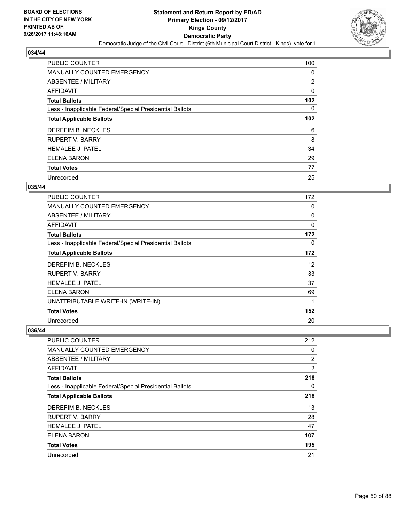

| <b>PUBLIC COUNTER</b>                                    | 100              |
|----------------------------------------------------------|------------------|
| MANUALLY COUNTED EMERGENCY                               | 0                |
| ABSENTEE / MILITARY                                      | $\overline{2}$   |
| AFFIDAVIT                                                | 0                |
| <b>Total Ballots</b>                                     | 102              |
| Less - Inapplicable Federal/Special Presidential Ballots | 0                |
| <b>Total Applicable Ballots</b>                          | 102 <sub>2</sub> |
| DEREFIM B. NECKLES                                       | 6                |
| <b>RUPERT V. BARRY</b>                                   | 8                |
| <b>HEMALEE J. PATEL</b>                                  | 34               |
| <b>ELENA BARON</b>                                       | 29               |
| <b>Total Votes</b>                                       | 77               |
| Unrecorded                                               | 25               |

# **035/44**

| <b>PUBLIC COUNTER</b>                                    | 172         |
|----------------------------------------------------------|-------------|
| <b>MANUALLY COUNTED EMERGENCY</b>                        | 0           |
| <b>ABSENTEE / MILITARY</b>                               | 0           |
| AFFIDAVIT                                                | $\mathbf 0$ |
| <b>Total Ballots</b>                                     | 172         |
| Less - Inapplicable Federal/Special Presidential Ballots | 0           |
| <b>Total Applicable Ballots</b>                          | 172         |
| DEREFIM B. NECKLES                                       | 12          |
| <b>RUPERT V. BARRY</b>                                   | 33          |
| <b>HEMALEE J. PATEL</b>                                  | 37          |
| <b>ELENA BARON</b>                                       | 69          |
| UNATTRIBUTABLE WRITE-IN (WRITE-IN)                       | 1           |
| <b>Total Votes</b>                                       | 152         |
| Unrecorded                                               | 20          |

| <b>PUBLIC COUNTER</b>                                    | 212 |
|----------------------------------------------------------|-----|
| <b>MANUALLY COUNTED EMERGENCY</b>                        | 0   |
| ABSENTEE / MILITARY                                      | 2   |
| AFFIDAVIT                                                | 2   |
| <b>Total Ballots</b>                                     | 216 |
| Less - Inapplicable Federal/Special Presidential Ballots | 0   |
| <b>Total Applicable Ballots</b>                          | 216 |
| DEREFIM B. NECKLES                                       | 13  |
| <b>RUPERT V. BARRY</b>                                   | 28  |
| <b>HEMALEE J. PATEL</b>                                  | 47  |
| <b>ELENA BARON</b>                                       | 107 |
| <b>Total Votes</b>                                       | 195 |
| Unrecorded                                               | 21  |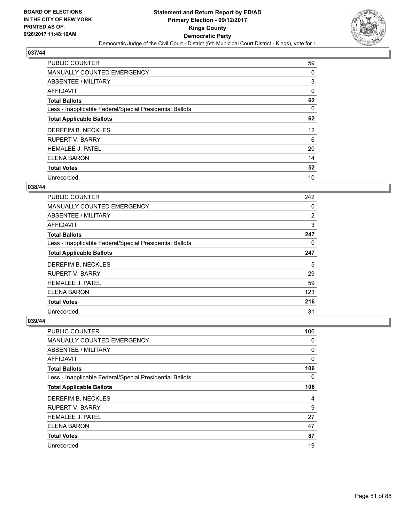

| <b>PUBLIC COUNTER</b>                                    | 59 |
|----------------------------------------------------------|----|
| MANUALLY COUNTED EMERGENCY                               | 0  |
| ABSENTEE / MILITARY                                      | 3  |
| AFFIDAVIT                                                | 0  |
| <b>Total Ballots</b>                                     | 62 |
| Less - Inapplicable Federal/Special Presidential Ballots | 0  |
| <b>Total Applicable Ballots</b>                          | 62 |
| DEREFIM B. NECKLES                                       | 12 |
| <b>RUPERT V. BARRY</b>                                   | 6  |
| <b>HEMALEE J. PATEL</b>                                  | 20 |
| <b>ELENA BARON</b>                                       | 14 |
| <b>Total Votes</b>                                       | 52 |
| Unrecorded                                               | 10 |

# **038/44**

| <b>PUBLIC COUNTER</b>                                    | 242 |
|----------------------------------------------------------|-----|
| <b>MANUALLY COUNTED EMERGENCY</b>                        | 0   |
| ABSENTEE / MILITARY                                      | 2   |
| <b>AFFIDAVIT</b>                                         | 3   |
| <b>Total Ballots</b>                                     | 247 |
| Less - Inapplicable Federal/Special Presidential Ballots | 0   |
| <b>Total Applicable Ballots</b>                          | 247 |
| DEREFIM B. NECKLES                                       | 5   |
| <b>RUPERT V. BARRY</b>                                   | 29  |
| <b>HEMALEE J. PATEL</b>                                  | 59  |
| ELENA BARON                                              | 123 |
| <b>Total Votes</b>                                       | 216 |
| Unrecorded                                               | 31  |

| <b>PUBLIC COUNTER</b>                                    | 106 |
|----------------------------------------------------------|-----|
| <b>MANUALLY COUNTED EMERGENCY</b>                        | 0   |
| ABSENTEE / MILITARY                                      | 0   |
| AFFIDAVIT                                                | 0   |
| <b>Total Ballots</b>                                     | 106 |
| Less - Inapplicable Federal/Special Presidential Ballots | 0   |
| <b>Total Applicable Ballots</b>                          | 106 |
| DEREFIM B. NECKLES                                       | 4   |
| <b>RUPERT V. BARRY</b>                                   | 9   |
| <b>HEMALEE J. PATEL</b>                                  | 27  |
| <b>ELENA BARON</b>                                       | 47  |
| <b>Total Votes</b>                                       | 87  |
| Unrecorded                                               | 19  |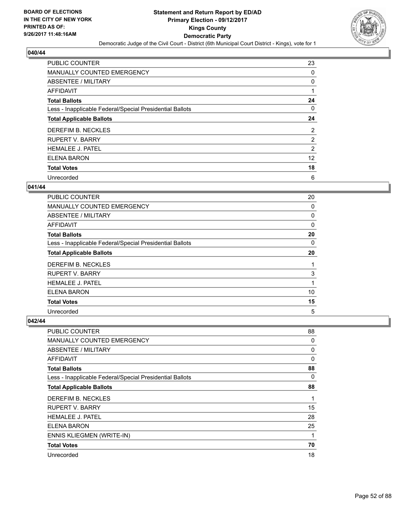

| <b>PUBLIC COUNTER</b>                                    | 23             |
|----------------------------------------------------------|----------------|
| MANUALLY COUNTED EMERGENCY                               | 0              |
| ABSENTEE / MILITARY                                      | 0              |
| AFFIDAVIT                                                |                |
| <b>Total Ballots</b>                                     | 24             |
| Less - Inapplicable Federal/Special Presidential Ballots | 0              |
| <b>Total Applicable Ballots</b>                          | 24             |
| DEREFIM B. NECKLES                                       | $\overline{2}$ |
| <b>RUPERT V. BARRY</b>                                   | $\overline{2}$ |
| <b>HEMALEE J. PATEL</b>                                  | 2              |
| <b>ELENA BARON</b>                                       | 12             |
| <b>Total Votes</b>                                       | 18             |
| Unrecorded                                               | 6              |

# **041/44**

| <b>PUBLIC COUNTER</b>                                    | 20 |
|----------------------------------------------------------|----|
| MANUALLY COUNTED EMERGENCY                               | 0  |
| ABSENTEE / MILITARY                                      | 0  |
| AFFIDAVIT                                                | 0  |
| <b>Total Ballots</b>                                     | 20 |
| Less - Inapplicable Federal/Special Presidential Ballots | 0  |
| <b>Total Applicable Ballots</b>                          | 20 |
| DEREFIM B. NECKLES                                       | 1  |
| <b>RUPERT V. BARRY</b>                                   | 3  |
| <b>HEMALEE J. PATEL</b>                                  | 1  |
| <b>ELENA BARON</b>                                       | 10 |
| <b>Total Votes</b>                                       | 15 |
| Unrecorded                                               | 5  |

| <b>PUBLIC COUNTER</b>                                    | 88          |
|----------------------------------------------------------|-------------|
| <b>MANUALLY COUNTED EMERGENCY</b>                        | 0           |
| ABSENTEE / MILITARY                                      | 0           |
| AFFIDAVIT                                                | $\mathbf 0$ |
| <b>Total Ballots</b>                                     | 88          |
| Less - Inapplicable Federal/Special Presidential Ballots | 0           |
| <b>Total Applicable Ballots</b>                          | 88          |
| DEREFIM B. NECKLES                                       | 1           |
| <b>RUPERT V. BARRY</b>                                   | 15          |
| <b>HEMALEE J. PATEL</b>                                  | 28          |
| <b>ELENA BARON</b>                                       | 25          |
| ENNIS KLIEGMEN (WRITE-IN)                                | 1           |
| <b>Total Votes</b>                                       | 70          |
| Unrecorded                                               | 18          |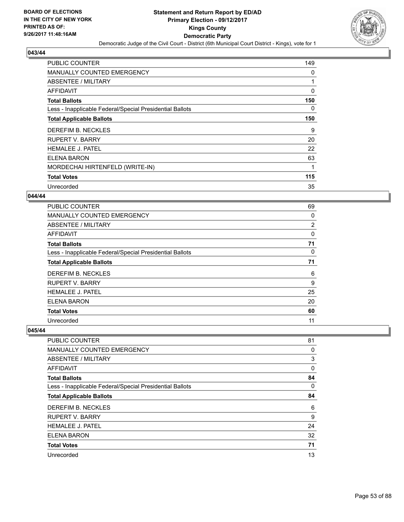

| <b>PUBLIC COUNTER</b>                                    | 149      |
|----------------------------------------------------------|----------|
| <b>MANUALLY COUNTED EMERGENCY</b>                        | 0        |
| ABSENTEE / MILITARY                                      |          |
| AFFIDAVIT                                                | $\Omega$ |
| <b>Total Ballots</b>                                     | 150      |
| Less - Inapplicable Federal/Special Presidential Ballots | 0        |
| <b>Total Applicable Ballots</b>                          | 150      |
| DEREFIM B. NECKLES                                       | 9        |
| <b>RUPERT V. BARRY</b>                                   | 20       |
| <b>HEMALEE J. PATEL</b>                                  | 22       |
| <b>ELENA BARON</b>                                       | 63       |
| MORDECHAI HIRTENFELD (WRITE-IN)                          |          |
| <b>Total Votes</b>                                       | 115      |
| Unrecorded                                               | 35       |

#### **044/44**

| <b>PUBLIC COUNTER</b>                                    | 69 |
|----------------------------------------------------------|----|
| MANUALLY COUNTED EMERGENCY                               | 0  |
| ABSENTEE / MILITARY                                      | 2  |
| AFFIDAVIT                                                | 0  |
| <b>Total Ballots</b>                                     | 71 |
| Less - Inapplicable Federal/Special Presidential Ballots | 0  |
| <b>Total Applicable Ballots</b>                          | 71 |
| DEREFIM B. NECKLES                                       | 6  |
| <b>RUPERT V. BARRY</b>                                   | 9  |
| <b>HEMALEE J. PATEL</b>                                  | 25 |
| ELENA BARON                                              | 20 |
| <b>Total Votes</b>                                       | 60 |
| Unrecorded                                               | 11 |

| <b>PUBLIC COUNTER</b>                                    | 81 |
|----------------------------------------------------------|----|
| <b>MANUALLY COUNTED EMERGENCY</b>                        | 0  |
| ABSENTEE / MILITARY                                      | 3  |
| AFFIDAVIT                                                | 0  |
| <b>Total Ballots</b>                                     | 84 |
| Less - Inapplicable Federal/Special Presidential Ballots | 0  |
| <b>Total Applicable Ballots</b>                          | 84 |
| DEREFIM B. NECKLES                                       | 6  |
| <b>RUPERT V. BARRY</b>                                   | 9  |
| <b>HEMALEE J. PATEL</b>                                  | 24 |
| <b>ELENA BARON</b>                                       | 32 |
| <b>Total Votes</b>                                       | 71 |
| Unrecorded                                               | 13 |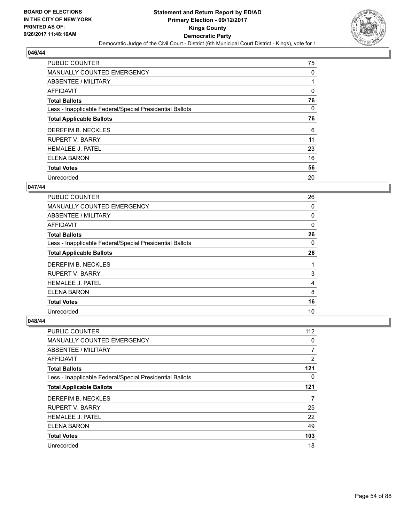

| <b>PUBLIC COUNTER</b>                                    | 75 |
|----------------------------------------------------------|----|
| <b>MANUALLY COUNTED EMERGENCY</b>                        | 0  |
| ABSENTEE / MILITARY                                      |    |
| AFFIDAVIT                                                | 0  |
| <b>Total Ballots</b>                                     | 76 |
| Less - Inapplicable Federal/Special Presidential Ballots | 0  |
| <b>Total Applicable Ballots</b>                          | 76 |
| DEREFIM B. NECKLES                                       | 6  |
| <b>RUPERT V. BARRY</b>                                   | 11 |
| <b>HEMALEE J. PATEL</b>                                  | 23 |
| ELENA BARON                                              | 16 |
| <b>Total Votes</b>                                       | 56 |
| Unrecorded                                               | 20 |

# **047/44**

| <b>PUBLIC COUNTER</b>                                    | 26 |
|----------------------------------------------------------|----|
| <b>MANUALLY COUNTED EMERGENCY</b>                        | 0  |
| ABSENTEE / MILITARY                                      | 0  |
| <b>AFFIDAVIT</b>                                         | 0  |
| <b>Total Ballots</b>                                     | 26 |
| Less - Inapplicable Federal/Special Presidential Ballots | 0  |
| <b>Total Applicable Ballots</b>                          | 26 |
| DEREFIM B. NECKLES                                       | 1  |
| <b>RUPERT V. BARRY</b>                                   | 3  |
| <b>HEMALEE J. PATEL</b>                                  | 4  |
| <b>ELENA BARON</b>                                       | 8  |
| <b>Total Votes</b>                                       | 16 |
| Unrecorded                                               | 10 |

| <b>PUBLIC COUNTER</b>                                    | 112 |
|----------------------------------------------------------|-----|
| <b>MANUALLY COUNTED EMERGENCY</b>                        | 0   |
| ABSENTEE / MILITARY                                      | 7   |
| AFFIDAVIT                                                | 2   |
| <b>Total Ballots</b>                                     | 121 |
| Less - Inapplicable Federal/Special Presidential Ballots | 0   |
| <b>Total Applicable Ballots</b>                          | 121 |
| DEREFIM B. NECKLES                                       | 7   |
| <b>RUPERT V. BARRY</b>                                   | 25  |
| <b>HEMALEE J. PATEL</b>                                  | 22  |
| <b>ELENA BARON</b>                                       | 49  |
| <b>Total Votes</b>                                       | 103 |
| Unrecorded                                               | 18  |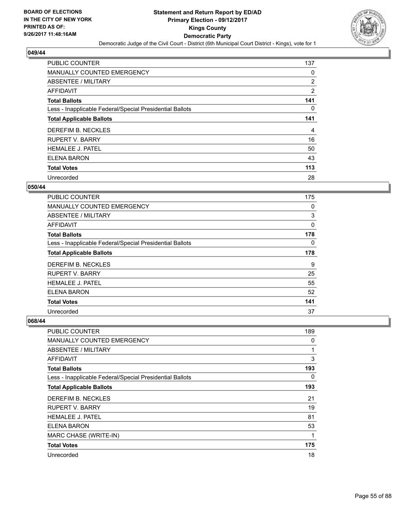

| <b>PUBLIC COUNTER</b>                                    | 137 |
|----------------------------------------------------------|-----|
| MANUALLY COUNTED EMERGENCY                               | 0   |
| ABSENTEE / MILITARY                                      | 2   |
| <b>AFFIDAVIT</b>                                         | 2   |
| <b>Total Ballots</b>                                     | 141 |
| Less - Inapplicable Federal/Special Presidential Ballots | 0   |
| <b>Total Applicable Ballots</b>                          | 141 |
| DEREFIM B. NECKLES                                       | 4   |
| <b>RUPERT V. BARRY</b>                                   | 16  |
| <b>HEMALEE J. PATEL</b>                                  | 50  |
| <b>ELENA BARON</b>                                       | 43  |
| <b>Total Votes</b>                                       | 113 |
| Unrecorded                                               | 28  |

# **050/44**

| <b>PUBLIC COUNTER</b>                                    | 175 |
|----------------------------------------------------------|-----|
| <b>MANUALLY COUNTED EMERGENCY</b>                        | 0   |
| ABSENTEE / MILITARY                                      | 3   |
| <b>AFFIDAVIT</b>                                         | 0   |
| <b>Total Ballots</b>                                     | 178 |
| Less - Inapplicable Federal/Special Presidential Ballots | 0   |
| <b>Total Applicable Ballots</b>                          | 178 |
| DEREFIM B. NECKLES                                       | 9   |
| <b>RUPERT V. BARRY</b>                                   | 25  |
| <b>HEMALEE J. PATEL</b>                                  | 55  |
| ELENA BARON                                              | 52  |
| <b>Total Votes</b>                                       | 141 |
| Unrecorded                                               | 37  |

| <b>PUBLIC COUNTER</b>                                    | 189 |
|----------------------------------------------------------|-----|
| <b>MANUALLY COUNTED EMERGENCY</b>                        | 0   |
| ABSENTEE / MILITARY                                      | 1   |
| AFFIDAVIT                                                | 3   |
| <b>Total Ballots</b>                                     | 193 |
| Less - Inapplicable Federal/Special Presidential Ballots | 0   |
| <b>Total Applicable Ballots</b>                          | 193 |
| DEREFIM B. NECKLES                                       | 21  |
| <b>RUPERT V. BARRY</b>                                   | 19  |
| <b>HEMALEE J. PATEL</b>                                  | 81  |
| ELENA BARON                                              | 53  |
| MARC CHASE (WRITE-IN)                                    | 1   |
| <b>Total Votes</b>                                       | 175 |
| Unrecorded                                               | 18  |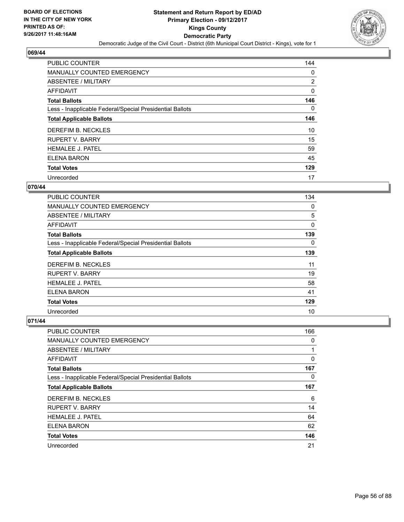

| <b>PUBLIC COUNTER</b>                                    | 144 |
|----------------------------------------------------------|-----|
| MANUALLY COUNTED EMERGENCY                               | 0   |
| ABSENTEE / MILITARY                                      | 2   |
| <b>AFFIDAVIT</b>                                         | 0   |
| <b>Total Ballots</b>                                     | 146 |
| Less - Inapplicable Federal/Special Presidential Ballots | 0   |
| <b>Total Applicable Ballots</b>                          | 146 |
| DEREFIM B. NECKLES                                       | 10  |
| <b>RUPERT V. BARRY</b>                                   | 15  |
| <b>HEMALEE J. PATEL</b>                                  | 59  |
| <b>ELENA BARON</b>                                       | 45  |
| <b>Total Votes</b>                                       | 129 |
| Unrecorded                                               | 17  |

### **070/44**

| <b>PUBLIC COUNTER</b>                                    | 134 |
|----------------------------------------------------------|-----|
| <b>MANUALLY COUNTED EMERGENCY</b>                        | 0   |
| ABSENTEE / MILITARY                                      | 5   |
| <b>AFFIDAVIT</b>                                         | 0   |
| <b>Total Ballots</b>                                     | 139 |
| Less - Inapplicable Federal/Special Presidential Ballots | 0   |
| <b>Total Applicable Ballots</b>                          | 139 |
| DEREFIM B. NECKLES                                       | 11  |
| <b>RUPERT V. BARRY</b>                                   | 19  |
| <b>HEMALEE J. PATEL</b>                                  | 58  |
| ELENA BARON                                              | 41  |
| <b>Total Votes</b>                                       | 129 |
| Unrecorded                                               | 10  |

| <b>PUBLIC COUNTER</b>                                    | 166 |
|----------------------------------------------------------|-----|
| <b>MANUALLY COUNTED EMERGENCY</b>                        | 0   |
| ABSENTEE / MILITARY                                      | 1   |
| AFFIDAVIT                                                | 0   |
| <b>Total Ballots</b>                                     | 167 |
| Less - Inapplicable Federal/Special Presidential Ballots | 0   |
| <b>Total Applicable Ballots</b>                          | 167 |
| DEREFIM B. NECKLES                                       | 6   |
| <b>RUPERT V. BARRY</b>                                   | 14  |
| <b>HEMALEE J. PATEL</b>                                  | 64  |
| <b>ELENA BARON</b>                                       | 62  |
| <b>Total Votes</b>                                       | 146 |
| Unrecorded                                               | 21  |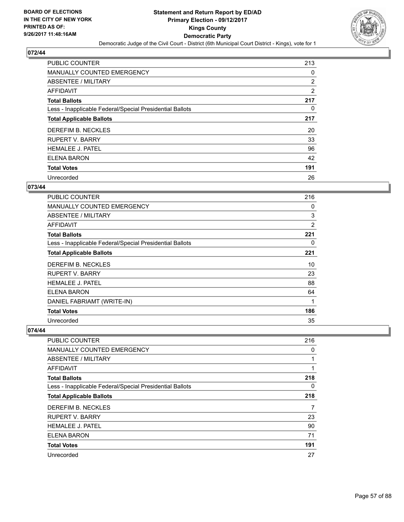

| <b>PUBLIC COUNTER</b>                                    | 213 |
|----------------------------------------------------------|-----|
| <b>MANUALLY COUNTED EMERGENCY</b>                        | 0   |
| ABSENTEE / MILITARY                                      | 2   |
| AFFIDAVIT                                                | 2   |
| <b>Total Ballots</b>                                     | 217 |
| Less - Inapplicable Federal/Special Presidential Ballots | 0   |
| <b>Total Applicable Ballots</b>                          | 217 |
| DEREFIM B. NECKLES                                       | 20  |
| <b>RUPERT V. BARRY</b>                                   | 33  |
| <b>HEMALEE J. PATEL</b>                                  | 96  |
| ELENA BARON                                              | 42  |
| <b>Total Votes</b>                                       | 191 |
| Unrecorded                                               | 26  |

# **073/44**

| PUBLIC COUNTER                                           | 216            |
|----------------------------------------------------------|----------------|
| <b>MANUALLY COUNTED EMERGENCY</b>                        | 0              |
| ABSENTEE / MILITARY                                      | 3              |
| <b>AFFIDAVIT</b>                                         | $\overline{2}$ |
| <b>Total Ballots</b>                                     | 221            |
| Less - Inapplicable Federal/Special Presidential Ballots | 0              |
| <b>Total Applicable Ballots</b>                          | 221            |
| DEREFIM B. NECKLES                                       | 10             |
| RUPERT V. BARRY                                          | 23             |
| <b>HEMALEE J. PATEL</b>                                  | 88             |
| ELENA BARON                                              | 64             |
| DANIEL FABRIAMT (WRITE-IN)                               | 1              |
| <b>Total Votes</b>                                       | 186            |
| Unrecorded                                               | 35             |

| <b>PUBLIC COUNTER</b>                                    | 216 |
|----------------------------------------------------------|-----|
| MANUALLY COUNTED EMERGENCY                               | 0   |
| ABSENTEE / MILITARY                                      | 1   |
| AFFIDAVIT                                                | 1   |
| <b>Total Ballots</b>                                     | 218 |
| Less - Inapplicable Federal/Special Presidential Ballots | 0   |
| <b>Total Applicable Ballots</b>                          | 218 |
| DEREFIM B. NECKLES                                       | 7   |
| <b>RUPERT V. BARRY</b>                                   | 23  |
| <b>HEMALEE J. PATEL</b>                                  | 90  |
| <b>ELENA BARON</b>                                       | 71  |
| <b>Total Votes</b>                                       | 191 |
| Unrecorded                                               | 27  |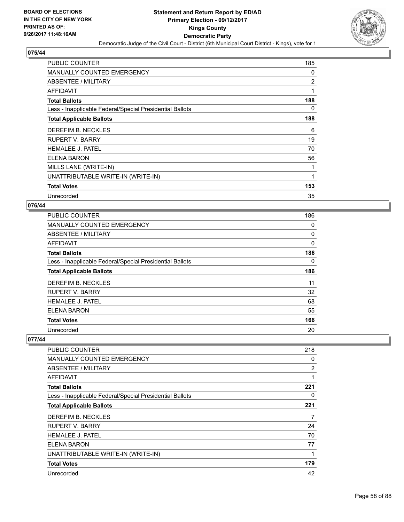

| <b>PUBLIC COUNTER</b>                                    | 185 |
|----------------------------------------------------------|-----|
| <b>MANUALLY COUNTED EMERGENCY</b>                        | 0   |
| <b>ABSENTEE / MILITARY</b>                               | 2   |
| AFFIDAVIT                                                | 1   |
| <b>Total Ballots</b>                                     | 188 |
| Less - Inapplicable Federal/Special Presidential Ballots | 0   |
| <b>Total Applicable Ballots</b>                          | 188 |
| DEREFIM B. NECKLES                                       | 6   |
| <b>RUPERT V. BARRY</b>                                   | 19  |
| <b>HEMALEE J. PATEL</b>                                  | 70  |
| <b>ELENA BARON</b>                                       | 56  |
| MILLS LANE (WRITE-IN)                                    |     |
| UNATTRIBUTABLE WRITE-IN (WRITE-IN)                       | 1   |
| <b>Total Votes</b>                                       | 153 |
| Unrecorded                                               | 35  |

### **076/44**

| <b>PUBLIC COUNTER</b>                                    | 186 |
|----------------------------------------------------------|-----|
| MANUALLY COUNTED EMERGENCY                               | 0   |
| ABSENTEE / MILITARY                                      | 0   |
| AFFIDAVIT                                                | 0   |
| <b>Total Ballots</b>                                     | 186 |
| Less - Inapplicable Federal/Special Presidential Ballots | 0   |
| <b>Total Applicable Ballots</b>                          | 186 |
| DEREFIM B. NECKLES                                       | 11  |
| <b>RUPERT V. BARRY</b>                                   | 32  |
| <b>HEMALEE J. PATEL</b>                                  | 68  |
| ELENA BARON                                              | 55  |
| <b>Total Votes</b>                                       | 166 |
| Unrecorded                                               | 20  |

| PUBLIC COUNTER                                           | 218 |
|----------------------------------------------------------|-----|
| MANUALLY COUNTED EMERGENCY                               | 0   |
| ABSENTEE / MILITARY                                      | 2   |
| AFFIDAVIT                                                | 1   |
| <b>Total Ballots</b>                                     | 221 |
| Less - Inapplicable Federal/Special Presidential Ballots | 0   |
| <b>Total Applicable Ballots</b>                          | 221 |
| DEREFIM B. NECKLES                                       | 7   |
|                                                          |     |
| <b>RUPERT V. BARRY</b>                                   | 24  |
| <b>HEMALEE J. PATEL</b>                                  | 70  |
| ELENA BARON                                              | 77  |
| UNATTRIBUTABLE WRITE-IN (WRITE-IN)                       | 1   |
| <b>Total Votes</b>                                       | 179 |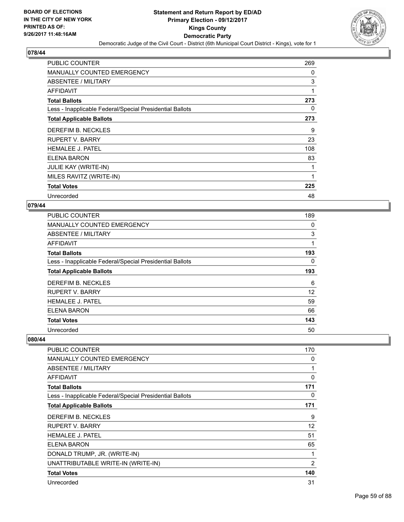

| <b>PUBLIC COUNTER</b>                                    | 269 |
|----------------------------------------------------------|-----|
| MANUALLY COUNTED EMERGENCY                               | 0   |
| ABSENTEE / MILITARY                                      | 3   |
| AFFIDAVIT                                                | 1   |
| <b>Total Ballots</b>                                     | 273 |
| Less - Inapplicable Federal/Special Presidential Ballots | 0   |
| <b>Total Applicable Ballots</b>                          | 273 |
| DEREFIM B. NECKLES                                       | 9   |
| RUPERT V. BARRY                                          | 23  |
| <b>HEMALEE J. PATEL</b>                                  | 108 |
| ELENA BARON                                              | 83  |
| <b>JULIE KAY (WRITE-IN)</b>                              |     |
| MILES RAVITZ (WRITE-IN)                                  | 1   |
| <b>Total Votes</b>                                       | 225 |
| Unrecorded                                               | 48  |

#### **079/44**

| <b>PUBLIC COUNTER</b>                                    | 189 |
|----------------------------------------------------------|-----|
| MANUALLY COUNTED EMERGENCY                               | 0   |
| ABSENTEE / MILITARY                                      | 3   |
| AFFIDAVIT                                                | 1   |
| <b>Total Ballots</b>                                     | 193 |
| Less - Inapplicable Federal/Special Presidential Ballots | 0   |
| <b>Total Applicable Ballots</b>                          | 193 |
| DEREFIM B. NECKLES                                       | 6   |
| <b>RUPERT V. BARRY</b>                                   | 12  |
| <b>HEMALEE J. PATEL</b>                                  | 59  |
| <b>ELENA BARON</b>                                       | 66  |
| <b>Total Votes</b>                                       | 143 |
| Unrecorded                                               | 50  |

| PUBLIC COUNTER                                           | 170 |
|----------------------------------------------------------|-----|
| <b>MANUALLY COUNTED EMERGENCY</b>                        | 0   |
| ABSENTEE / MILITARY                                      | 1   |
| AFFIDAVIT                                                | 0   |
| <b>Total Ballots</b>                                     | 171 |
| Less - Inapplicable Federal/Special Presidential Ballots | 0   |
| <b>Total Applicable Ballots</b>                          | 171 |
| DEREFIM B. NECKLES                                       | 9   |
| RUPERT V. BARRY                                          | 12  |
| <b>HEMALEE J. PATEL</b>                                  | 51  |
| <b>ELENA BARON</b>                                       | 65  |
| DONALD TRUMP, JR. (WRITE-IN)                             | 1   |
| UNATTRIBUTABLE WRITE-IN (WRITE-IN)                       | 2   |
| <b>Total Votes</b>                                       | 140 |
| Unrecorded                                               | 31  |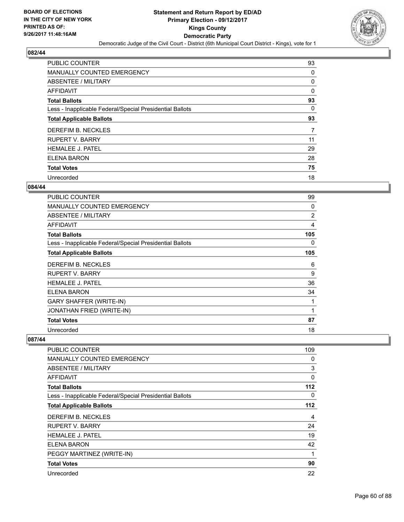

| <b>PUBLIC COUNTER</b>                                    | 93 |
|----------------------------------------------------------|----|
| MANUALLY COUNTED EMERGENCY                               | 0  |
| ABSENTEE / MILITARY                                      | 0  |
| <b>AFFIDAVIT</b>                                         | 0  |
| <b>Total Ballots</b>                                     | 93 |
| Less - Inapplicable Federal/Special Presidential Ballots | 0  |
| <b>Total Applicable Ballots</b>                          | 93 |
| DEREFIM B. NECKLES                                       | 7  |
| <b>RUPERT V. BARRY</b>                                   | 11 |
| <b>HEMALEE J. PATEL</b>                                  | 29 |
| ELENA BARON                                              | 28 |
| <b>Total Votes</b>                                       | 75 |
| Unrecorded                                               | 18 |

### **084/44**

| <b>PUBLIC COUNTER</b>                                    | 99             |
|----------------------------------------------------------|----------------|
| <b>MANUALLY COUNTED EMERGENCY</b>                        | 0              |
| ABSENTEE / MILITARY                                      | $\overline{2}$ |
| <b>AFFIDAVIT</b>                                         | 4              |
| <b>Total Ballots</b>                                     | 105            |
| Less - Inapplicable Federal/Special Presidential Ballots | 0              |
| <b>Total Applicable Ballots</b>                          | 105            |
| DEREFIM B. NECKLES                                       | 6              |
| RUPERT V. BARRY                                          | 9              |
| <b>HEMALEE J. PATEL</b>                                  | 36             |
| ELENA BARON                                              | 34             |
| <b>GARY SHAFFER (WRITE-IN)</b>                           | 1              |
| JONATHAN FRIED (WRITE-IN)                                | 1              |
| <b>Total Votes</b>                                       | 87             |
| Unrecorded                                               | 18             |

| <b>PUBLIC COUNTER</b>                                    | 109 |
|----------------------------------------------------------|-----|
| <b>MANUALLY COUNTED EMERGENCY</b>                        | 0   |
| <b>ABSENTEE / MILITARY</b>                               | 3   |
| <b>AFFIDAVIT</b>                                         | 0   |
| <b>Total Ballots</b>                                     | 112 |
| Less - Inapplicable Federal/Special Presidential Ballots | 0   |
| <b>Total Applicable Ballots</b>                          | 112 |
| DEREFIM B. NECKLES                                       | 4   |
| RUPERT V. BARRY                                          | 24  |
| <b>HEMALEE J. PATEL</b>                                  | 19  |
| ELENA BARON                                              | 42  |
| PEGGY MARTINEZ (WRITE-IN)                                | 1   |
| <b>Total Votes</b>                                       | 90  |
| Unrecorded                                               | 22  |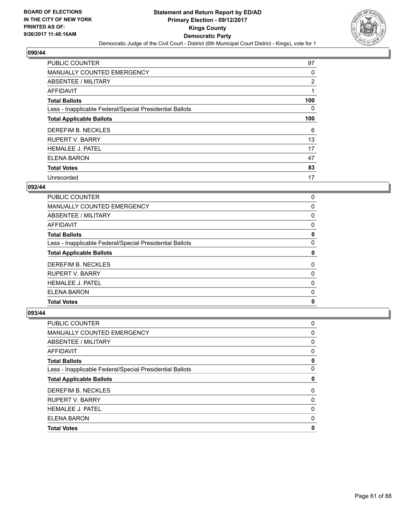

| <b>PUBLIC COUNTER</b>                                    | 97  |
|----------------------------------------------------------|-----|
| MANUALLY COUNTED EMERGENCY                               | 0   |
| ABSENTEE / MILITARY                                      | 2   |
| <b>AFFIDAVIT</b>                                         | 1   |
| <b>Total Ballots</b>                                     | 100 |
| Less - Inapplicable Federal/Special Presidential Ballots | 0   |
| <b>Total Applicable Ballots</b>                          | 100 |
| DEREFIM B. NECKLES                                       | 6   |
| <b>RUPERT V. BARRY</b>                                   | 13  |
| <b>HEMALEE J. PATEL</b>                                  | 17  |
| <b>ELENA BARON</b>                                       | 47  |
| <b>Total Votes</b>                                       | 83  |
| Unrecorded                                               | 17  |

# **092/44**

| ELENA BARON                                              | 0 |
|----------------------------------------------------------|---|
| <b>HEMALEE J. PATEL</b>                                  | 0 |
| <b>RUPERT V. BARRY</b>                                   | 0 |
| DEREFIM B. NECKLES                                       | 0 |
| <b>Total Applicable Ballots</b>                          | 0 |
| Less - Inapplicable Federal/Special Presidential Ballots | 0 |
| <b>Total Ballots</b>                                     | 0 |
| AFFIDAVIT                                                | 0 |
| ABSENTEE / MILITARY                                      | 0 |
| <b>MANUALLY COUNTED EMERGENCY</b>                        | 0 |
| <b>PUBLIC COUNTER</b>                                    | 0 |

| 0 |
|---|
| 0 |
| 0 |
| 0 |
| 0 |
| 0 |
| 0 |
| 0 |
| 0 |
| 0 |
| 0 |
| 0 |
|   |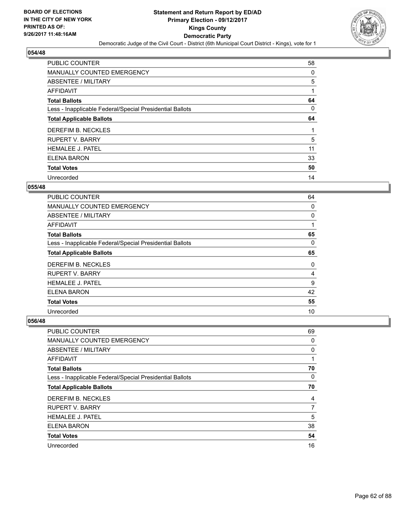

| <b>PUBLIC COUNTER</b>                                    | 58 |
|----------------------------------------------------------|----|
| MANUALLY COUNTED EMERGENCY                               | 0  |
| ABSENTEE / MILITARY                                      | 5  |
| <b>AFFIDAVIT</b>                                         | 1  |
| <b>Total Ballots</b>                                     | 64 |
| Less - Inapplicable Federal/Special Presidential Ballots | 0  |
| <b>Total Applicable Ballots</b>                          | 64 |
| DEREFIM B. NECKLES                                       |    |
| <b>RUPERT V. BARRY</b>                                   | 5  |
| <b>HEMALEE J. PATEL</b>                                  | 11 |
| <b>ELENA BARON</b>                                       | 33 |
| <b>Total Votes</b>                                       | 50 |
| Unrecorded                                               | 14 |

### **055/48**

| <b>PUBLIC COUNTER</b>                                    | 64 |
|----------------------------------------------------------|----|
| <b>MANUALLY COUNTED EMERGENCY</b>                        | 0  |
| ABSENTEE / MILITARY                                      | 0  |
| <b>AFFIDAVIT</b>                                         |    |
| <b>Total Ballots</b>                                     | 65 |
| Less - Inapplicable Federal/Special Presidential Ballots | 0  |
| <b>Total Applicable Ballots</b>                          | 65 |
| DEREFIM B. NECKLES                                       | 0  |
| <b>RUPERT V. BARRY</b>                                   | 4  |
| <b>HEMALEE J. PATEL</b>                                  | 9  |
| ELENA BARON                                              | 42 |
| <b>Total Votes</b>                                       | 55 |
| Unrecorded                                               | 10 |

| <b>PUBLIC COUNTER</b>                                    | 69 |
|----------------------------------------------------------|----|
| MANUALLY COUNTED EMERGENCY                               | 0  |
| ABSENTEE / MILITARY                                      | 0  |
| AFFIDAVIT                                                | 1  |
| <b>Total Ballots</b>                                     | 70 |
| Less - Inapplicable Federal/Special Presidential Ballots | 0  |
| <b>Total Applicable Ballots</b>                          | 70 |
| DEREFIM B. NECKLES                                       | 4  |
| <b>RUPERT V. BARRY</b>                                   | 7  |
| <b>HEMALEE J. PATEL</b>                                  | 5  |
| <b>ELENA BARON</b>                                       | 38 |
| <b>Total Votes</b>                                       | 54 |
| Unrecorded                                               | 16 |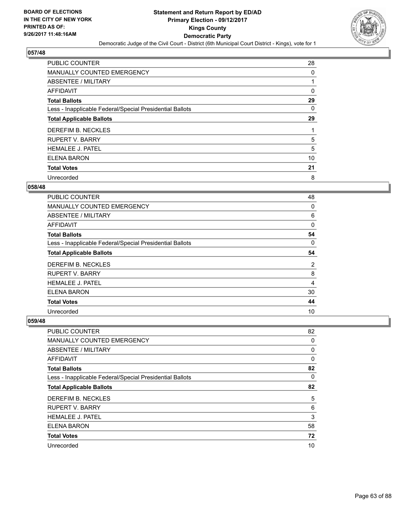

| <b>PUBLIC COUNTER</b>                                    | 28 |
|----------------------------------------------------------|----|
| MANUALLY COUNTED EMERGENCY                               | 0  |
| ABSENTEE / MILITARY                                      |    |
| AFFIDAVIT                                                | 0  |
| <b>Total Ballots</b>                                     | 29 |
| Less - Inapplicable Federal/Special Presidential Ballots | 0  |
| <b>Total Applicable Ballots</b>                          | 29 |
| DEREFIM B. NECKLES                                       |    |
| <b>RUPERT V. BARRY</b>                                   | 5  |
| <b>HEMALEE J. PATEL</b>                                  | 5  |
| <b>ELENA BARON</b>                                       | 10 |
| <b>Total Votes</b>                                       | 21 |
| Unrecorded                                               | 8  |

## **058/48**

| <b>PUBLIC COUNTER</b>                                    | 48 |
|----------------------------------------------------------|----|
| <b>MANUALLY COUNTED EMERGENCY</b>                        | 0  |
| ABSENTEE / MILITARY                                      | 6  |
| <b>AFFIDAVIT</b>                                         | 0  |
| <b>Total Ballots</b>                                     | 54 |
| Less - Inapplicable Federal/Special Presidential Ballots | 0  |
| <b>Total Applicable Ballots</b>                          | 54 |
| DEREFIM B. NECKLES                                       | 2  |
| <b>RUPERT V. BARRY</b>                                   | 8  |
| <b>HEMALEE J. PATEL</b>                                  | 4  |
| <b>ELENA BARON</b>                                       | 30 |
| <b>Total Votes</b>                                       | 44 |
| Unrecorded                                               | 10 |

| <b>PUBLIC COUNTER</b>                                    | 82 |
|----------------------------------------------------------|----|
| <b>MANUALLY COUNTED EMERGENCY</b>                        | 0  |
| ABSENTEE / MILITARY                                      | 0  |
| AFFIDAVIT                                                | 0  |
| <b>Total Ballots</b>                                     | 82 |
| Less - Inapplicable Federal/Special Presidential Ballots | 0  |
| <b>Total Applicable Ballots</b>                          | 82 |
| DEREFIM B. NECKLES                                       | 5  |
| <b>RUPERT V. BARRY</b>                                   | 6  |
| <b>HEMALEE J. PATEL</b>                                  | 3  |
| <b>ELENA BARON</b>                                       | 58 |
| <b>Total Votes</b>                                       | 72 |
| Unrecorded                                               | 10 |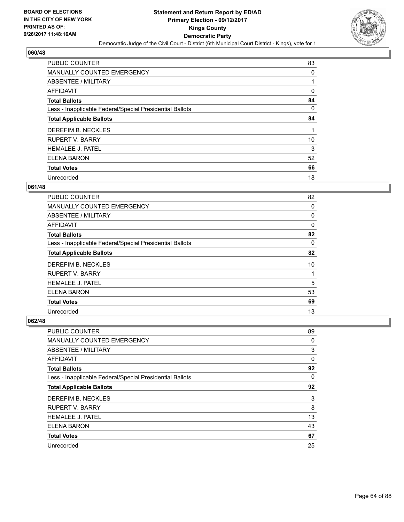

| <b>PUBLIC COUNTER</b>                                    | 83 |
|----------------------------------------------------------|----|
| MANUALLY COUNTED EMERGENCY                               | 0  |
| ABSENTEE / MILITARY                                      | 1  |
| AFFIDAVIT                                                | 0  |
| <b>Total Ballots</b>                                     | 84 |
| Less - Inapplicable Federal/Special Presidential Ballots | 0  |
| <b>Total Applicable Ballots</b>                          | 84 |
| DEREFIM B. NECKLES                                       |    |
| <b>RUPERT V. BARRY</b>                                   | 10 |
| <b>HEMALEE J. PATEL</b>                                  | 3  |
| ELENA BARON                                              | 52 |
| <b>Total Votes</b>                                       | 66 |
| Unrecorded                                               | 18 |

### **061/48**

| <b>PUBLIC COUNTER</b>                                    | 82 |
|----------------------------------------------------------|----|
| <b>MANUALLY COUNTED EMERGENCY</b>                        | 0  |
| ABSENTEE / MILITARY                                      | 0  |
| AFFIDAVIT                                                | 0  |
| <b>Total Ballots</b>                                     | 82 |
| Less - Inapplicable Federal/Special Presidential Ballots | 0  |
| <b>Total Applicable Ballots</b>                          | 82 |
| DEREFIM B. NECKLES                                       | 10 |
| <b>RUPERT V. BARRY</b>                                   |    |
| <b>HEMALEE J. PATEL</b>                                  | 5  |
| <b>ELENA BARON</b>                                       | 53 |
| <b>Total Votes</b>                                       | 69 |
| Unrecorded                                               | 13 |

| <b>PUBLIC COUNTER</b>                                    | 89 |
|----------------------------------------------------------|----|
| <b>MANUALLY COUNTED EMERGENCY</b>                        | 0  |
| ABSENTEE / MILITARY                                      | 3  |
| AFFIDAVIT                                                | 0  |
| <b>Total Ballots</b>                                     | 92 |
| Less - Inapplicable Federal/Special Presidential Ballots | 0  |
| <b>Total Applicable Ballots</b>                          | 92 |
| DEREFIM B. NECKLES                                       | 3  |
| <b>RUPERT V. BARRY</b>                                   | 8  |
| <b>HEMALEE J. PATEL</b>                                  | 13 |
| <b>ELENA BARON</b>                                       | 43 |
| <b>Total Votes</b>                                       | 67 |
| Unrecorded                                               | 25 |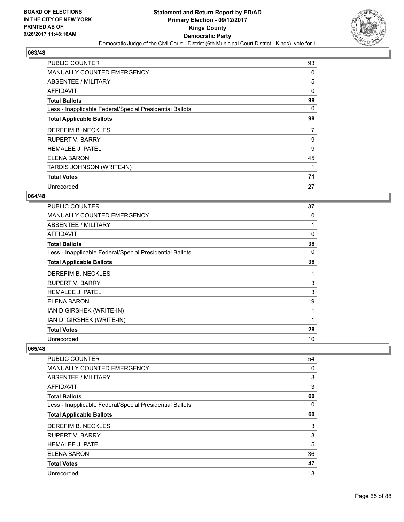

| <b>PUBLIC COUNTER</b>                                    | 93 |
|----------------------------------------------------------|----|
| <b>MANUALLY COUNTED EMERGENCY</b>                        | 0  |
| ABSENTEE / MILITARY                                      | 5  |
| AFFIDAVIT                                                | 0  |
| <b>Total Ballots</b>                                     | 98 |
| Less - Inapplicable Federal/Special Presidential Ballots | 0  |
| <b>Total Applicable Ballots</b>                          | 98 |
| DEREFIM B. NECKLES                                       | 7  |
|                                                          |    |
| <b>RUPERT V. BARRY</b>                                   | 9  |
| <b>HEMALEE J. PATEL</b>                                  | 9  |
| ELENA BARON                                              | 45 |
| TARDIS JOHNSON (WRITE-IN)                                |    |
| <b>Total Votes</b>                                       | 71 |

# **064/48**

| <b>PUBLIC COUNTER</b>                                    | 37 |
|----------------------------------------------------------|----|
| MANUALLY COUNTED EMERGENCY                               | 0  |
| ABSENTEE / MILITARY                                      | 1  |
| AFFIDAVIT                                                | 0  |
| <b>Total Ballots</b>                                     | 38 |
| Less - Inapplicable Federal/Special Presidential Ballots | 0  |
| <b>Total Applicable Ballots</b>                          | 38 |
| DEREFIM B. NECKLES                                       | 1  |
| <b>RUPERT V. BARRY</b>                                   | 3  |
| <b>HEMALEE J. PATEL</b>                                  | 3  |
| ELENA BARON                                              | 19 |
| IAN D GIRSHEK (WRITE-IN)                                 |    |
| IAN D. GIRSHEK (WRITE-IN)                                | 1  |
| <b>Total Votes</b>                                       | 28 |
| Unrecorded                                               | 10 |

| <b>PUBLIC COUNTER</b>                                    | 54 |
|----------------------------------------------------------|----|
| <b>MANUALLY COUNTED EMERGENCY</b>                        | 0  |
| ABSENTEE / MILITARY                                      | 3  |
| AFFIDAVIT                                                | 3  |
| <b>Total Ballots</b>                                     | 60 |
| Less - Inapplicable Federal/Special Presidential Ballots | 0  |
| <b>Total Applicable Ballots</b>                          | 60 |
| DEREFIM B. NECKLES                                       | 3  |
| <b>RUPERT V. BARRY</b>                                   | 3  |
| <b>HEMALEE J. PATEL</b>                                  | 5  |
| <b>ELENA BARON</b>                                       | 36 |
| <b>Total Votes</b>                                       | 47 |
| Unrecorded                                               | 13 |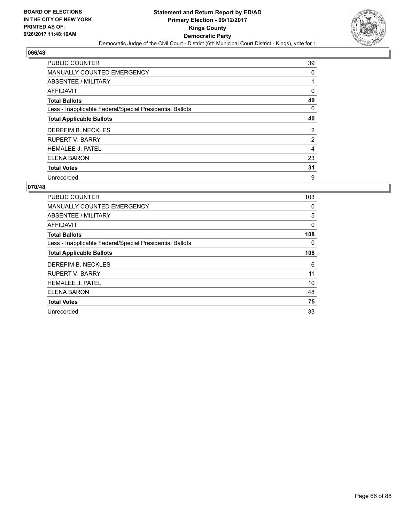

| <b>PUBLIC COUNTER</b>                                    | 39 |
|----------------------------------------------------------|----|
| <b>MANUALLY COUNTED EMERGENCY</b>                        | 0  |
| ABSENTEE / MILITARY                                      |    |
| <b>AFFIDAVIT</b>                                         | 0  |
| <b>Total Ballots</b>                                     | 40 |
| Less - Inapplicable Federal/Special Presidential Ballots | 0  |
| <b>Total Applicable Ballots</b>                          | 40 |
| DEREFIM B. NECKLES                                       | 2  |
| <b>RUPERT V. BARRY</b>                                   | 2  |
| <b>HEMALEE J. PATEL</b>                                  | 4  |
| <b>ELENA BARON</b>                                       | 23 |
| <b>Total Votes</b>                                       | 31 |
| Unrecorded                                               | 9  |

| PUBLIC COUNTER                                           | 103 |
|----------------------------------------------------------|-----|
| <b>MANUALLY COUNTED EMERGENCY</b>                        | 0   |
| ABSENTEE / MILITARY                                      | 5   |
| <b>AFFIDAVIT</b>                                         | 0   |
| <b>Total Ballots</b>                                     | 108 |
| Less - Inapplicable Federal/Special Presidential Ballots | 0   |
| <b>Total Applicable Ballots</b>                          | 108 |
| DEREFIM B. NECKLES                                       | 6   |
| <b>RUPERT V. BARRY</b>                                   | 11  |
| <b>HEMALEE J. PATEL</b>                                  | 10  |
| ELENA BARON                                              | 48  |
| <b>Total Votes</b>                                       | 75  |
| Unrecorded                                               | 33  |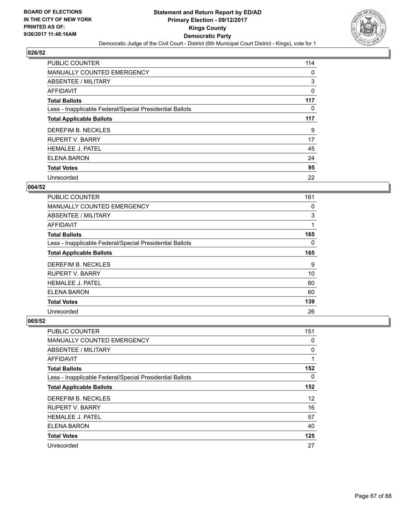

| <b>PUBLIC COUNTER</b>                                    | 114 |
|----------------------------------------------------------|-----|
| MANUALLY COUNTED EMERGENCY                               | 0   |
| ABSENTEE / MILITARY                                      | 3   |
| AFFIDAVIT                                                | 0   |
| <b>Total Ballots</b>                                     | 117 |
| Less - Inapplicable Federal/Special Presidential Ballots | 0   |
| <b>Total Applicable Ballots</b>                          | 117 |
| DEREFIM B. NECKLES                                       | 9   |
| <b>RUPERT V. BARRY</b>                                   | 17  |
| <b>HEMALEE J. PATEL</b>                                  | 45  |
| ELENA BARON                                              | 24  |
| <b>Total Votes</b>                                       | 95  |
| Unrecorded                                               | 22  |

### **064/52**

| <b>PUBLIC COUNTER</b>                                    | 161      |
|----------------------------------------------------------|----------|
| <b>MANUALLY COUNTED EMERGENCY</b>                        | 0        |
| ABSENTEE / MILITARY                                      | 3        |
| AFFIDAVIT                                                | 1        |
| <b>Total Ballots</b>                                     | 165      |
| Less - Inapplicable Federal/Special Presidential Ballots | $\Omega$ |
| <b>Total Applicable Ballots</b>                          | 165      |
| DEREFIM B. NECKLES                                       | 9        |
| <b>RUPERT V. BARRY</b>                                   | 10       |
| <b>HEMALEE J. PATEL</b>                                  | 60       |
| ELENA BARON                                              | 60       |
| <b>Total Votes</b>                                       | 139      |
| Unrecorded                                               | 26       |

| PUBLIC COUNTER                                           | 151 |
|----------------------------------------------------------|-----|
| <b>MANUALLY COUNTED EMERGENCY</b>                        | 0   |
| ABSENTEE / MILITARY                                      | 0   |
| AFFIDAVIT                                                | 1   |
| <b>Total Ballots</b>                                     | 152 |
| Less - Inapplicable Federal/Special Presidential Ballots | 0   |
| <b>Total Applicable Ballots</b>                          | 152 |
| DEREFIM B. NECKLES                                       | 12  |
| <b>RUPERT V. BARRY</b>                                   | 16  |
| <b>HEMALEE J. PATEL</b>                                  | 57  |
| ELENA BARON                                              | 40  |
| <b>Total Votes</b>                                       | 125 |
| Unrecorded                                               | 27  |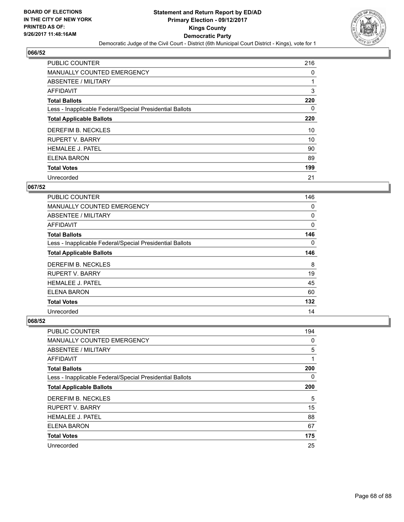

| <b>PUBLIC COUNTER</b>                                    | 216 |
|----------------------------------------------------------|-----|
| <b>MANUALLY COUNTED EMERGENCY</b>                        | 0   |
| ABSENTEE / MILITARY                                      |     |
| <b>AFFIDAVIT</b>                                         | 3   |
| <b>Total Ballots</b>                                     | 220 |
| Less - Inapplicable Federal/Special Presidential Ballots | 0   |
| <b>Total Applicable Ballots</b>                          | 220 |
| DEREFIM B. NECKLES                                       | 10  |
| <b>RUPERT V. BARRY</b>                                   | 10  |
| <b>HEMALEE J. PATEL</b>                                  | 90  |
| ELENA BARON                                              | 89  |
| <b>Total Votes</b>                                       | 199 |
| Unrecorded                                               | 21  |

### **067/52**

| <b>PUBLIC COUNTER</b>                                    | 146      |
|----------------------------------------------------------|----------|
| <b>MANUALLY COUNTED EMERGENCY</b>                        | 0        |
| ABSENTEE / MILITARY                                      | 0        |
| <b>AFFIDAVIT</b>                                         | 0        |
| <b>Total Ballots</b>                                     | 146      |
| Less - Inapplicable Federal/Special Presidential Ballots | $\Omega$ |
| <b>Total Applicable Ballots</b>                          | 146      |
| DEREFIM B. NECKLES                                       | 8        |
| <b>RUPERT V. BARRY</b>                                   | 19       |
| <b>HEMALEE J. PATEL</b>                                  | 45       |
| ELENA BARON                                              | 60       |
| <b>Total Votes</b>                                       | 132      |
| Unrecorded                                               | 14       |

| <b>PUBLIC COUNTER</b>                                    | 194 |
|----------------------------------------------------------|-----|
| <b>MANUALLY COUNTED EMERGENCY</b>                        | 0   |
| ABSENTEE / MILITARY                                      | 5   |
| AFFIDAVIT                                                | 1   |
| <b>Total Ballots</b>                                     | 200 |
| Less - Inapplicable Federal/Special Presidential Ballots | 0   |
| <b>Total Applicable Ballots</b>                          | 200 |
| DEREFIM B. NECKLES                                       | 5   |
| <b>RUPERT V. BARRY</b>                                   | 15  |
| <b>HEMALEE J. PATEL</b>                                  | 88  |
| <b>ELENA BARON</b>                                       | 67  |
| <b>Total Votes</b>                                       | 175 |
| Unrecorded                                               | 25  |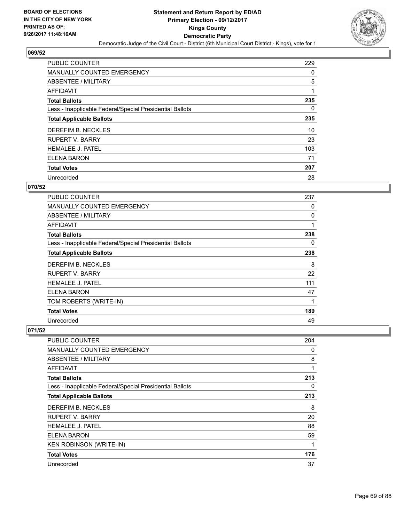

| <b>PUBLIC COUNTER</b>                                    | 229 |
|----------------------------------------------------------|-----|
| MANUALLY COUNTED EMERGENCY                               | 0   |
| ABSENTEE / MILITARY                                      | 5   |
| <b>AFFIDAVIT</b>                                         |     |
| <b>Total Ballots</b>                                     | 235 |
| Less - Inapplicable Federal/Special Presidential Ballots | 0   |
| <b>Total Applicable Ballots</b>                          | 235 |
| DEREFIM B. NECKLES                                       | 10  |
| <b>RUPERT V. BARRY</b>                                   | 23  |
| <b>HEMALEE J. PATEL</b>                                  | 103 |
| <b>ELENA BARON</b>                                       | 71  |
| <b>Total Votes</b>                                       | 207 |
| Unrecorded                                               | 28  |

### **070/52**

| PUBLIC COUNTER                                           | 237 |
|----------------------------------------------------------|-----|
| <b>MANUALLY COUNTED EMERGENCY</b>                        | 0   |
| ABSENTEE / MILITARY                                      | 0   |
| <b>AFFIDAVIT</b>                                         | 1   |
| <b>Total Ballots</b>                                     | 238 |
| Less - Inapplicable Federal/Special Presidential Ballots | 0   |
| <b>Total Applicable Ballots</b>                          | 238 |
| DEREFIM B. NECKLES                                       | 8   |
| <b>RUPERT V. BARRY</b>                                   | 22  |
| <b>HEMALEE J. PATEL</b>                                  | 111 |
| <b>ELENA BARON</b>                                       | 47  |
| TOM ROBERTS (WRITE-IN)                                   | 1   |
| <b>Total Votes</b>                                       | 189 |
| Unrecorded                                               | 49  |

| <b>PUBLIC COUNTER</b>                                    | 204 |
|----------------------------------------------------------|-----|
| <b>MANUALLY COUNTED EMERGENCY</b>                        | 0   |
| ABSENTEE / MILITARY                                      | 8   |
| AFFIDAVIT                                                | 1   |
| <b>Total Ballots</b>                                     | 213 |
| Less - Inapplicable Federal/Special Presidential Ballots | 0   |
| <b>Total Applicable Ballots</b>                          | 213 |
| DEREFIM B. NECKLES                                       | 8   |
| <b>RUPERT V. BARRY</b>                                   | 20  |
| <b>HEMALEE J. PATEL</b>                                  | 88  |
| ELENA BARON                                              | 59  |
| <b>KEN ROBINSON (WRITE-IN)</b>                           | 1   |
| <b>Total Votes</b>                                       | 176 |
| Unrecorded                                               | 37  |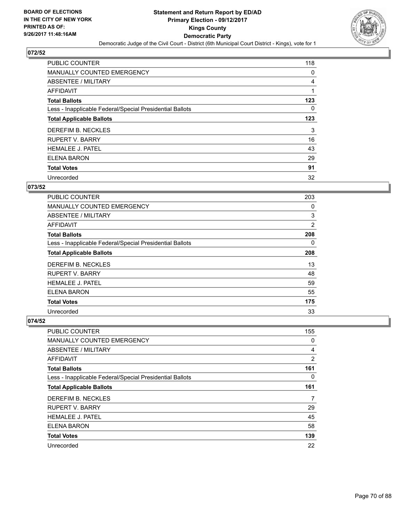

| <b>PUBLIC COUNTER</b>                                    | 118 |
|----------------------------------------------------------|-----|
| MANUALLY COUNTED EMERGENCY                               | 0   |
| ABSENTEE / MILITARY                                      | 4   |
| <b>AFFIDAVIT</b>                                         |     |
| <b>Total Ballots</b>                                     | 123 |
| Less - Inapplicable Federal/Special Presidential Ballots | 0   |
| <b>Total Applicable Ballots</b>                          | 123 |
| DEREFIM B. NECKLES                                       | 3   |
| <b>RUPERT V. BARRY</b>                                   | 16  |
| <b>HEMALEE J. PATEL</b>                                  | 43  |
| ELENA BARON                                              | 29  |
| <b>Total Votes</b>                                       | 91  |
| Unrecorded                                               | 32  |

# **073/52**

| PUBLIC COUNTER                                           | 203            |
|----------------------------------------------------------|----------------|
| <b>MANUALLY COUNTED EMERGENCY</b>                        | 0              |
| ABSENTEE / MILITARY                                      | 3              |
| <b>AFFIDAVIT</b>                                         | $\overline{2}$ |
| <b>Total Ballots</b>                                     | 208            |
| Less - Inapplicable Federal/Special Presidential Ballots | $\Omega$       |
| <b>Total Applicable Ballots</b>                          | 208            |
| DEREFIM B. NECKLES                                       | 13             |
| <b>RUPERT V. BARRY</b>                                   | 48             |
| <b>HEMALEE J. PATEL</b>                                  | 59             |
| ELENA BARON                                              | 55             |
| <b>Total Votes</b>                                       | 175            |
| Unrecorded                                               | 33             |

| <b>PUBLIC COUNTER</b>                                    | 155            |
|----------------------------------------------------------|----------------|
| <b>MANUALLY COUNTED EMERGENCY</b>                        | 0              |
| ABSENTEE / MILITARY                                      | 4              |
| AFFIDAVIT                                                | $\overline{2}$ |
| <b>Total Ballots</b>                                     | 161            |
| Less - Inapplicable Federal/Special Presidential Ballots | 0              |
| <b>Total Applicable Ballots</b>                          | 161            |
| DEREFIM B. NECKLES                                       | 7              |
| <b>RUPERT V. BARRY</b>                                   | 29             |
| <b>HEMALEE J. PATEL</b>                                  | 45             |
| <b>ELENA BARON</b>                                       | 58             |
| <b>Total Votes</b>                                       | 139            |
| Unrecorded                                               | 22             |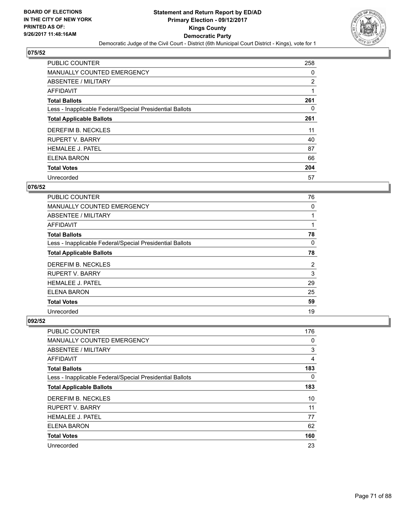

| <b>PUBLIC COUNTER</b>                                    | 258 |
|----------------------------------------------------------|-----|
| <b>MANUALLY COUNTED EMERGENCY</b>                        | 0   |
| ABSENTEE / MILITARY                                      | 2   |
| <b>AFFIDAVIT</b>                                         |     |
| <b>Total Ballots</b>                                     | 261 |
| Less - Inapplicable Federal/Special Presidential Ballots | 0   |
| <b>Total Applicable Ballots</b>                          | 261 |
| DEREFIM B. NECKLES                                       | 11  |
| <b>RUPERT V. BARRY</b>                                   | 40  |
| <b>HEMALEE J. PATEL</b>                                  | 87  |
| <b>ELENA BARON</b>                                       | 66  |
| <b>Total Votes</b>                                       | 204 |
| Unrecorded                                               | 57  |

### **076/52**

| <b>PUBLIC COUNTER</b>                                    | 76 |
|----------------------------------------------------------|----|
| <b>MANUALLY COUNTED EMERGENCY</b>                        | 0  |
| ABSENTEE / MILITARY                                      |    |
| AFFIDAVIT                                                |    |
| <b>Total Ballots</b>                                     | 78 |
| Less - Inapplicable Federal/Special Presidential Ballots | 0  |
| <b>Total Applicable Ballots</b>                          | 78 |
| DEREFIM B. NECKLES                                       | 2  |
| <b>RUPERT V. BARRY</b>                                   | 3  |
| <b>HEMALEE J. PATEL</b>                                  | 29 |
| ELENA BARON                                              | 25 |
| <b>Total Votes</b>                                       | 59 |
| Unrecorded                                               | 19 |

| <b>PUBLIC COUNTER</b>                                    | 176            |
|----------------------------------------------------------|----------------|
| <b>MANUALLY COUNTED EMERGENCY</b>                        | 0              |
| ABSENTEE / MILITARY                                      | 3              |
| AFFIDAVIT                                                | $\overline{4}$ |
| <b>Total Ballots</b>                                     | 183            |
| Less - Inapplicable Federal/Special Presidential Ballots | 0              |
| <b>Total Applicable Ballots</b>                          | 183            |
| DEREFIM B. NECKLES                                       | 10             |
| <b>RUPERT V. BARRY</b>                                   | 11             |
| <b>HEMALEE J. PATEL</b>                                  | 77             |
| <b>ELENA BARON</b>                                       | 62             |
| <b>Total Votes</b>                                       | 160            |
| Unrecorded                                               | 23             |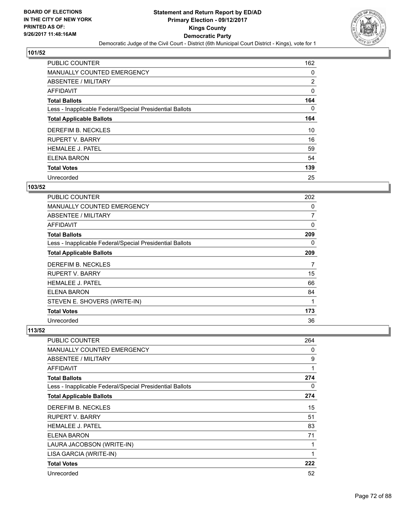

| <b>PUBLIC COUNTER</b>                                    | 162 |
|----------------------------------------------------------|-----|
| MANUALLY COUNTED EMERGENCY                               | 0   |
| ABSENTEE / MILITARY                                      | 2   |
| AFFIDAVIT                                                | 0   |
| <b>Total Ballots</b>                                     | 164 |
| Less - Inapplicable Federal/Special Presidential Ballots | 0   |
| <b>Total Applicable Ballots</b>                          | 164 |
| DEREFIM B. NECKLES                                       | 10  |
| <b>RUPERT V. BARRY</b>                                   | 16  |
| <b>HEMALEE J. PATEL</b>                                  | 59  |
| ELENA BARON                                              | 54  |
| <b>Total Votes</b>                                       | 139 |
| Unrecorded                                               | 25  |

## **103/52**

| <b>PUBLIC COUNTER</b>                                    | 202 |
|----------------------------------------------------------|-----|
| <b>MANUALLY COUNTED EMERGENCY</b>                        | 0   |
| ABSENTEE / MILITARY                                      | 7   |
| AFFIDAVIT                                                | 0   |
| <b>Total Ballots</b>                                     | 209 |
| Less - Inapplicable Federal/Special Presidential Ballots | 0   |
| <b>Total Applicable Ballots</b>                          | 209 |
| DEREFIM B. NECKLES                                       | 7   |
| RUPERT V. BARRY                                          | 15  |
| <b>HEMALEE J. PATEL</b>                                  | 66  |
| ELENA BARON                                              | 84  |
| STEVEN E. SHOVERS (WRITE-IN)                             | 1   |
| <b>Total Votes</b>                                       | 173 |
| Unrecorded                                               | 36  |

| <b>PUBLIC COUNTER</b>                                    | 264 |
|----------------------------------------------------------|-----|
| <b>MANUALLY COUNTED EMERGENCY</b>                        | 0   |
| ABSENTEE / MILITARY                                      | 9   |
| <b>AFFIDAVIT</b>                                         | 1   |
| <b>Total Ballots</b>                                     | 274 |
| Less - Inapplicable Federal/Special Presidential Ballots | 0   |
| <b>Total Applicable Ballots</b>                          | 274 |
| DEREFIM B. NECKLES                                       | 15  |
| <b>RUPERT V. BARRY</b>                                   | 51  |
| <b>HEMALEE J. PATEL</b>                                  | 83  |
| <b>ELENA BARON</b>                                       | 71  |
| LAURA JACOBSON (WRITE-IN)                                |     |
| LISA GARCIA (WRITE-IN)                                   | 1   |
| <b>Total Votes</b>                                       | 222 |
| Unrecorded                                               | 52  |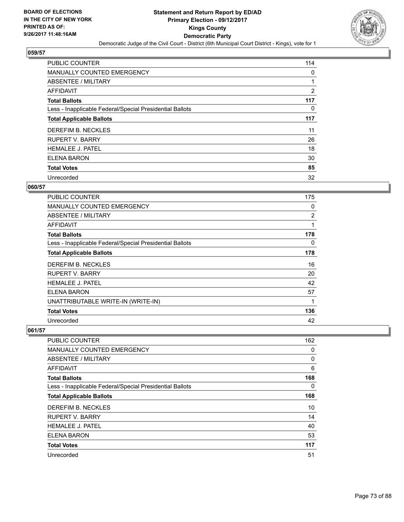

| <b>PUBLIC COUNTER</b>                                    | 114 |
|----------------------------------------------------------|-----|
| MANUALLY COUNTED EMERGENCY                               | 0   |
| ABSENTEE / MILITARY                                      | 1   |
| <b>AFFIDAVIT</b>                                         | 2   |
| <b>Total Ballots</b>                                     | 117 |
| Less - Inapplicable Federal/Special Presidential Ballots | 0   |
| <b>Total Applicable Ballots</b>                          | 117 |
| DEREFIM B. NECKLES                                       | 11  |
| <b>RUPERT V. BARRY</b>                                   | 26  |
| <b>HEMALEE J. PATEL</b>                                  | 18  |
| ELENA BARON                                              | 30  |
| <b>Total Votes</b>                                       | 85  |
| Unrecorded                                               | 32  |

### **060/57**

| <b>PUBLIC COUNTER</b>                                    | 175 |
|----------------------------------------------------------|-----|
| <b>MANUALLY COUNTED EMERGENCY</b>                        | 0   |
| ABSENTEE / MILITARY                                      | 2   |
| AFFIDAVIT                                                | 1   |
| <b>Total Ballots</b>                                     | 178 |
| Less - Inapplicable Federal/Special Presidential Ballots | 0   |
| <b>Total Applicable Ballots</b>                          | 178 |
| DEREFIM B. NECKLES                                       | 16  |
| <b>RUPERT V. BARRY</b>                                   | 20  |
| <b>HEMALEE J. PATEL</b>                                  | 42  |
| ELENA BARON                                              | 57  |
| UNATTRIBUTABLE WRITE-IN (WRITE-IN)                       | 1   |
| <b>Total Votes</b>                                       | 136 |
| Unrecorded                                               | 42  |

| <b>PUBLIC COUNTER</b>                                    | 162 |
|----------------------------------------------------------|-----|
| <b>MANUALLY COUNTED EMERGENCY</b>                        | 0   |
| ABSENTEE / MILITARY                                      | 0   |
| AFFIDAVIT                                                | 6   |
| <b>Total Ballots</b>                                     | 168 |
| Less - Inapplicable Federal/Special Presidential Ballots | 0   |
| <b>Total Applicable Ballots</b>                          | 168 |
| DEREFIM B. NECKLES                                       | 10  |
| <b>RUPERT V. BARRY</b>                                   | 14  |
| <b>HEMALEE J. PATEL</b>                                  | 40  |
| <b>ELENA BARON</b>                                       | 53  |
| <b>Total Votes</b>                                       | 117 |
| Unrecorded                                               | 51  |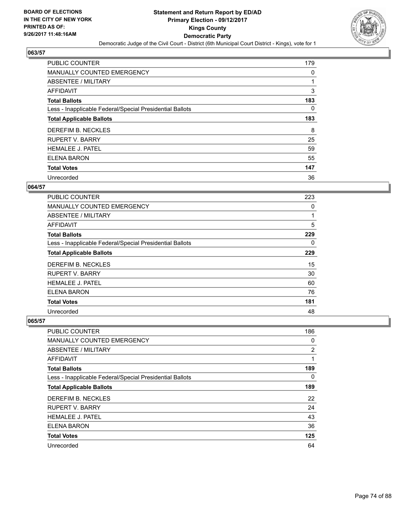

| <b>PUBLIC COUNTER</b>                                    | 179      |
|----------------------------------------------------------|----------|
| <b>MANUALLY COUNTED EMERGENCY</b>                        | 0        |
| ABSENTEE / MILITARY                                      | 1        |
| <b>AFFIDAVIT</b>                                         | 3        |
| <b>Total Ballots</b>                                     | 183      |
| Less - Inapplicable Federal/Special Presidential Ballots | $\Omega$ |
| <b>Total Applicable Ballots</b>                          | 183      |
| DEREFIM B. NECKLES                                       | 8        |
| <b>RUPERT V. BARRY</b>                                   | 25       |
| <b>HEMALEE J. PATEL</b>                                  | 59       |
| ELENA BARON                                              | 55       |
| <b>Total Votes</b>                                       | 147      |
| Unrecorded                                               | 36       |

### **064/57**

| <b>PUBLIC COUNTER</b>                                    | 223 |
|----------------------------------------------------------|-----|
| <b>MANUALLY COUNTED EMERGENCY</b>                        | 0   |
| ABSENTEE / MILITARY                                      | 1   |
| <b>AFFIDAVIT</b>                                         | 5   |
| <b>Total Ballots</b>                                     | 229 |
| Less - Inapplicable Federal/Special Presidential Ballots | 0   |
| <b>Total Applicable Ballots</b>                          | 229 |
| DEREFIM B. NECKLES                                       | 15  |
| <b>RUPERT V. BARRY</b>                                   | 30  |
| <b>HEMALEE J. PATEL</b>                                  | 60  |
| ELENA BARON                                              | 76  |
| <b>Total Votes</b>                                       | 181 |
| Unrecorded                                               | 48  |

| <b>PUBLIC COUNTER</b>                                    | 186 |
|----------------------------------------------------------|-----|
| MANUALLY COUNTED EMERGENCY                               | 0   |
| ABSENTEE / MILITARY                                      | 2   |
| AFFIDAVIT                                                | 1   |
| <b>Total Ballots</b>                                     | 189 |
| Less - Inapplicable Federal/Special Presidential Ballots | 0   |
| <b>Total Applicable Ballots</b>                          | 189 |
| DEREFIM B. NECKLES                                       | 22  |
| <b>RUPERT V. BARRY</b>                                   | 24  |
| <b>HEMALEE J. PATEL</b>                                  | 43  |
| <b>ELENA BARON</b>                                       | 36  |
| <b>Total Votes</b>                                       | 125 |
| Unrecorded                                               | 64  |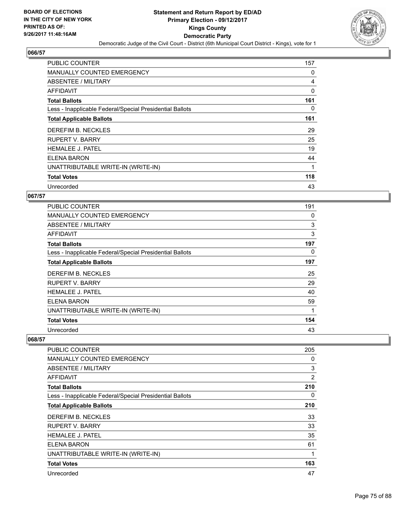

| <b>PUBLIC COUNTER</b>                                    | 157 |
|----------------------------------------------------------|-----|
| <b>MANUALLY COUNTED EMERGENCY</b>                        | 0   |
| ABSENTEE / MILITARY                                      | 4   |
| AFFIDAVIT                                                | 0   |
| <b>Total Ballots</b>                                     | 161 |
| Less - Inapplicable Federal/Special Presidential Ballots | 0   |
| <b>Total Applicable Ballots</b>                          | 161 |
| DEREFIM B. NECKLES                                       | 29  |
| <b>RUPERT V. BARRY</b>                                   | 25  |
| <b>HEMALEE J. PATEL</b>                                  | 19  |
| ELENA BARON                                              | 44  |
| UNATTRIBUTABLE WRITE-IN (WRITE-IN)                       |     |
| <b>Total Votes</b>                                       | 118 |
| Unrecorded                                               | 43  |

### **067/57**

| <b>PUBLIC COUNTER</b>                                    | 191 |
|----------------------------------------------------------|-----|
| <b>MANUALLY COUNTED EMERGENCY</b>                        | 0   |
| <b>ABSENTEE / MILITARY</b>                               | 3   |
| AFFIDAVIT                                                | 3   |
| <b>Total Ballots</b>                                     | 197 |
| Less - Inapplicable Federal/Special Presidential Ballots | 0   |
| <b>Total Applicable Ballots</b>                          | 197 |
| DEREFIM B. NECKLES                                       | 25  |
| RUPERT V. BARRY                                          | 29  |
| <b>HEMALEE J. PATEL</b>                                  | 40  |
| ELENA BARON                                              | 59  |
| UNATTRIBUTABLE WRITE-IN (WRITE-IN)                       | 1   |
| <b>Total Votes</b>                                       | 154 |
| Unrecorded                                               | 43  |

| <b>PUBLIC COUNTER</b>                                    | 205            |
|----------------------------------------------------------|----------------|
| <b>MANUALLY COUNTED EMERGENCY</b>                        | 0              |
| <b>ABSENTEE / MILITARY</b>                               | 3              |
| <b>AFFIDAVIT</b>                                         | $\overline{2}$ |
| <b>Total Ballots</b>                                     | 210            |
| Less - Inapplicable Federal/Special Presidential Ballots | 0              |
| <b>Total Applicable Ballots</b>                          | 210            |
| DEREFIM B. NECKLES                                       | 33             |
| <b>RUPERT V. BARRY</b>                                   | 33             |
| <b>HEMALEE J. PATEL</b>                                  | 35             |
| ELENA BARON                                              | 61             |
| UNATTRIBUTABLE WRITE-IN (WRITE-IN)                       | 1              |
| <b>Total Votes</b>                                       | 163            |
| Unrecorded                                               | 47             |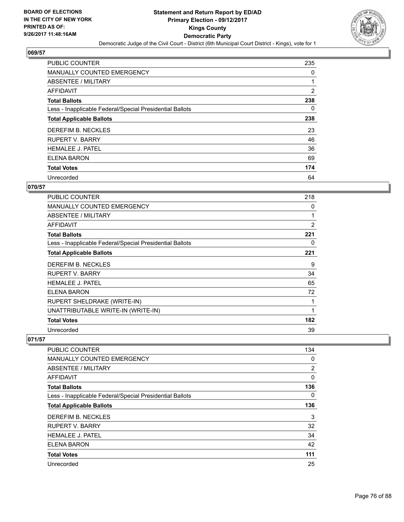

| <b>PUBLIC COUNTER</b>                                    | 235 |
|----------------------------------------------------------|-----|
| <b>MANUALLY COUNTED EMERGENCY</b>                        | 0   |
| ABSENTEE / MILITARY                                      |     |
| <b>AFFIDAVIT</b>                                         | 2   |
| <b>Total Ballots</b>                                     | 238 |
| Less - Inapplicable Federal/Special Presidential Ballots | 0   |
| <b>Total Applicable Ballots</b>                          | 238 |
| DEREFIM B. NECKLES                                       | 23  |
| <b>RUPERT V. BARRY</b>                                   | 46  |
| <b>HEMALEE J. PATEL</b>                                  | 36  |
| ELENA BARON                                              | 69  |
| <b>Total Votes</b>                                       | 174 |
| Unrecorded                                               | 64  |

#### **070/57**

| <b>PUBLIC COUNTER</b>                                    | 218         |
|----------------------------------------------------------|-------------|
| <b>MANUALLY COUNTED EMERGENCY</b>                        | 0           |
| ABSENTEE / MILITARY                                      | 1           |
| <b>AFFIDAVIT</b>                                         | 2           |
| <b>Total Ballots</b>                                     | 221         |
| Less - Inapplicable Federal/Special Presidential Ballots | 0           |
| <b>Total Applicable Ballots</b>                          | 221         |
| DEREFIM B. NECKLES                                       | 9           |
| <b>RUPERT V. BARRY</b>                                   | 34          |
| <b>HEMALEE J. PATEL</b>                                  | 65          |
| ELENA BARON                                              | 72          |
| RUPERT SHELDRAKE (WRITE-IN)                              |             |
| UNATTRIBUTABLE WRITE-IN (WRITE-IN)                       | $\mathbf 1$ |
| <b>Total Votes</b>                                       | 182         |
| Unrecorded                                               | 39          |

| <b>PUBLIC COUNTER</b>                                    | 134 |
|----------------------------------------------------------|-----|
| MANUALLY COUNTED EMERGENCY                               | 0   |
| ABSENTEE / MILITARY                                      | 2   |
| AFFIDAVIT                                                | 0   |
| <b>Total Ballots</b>                                     | 136 |
| Less - Inapplicable Federal/Special Presidential Ballots | 0   |
| <b>Total Applicable Ballots</b>                          | 136 |
| DEREFIM B. NECKLES                                       | 3   |
| <b>RUPERT V. BARRY</b>                                   | 32  |
| <b>HEMALEE J. PATEL</b>                                  | 34  |
| ELENA BARON                                              | 42  |
| <b>Total Votes</b>                                       | 111 |
| Unrecorded                                               | 25  |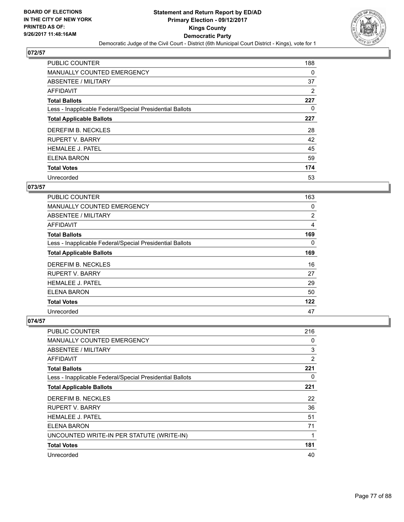

| <b>PUBLIC COUNTER</b>                                    | 188 |
|----------------------------------------------------------|-----|
| MANUALLY COUNTED EMERGENCY                               | 0   |
| ABSENTEE / MILITARY                                      | 37  |
| <b>AFFIDAVIT</b>                                         | 2   |
| <b>Total Ballots</b>                                     | 227 |
| Less - Inapplicable Federal/Special Presidential Ballots | 0   |
| <b>Total Applicable Ballots</b>                          | 227 |
| DEREFIM B. NECKLES                                       | 28  |
| <b>RUPERT V. BARRY</b>                                   | 42  |
| <b>HEMALEE J. PATEL</b>                                  | 45  |
| ELENA BARON                                              | 59  |
| <b>Total Votes</b>                                       | 174 |
| Unrecorded                                               | 53  |

### **073/57**

| <b>PUBLIC COUNTER</b>                                    | 163 |
|----------------------------------------------------------|-----|
| <b>MANUALLY COUNTED EMERGENCY</b>                        | 0   |
| ABSENTEE / MILITARY                                      | 2   |
| <b>AFFIDAVIT</b>                                         | 4   |
| <b>Total Ballots</b>                                     | 169 |
| Less - Inapplicable Federal/Special Presidential Ballots | 0   |
| <b>Total Applicable Ballots</b>                          | 169 |
| DEREFIM B. NECKLES                                       | 16  |
| <b>RUPERT V. BARRY</b>                                   | 27  |
| <b>HEMALEE J. PATEL</b>                                  | 29  |
| ELENA BARON                                              | 50  |
| <b>Total Votes</b>                                       | 122 |
| Unrecorded                                               | 47  |

| <b>PUBLIC COUNTER</b>                                    | 216            |
|----------------------------------------------------------|----------------|
| <b>MANUALLY COUNTED EMERGENCY</b>                        | 0              |
| ABSENTEE / MILITARY                                      | 3              |
| AFFIDAVIT                                                | $\overline{2}$ |
| <b>Total Ballots</b>                                     | 221            |
| Less - Inapplicable Federal/Special Presidential Ballots | 0              |
| <b>Total Applicable Ballots</b>                          | 221            |
| DEREFIM B. NECKLES                                       | 22             |
| <b>RUPERT V. BARRY</b>                                   | 36             |
| <b>HEMALEE J. PATEL</b>                                  | 51             |
| <b>ELENA BARON</b>                                       | 71             |
| UNCOUNTED WRITE-IN PER STATUTE (WRITE-IN)                | 1              |
| <b>Total Votes</b>                                       | 181            |
| Unrecorded                                               | 40             |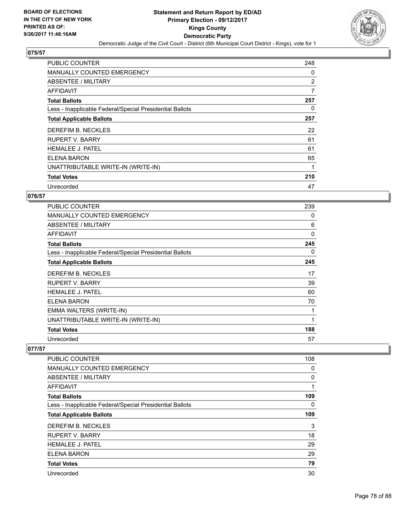

| PUBLIC COUNTER                                           | 248 |
|----------------------------------------------------------|-----|
| MANUALLY COUNTED EMERGENCY                               | 0   |
| ABSENTEE / MILITARY                                      | 2   |
| AFFIDAVIT                                                | 7   |
| <b>Total Ballots</b>                                     | 257 |
| Less - Inapplicable Federal/Special Presidential Ballots | 0   |
| <b>Total Applicable Ballots</b>                          | 257 |
| DEREFIM B. NECKLES                                       | 22  |
| <b>RUPERT V. BARRY</b>                                   | 61  |
| HEMALEE J. PATEL                                         | 61  |
| ELENA BARON                                              | 65  |
| UNATTRIBUTABLE WRITE-IN (WRITE-IN)                       |     |
| <b>Total Votes</b>                                       | 210 |
| Unrecorded                                               | 47  |

### **076/57**

| <b>PUBLIC COUNTER</b>                                    | 239      |
|----------------------------------------------------------|----------|
| <b>MANUALLY COUNTED EMERGENCY</b>                        | 0        |
| ABSENTEE / MILITARY                                      | 6        |
| AFFIDAVIT                                                | $\Omega$ |
| <b>Total Ballots</b>                                     | 245      |
| Less - Inapplicable Federal/Special Presidential Ballots | 0        |
| <b>Total Applicable Ballots</b>                          | 245      |
| DEREFIM B. NECKLES                                       | 17       |
| <b>RUPERT V. BARRY</b>                                   | 39       |
| <b>HEMALEE J. PATEL</b>                                  | 60       |
| ELENA BARON                                              | 70       |
| EMMA WALTERS (WRITE-IN)                                  |          |
| UNATTRIBUTABLE WRITE-IN (WRITE-IN)                       | 1        |
| <b>Total Votes</b>                                       | 188      |
| Unrecorded                                               | 57       |

| <b>PUBLIC COUNTER</b>                                    | 108 |
|----------------------------------------------------------|-----|
| <b>MANUALLY COUNTED EMERGENCY</b>                        | 0   |
| ABSENTEE / MILITARY                                      | 0   |
| <b>AFFIDAVIT</b>                                         | 1   |
| <b>Total Ballots</b>                                     | 109 |
| Less - Inapplicable Federal/Special Presidential Ballots | 0   |
| <b>Total Applicable Ballots</b>                          | 109 |
| DEREFIM B. NECKLES                                       | 3   |
| <b>RUPERT V. BARRY</b>                                   | 18  |
| <b>HEMALEE J. PATEL</b>                                  | 29  |
| <b>ELENA BARON</b>                                       | 29  |
| <b>Total Votes</b>                                       | 79  |
| Unrecorded                                               | 30  |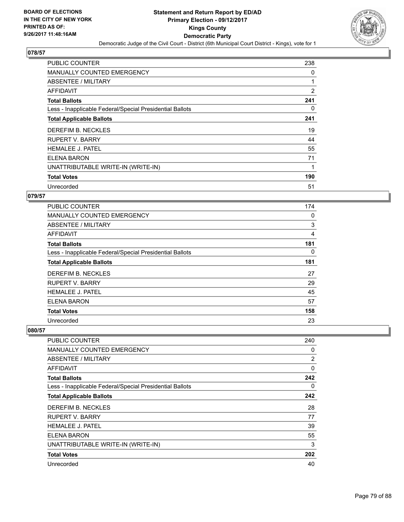

| <b>PUBLIC COUNTER</b>                                    | 238 |
|----------------------------------------------------------|-----|
| <b>MANUALLY COUNTED EMERGENCY</b>                        | 0   |
| ABSENTEE / MILITARY                                      |     |
| AFFIDAVIT                                                | 2   |
| <b>Total Ballots</b>                                     | 241 |
| Less - Inapplicable Federal/Special Presidential Ballots | 0   |
| <b>Total Applicable Ballots</b>                          | 241 |
| DEREFIM B. NECKLES                                       | 19  |
| <b>RUPERT V. BARRY</b>                                   | 44  |
| <b>HEMALEE J. PATEL</b>                                  | 55  |
| <b>ELENA BARON</b>                                       | 71  |
| UNATTRIBUTABLE WRITE-IN (WRITE-IN)                       | 1   |
| <b>Total Votes</b>                                       | 190 |
| Unrecorded                                               | 51  |

### **079/57**

| <b>PUBLIC COUNTER</b>                                    | 174 |
|----------------------------------------------------------|-----|
| <b>MANUALLY COUNTED EMERGENCY</b>                        | 0   |
| ABSENTEE / MILITARY                                      | 3   |
| <b>AFFIDAVIT</b>                                         | 4   |
| <b>Total Ballots</b>                                     | 181 |
| Less - Inapplicable Federal/Special Presidential Ballots | 0   |
| <b>Total Applicable Ballots</b>                          | 181 |
| DEREFIM B. NECKLES                                       | 27  |
| <b>RUPERT V. BARRY</b>                                   | 29  |
| <b>HEMALEE J. PATEL</b>                                  | 45  |
| ELENA BARON                                              | 57  |
| <b>Total Votes</b>                                       | 158 |
| Unrecorded                                               | 23  |

| <b>PUBLIC COUNTER</b>                                    | 240 |
|----------------------------------------------------------|-----|
| <b>MANUALLY COUNTED EMERGENCY</b>                        | 0   |
| ABSENTEE / MILITARY                                      | 2   |
| AFFIDAVIT                                                | 0   |
| <b>Total Ballots</b>                                     | 242 |
| Less - Inapplicable Federal/Special Presidential Ballots | 0   |
| <b>Total Applicable Ballots</b>                          | 242 |
| DEREFIM B. NECKLES                                       | 28  |
| <b>RUPERT V. BARRY</b>                                   | 77  |
| <b>HEMALEE J. PATEL</b>                                  | 39  |
| ELENA BARON                                              | 55  |
| UNATTRIBUTABLE WRITE-IN (WRITE-IN)                       | 3   |
| <b>Total Votes</b>                                       | 202 |
| Unrecorded                                               | 40  |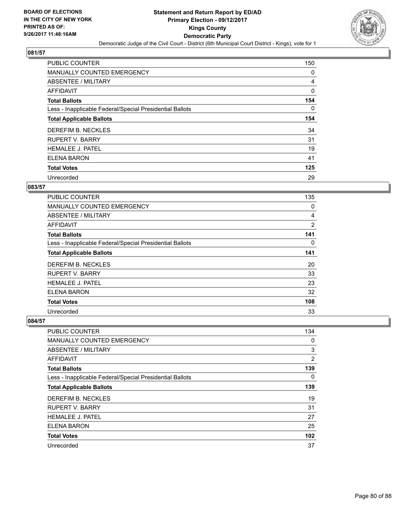

| <b>PUBLIC COUNTER</b>                                    | 150 |
|----------------------------------------------------------|-----|
| MANUALLY COUNTED EMERGENCY                               | 0   |
| ABSENTEE / MILITARY                                      | 4   |
| <b>AFFIDAVIT</b>                                         | 0   |
| <b>Total Ballots</b>                                     | 154 |
| Less - Inapplicable Federal/Special Presidential Ballots | 0   |
| <b>Total Applicable Ballots</b>                          | 154 |
| DEREFIM B. NECKLES                                       | 34  |
| <b>RUPERT V. BARRY</b>                                   | 31  |
| <b>HEMALEE J. PATEL</b>                                  | 19  |
| ELENA BARON                                              | 41  |
| <b>Total Votes</b>                                       | 125 |
| Unrecorded                                               | 29  |

### **083/57**

| <b>PUBLIC COUNTER</b>                                    | 135            |
|----------------------------------------------------------|----------------|
| <b>MANUALLY COUNTED EMERGENCY</b>                        | 0              |
| ABSENTEE / MILITARY                                      | 4              |
| AFFIDAVIT                                                | $\overline{2}$ |
| <b>Total Ballots</b>                                     | 141            |
| Less - Inapplicable Federal/Special Presidential Ballots | $\Omega$       |
| <b>Total Applicable Ballots</b>                          | 141            |
| DEREFIM B. NECKLES                                       | 20             |
| <b>RUPERT V. BARRY</b>                                   | 33             |
| <b>HEMALEE J. PATEL</b>                                  | 23             |
| ELENA BARON                                              | 32             |
| <b>Total Votes</b>                                       | 108            |
| Unrecorded                                               | 33             |

| <b>PUBLIC COUNTER</b>                                    | 134 |
|----------------------------------------------------------|-----|
| <b>MANUALLY COUNTED EMERGENCY</b>                        | 0   |
| ABSENTEE / MILITARY                                      | 3   |
| AFFIDAVIT                                                | 2   |
| <b>Total Ballots</b>                                     | 139 |
| Less - Inapplicable Federal/Special Presidential Ballots | 0   |
| <b>Total Applicable Ballots</b>                          | 139 |
| DEREFIM B. NECKLES                                       | 19  |
| <b>RUPERT V. BARRY</b>                                   | 31  |
| <b>HEMALEE J. PATEL</b>                                  | 27  |
| ELENA BARON                                              | 25  |
| <b>Total Votes</b>                                       | 102 |
| Unrecorded                                               | 37  |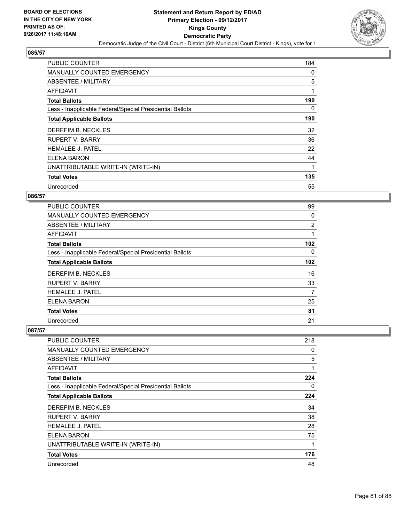

| <b>PUBLIC COUNTER</b>                                    | 184 |
|----------------------------------------------------------|-----|
| <b>MANUALLY COUNTED EMERGENCY</b>                        | 0   |
| ABSENTEE / MILITARY                                      | 5   |
| AFFIDAVIT                                                | 1   |
| <b>Total Ballots</b>                                     | 190 |
| Less - Inapplicable Federal/Special Presidential Ballots | 0   |
| <b>Total Applicable Ballots</b>                          | 190 |
| DEREFIM B. NECKLES                                       | 32  |
| <b>RUPERT V. BARRY</b>                                   | 36  |
| <b>HEMALEE J. PATEL</b>                                  | 22  |
| <b>ELENA BARON</b>                                       | 44  |
| UNATTRIBUTABLE WRITE-IN (WRITE-IN)                       |     |
| <b>Total Votes</b>                                       | 135 |
| Unrecorded                                               | 55  |

### **086/57**

| <b>PUBLIC COUNTER</b>                                    | 99  |
|----------------------------------------------------------|-----|
| <b>MANUALLY COUNTED EMERGENCY</b>                        | 0   |
| ABSENTEE / MILITARY                                      | 2   |
| AFFIDAVIT                                                | 1   |
| <b>Total Ballots</b>                                     | 102 |
| Less - Inapplicable Federal/Special Presidential Ballots | 0   |
| <b>Total Applicable Ballots</b>                          | 102 |
| DEREFIM B. NECKLES                                       | 16  |
| <b>RUPERT V. BARRY</b>                                   | 33  |
| <b>HEMALEE J. PATEL</b>                                  | 7   |
| ELENA BARON                                              | 25  |
| <b>Total Votes</b>                                       | 81  |
| Unrecorded                                               | 21  |

| <b>PUBLIC COUNTER</b>                                    | 218 |
|----------------------------------------------------------|-----|
| <b>MANUALLY COUNTED EMERGENCY</b>                        | 0   |
| ABSENTEE / MILITARY                                      | 5   |
| AFFIDAVIT                                                | 1   |
| <b>Total Ballots</b>                                     | 224 |
| Less - Inapplicable Federal/Special Presidential Ballots | 0   |
| <b>Total Applicable Ballots</b>                          | 224 |
| DEREFIM B. NECKLES                                       | 34  |
| <b>RUPERT V. BARRY</b>                                   | 38  |
| <b>HEMALEE J. PATEL</b>                                  | 28  |
| ELENA BARON                                              | 75  |
| UNATTRIBUTABLE WRITE-IN (WRITE-IN)                       | 1   |
| <b>Total Votes</b>                                       | 176 |
| Unrecorded                                               | 48  |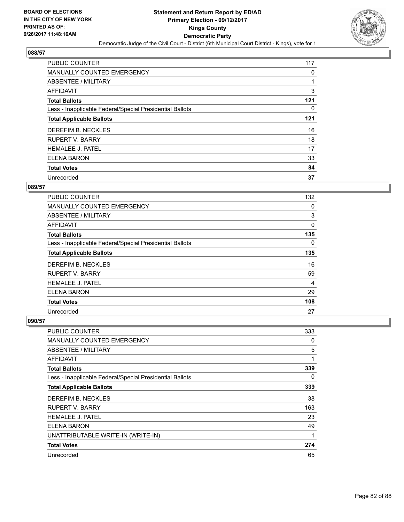

| <b>PUBLIC COUNTER</b>                                    | 117 |
|----------------------------------------------------------|-----|
| MANUALLY COUNTED EMERGENCY                               | 0   |
| ABSENTEE / MILITARY                                      |     |
| AFFIDAVIT                                                | 3   |
| <b>Total Ballots</b>                                     | 121 |
| Less - Inapplicable Federal/Special Presidential Ballots | 0   |
| <b>Total Applicable Ballots</b>                          | 121 |
| DEREFIM B. NECKLES                                       | 16  |
| <b>RUPERT V. BARRY</b>                                   | 18  |
| <b>HEMALEE J. PATEL</b>                                  | 17  |
| ELENA BARON                                              | 33  |
| <b>Total Votes</b>                                       | 84  |
| Unrecorded                                               | 37  |

### **089/57**

| <b>PUBLIC COUNTER</b>                                    | 132 |
|----------------------------------------------------------|-----|
| <b>MANUALLY COUNTED EMERGENCY</b>                        | 0   |
| ABSENTEE / MILITARY                                      | 3   |
| <b>AFFIDAVIT</b>                                         | 0   |
| <b>Total Ballots</b>                                     | 135 |
| Less - Inapplicable Federal/Special Presidential Ballots | 0   |
| <b>Total Applicable Ballots</b>                          | 135 |
| DEREFIM B. NECKLES                                       | 16  |
| <b>RUPERT V. BARRY</b>                                   | 59  |
| <b>HEMALEE J. PATEL</b>                                  | 4   |
| ELENA BARON                                              | 29  |
| <b>Total Votes</b>                                       | 108 |
| Unrecorded                                               | 27  |

| PUBLIC COUNTER                                           | 333 |
|----------------------------------------------------------|-----|
| <b>MANUALLY COUNTED EMERGENCY</b>                        | 0   |
| ABSENTEE / MILITARY                                      | 5   |
| AFFIDAVIT                                                | 1   |
| <b>Total Ballots</b>                                     | 339 |
| Less - Inapplicable Federal/Special Presidential Ballots | 0   |
| <b>Total Applicable Ballots</b>                          | 339 |
| DEREFIM B. NECKLES                                       | 38  |
| RUPERT V. BARRY                                          | 163 |
| <b>HEMALEE J. PATEL</b>                                  | 23  |
| ELENA BARON                                              | 49  |
| UNATTRIBUTABLE WRITE-IN (WRITE-IN)                       | 1   |
| <b>Total Votes</b>                                       | 274 |
| Unrecorded                                               | 65  |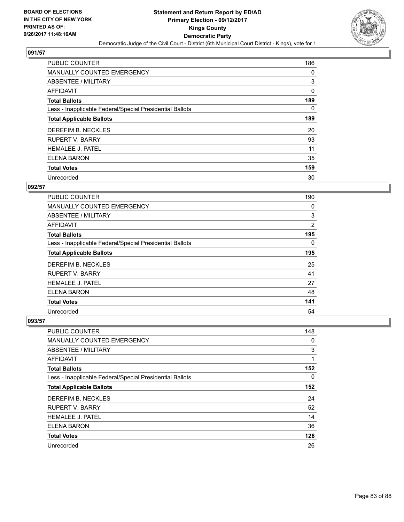

| <b>PUBLIC COUNTER</b>                                    | 186 |
|----------------------------------------------------------|-----|
| MANUALLY COUNTED EMERGENCY                               | 0   |
| ABSENTEE / MILITARY                                      | 3   |
| <b>AFFIDAVIT</b>                                         | 0   |
| <b>Total Ballots</b>                                     | 189 |
| Less - Inapplicable Federal/Special Presidential Ballots | 0   |
| <b>Total Applicable Ballots</b>                          | 189 |
| DEREFIM B. NECKLES                                       | 20  |
| <b>RUPERT V. BARRY</b>                                   | 93  |
| <b>HEMALEE J. PATEL</b>                                  | 11  |
| ELENA BARON                                              | 35  |
| <b>Total Votes</b>                                       | 159 |
| Unrecorded                                               | 30  |

### **092/57**

| <b>PUBLIC COUNTER</b>                                    | 190            |
|----------------------------------------------------------|----------------|
| <b>MANUALLY COUNTED EMERGENCY</b>                        | 0              |
| ABSENTEE / MILITARY                                      | 3              |
| AFFIDAVIT                                                | $\overline{2}$ |
| <b>Total Ballots</b>                                     | 195            |
| Less - Inapplicable Federal/Special Presidential Ballots | $\Omega$       |
| <b>Total Applicable Ballots</b>                          | 195            |
| DEREFIM B. NECKLES                                       | 25             |
| <b>RUPERT V. BARRY</b>                                   | 41             |
| <b>HEMALEE J. PATEL</b>                                  | 27             |
| ELENA BARON                                              | 48             |
| <b>Total Votes</b>                                       | 141            |
| Unrecorded                                               | 54             |

| <b>PUBLIC COUNTER</b>                                    | 148 |
|----------------------------------------------------------|-----|
| <b>MANUALLY COUNTED EMERGENCY</b>                        | 0   |
| ABSENTEE / MILITARY                                      | 3   |
| <b>AFFIDAVIT</b>                                         | 1   |
| <b>Total Ballots</b>                                     | 152 |
| Less - Inapplicable Federal/Special Presidential Ballots | 0   |
| <b>Total Applicable Ballots</b>                          | 152 |
| DEREFIM B. NECKLES                                       | 24  |
| <b>RUPERT V. BARRY</b>                                   | 52  |
| <b>HEMALEE J. PATEL</b>                                  | 14  |
| <b>ELENA BARON</b>                                       | 36  |
| <b>Total Votes</b>                                       | 126 |
| Unrecorded                                               | 26  |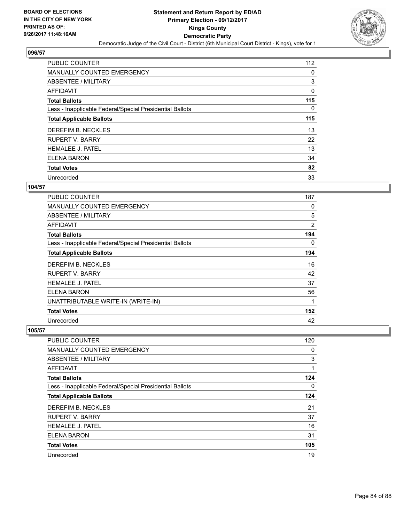

| <b>PUBLIC COUNTER</b>                                    | 112 |
|----------------------------------------------------------|-----|
| <b>MANUALLY COUNTED EMERGENCY</b>                        | 0   |
| ABSENTEE / MILITARY                                      | 3   |
| AFFIDAVIT                                                | 0   |
| <b>Total Ballots</b>                                     | 115 |
| Less - Inapplicable Federal/Special Presidential Ballots | 0   |
| <b>Total Applicable Ballots</b>                          | 115 |
| DEREFIM B. NECKLES                                       | 13  |
| <b>RUPERT V. BARRY</b>                                   | 22  |
| <b>HEMALEE J. PATEL</b>                                  | 13  |
| ELENA BARON                                              | 34  |
| <b>Total Votes</b>                                       | 82  |
| Unrecorded                                               | 33  |

### **104/57**

| PUBLIC COUNTER                                           | 187 |
|----------------------------------------------------------|-----|
| <b>MANUALLY COUNTED EMERGENCY</b>                        | 0   |
| <b>ABSENTEE / MILITARY</b>                               | 5   |
| <b>AFFIDAVIT</b>                                         | 2   |
| <b>Total Ballots</b>                                     | 194 |
| Less - Inapplicable Federal/Special Presidential Ballots | 0   |
| <b>Total Applicable Ballots</b>                          | 194 |
| DEREFIM B. NECKLES                                       | 16  |
| RUPERT V. BARRY                                          | 42  |
| <b>HEMALEE J. PATEL</b>                                  | 37  |
| ELENA BARON                                              | 56  |
| UNATTRIBUTABLE WRITE-IN (WRITE-IN)                       | 1   |
| <b>Total Votes</b>                                       | 152 |
| Unrecorded                                               | 42  |

| PUBLIC COUNTER                                           | 120 |
|----------------------------------------------------------|-----|
| <b>MANUALLY COUNTED EMERGENCY</b>                        | 0   |
| ABSENTEE / MILITARY                                      | 3   |
| AFFIDAVIT                                                | 1   |
| <b>Total Ballots</b>                                     | 124 |
| Less - Inapplicable Federal/Special Presidential Ballots | 0   |
| <b>Total Applicable Ballots</b>                          | 124 |
| DEREFIM B. NECKLES                                       | 21  |
| <b>RUPERT V. BARRY</b>                                   | 37  |
| <b>HEMALEE J. PATEL</b>                                  | 16  |
| <b>ELENA BARON</b>                                       | 31  |
| <b>Total Votes</b>                                       | 105 |
| Unrecorded                                               | 19  |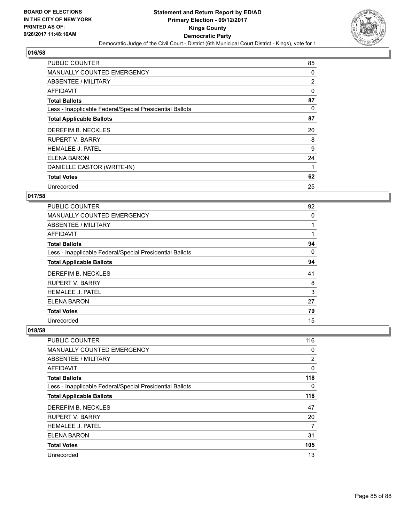

| <b>PUBLIC COUNTER</b>                                    | 85             |
|----------------------------------------------------------|----------------|
| <b>MANUALLY COUNTED EMERGENCY</b>                        | 0              |
| ABSENTEE / MILITARY                                      | $\overline{2}$ |
| AFFIDAVIT                                                | $\Omega$       |
| <b>Total Ballots</b>                                     | 87             |
| Less - Inapplicable Federal/Special Presidential Ballots | 0              |
| <b>Total Applicable Ballots</b>                          | 87             |
| DEREFIM B. NECKLES                                       | 20             |
| <b>RUPERT V. BARRY</b>                                   | 8              |
| <b>HEMALEE J. PATEL</b>                                  | 9              |
| ELENA BARON                                              | 24             |
| DANIELLE CASTOR (WRITE-IN)                               |                |
| <b>Total Votes</b>                                       | 62             |
| Unrecorded                                               | 25             |

### **017/58**

| <b>PUBLIC COUNTER</b>                                    | 92 |
|----------------------------------------------------------|----|
| <b>MANUALLY COUNTED EMERGENCY</b>                        | 0  |
| ABSENTEE / MILITARY                                      |    |
| <b>AFFIDAVIT</b>                                         |    |
| <b>Total Ballots</b>                                     | 94 |
| Less - Inapplicable Federal/Special Presidential Ballots | 0  |
| <b>Total Applicable Ballots</b>                          | 94 |
| DEREFIM B. NECKLES                                       | 41 |
| <b>RUPERT V. BARRY</b>                                   | 8  |
| <b>HEMALEE J. PATEL</b>                                  | 3  |
| ELENA BARON                                              | 27 |
| <b>Total Votes</b>                                       | 79 |
| Unrecorded                                               | 15 |

| PUBLIC COUNTER                                           | 116 |
|----------------------------------------------------------|-----|
| MANUALLY COUNTED EMERGENCY                               | 0   |
| ABSENTEE / MILITARY                                      | 2   |
| AFFIDAVIT                                                | 0   |
| <b>Total Ballots</b>                                     | 118 |
| Less - Inapplicable Federal/Special Presidential Ballots | 0   |
| <b>Total Applicable Ballots</b>                          | 118 |
| DEREFIM B. NECKLES                                       | 47  |
| <b>RUPERT V. BARRY</b>                                   | 20  |
| <b>HEMALEE J. PATEL</b>                                  | 7   |
| <b>ELENA BARON</b>                                       | 31  |
| <b>Total Votes</b>                                       | 105 |
| Unrecorded                                               | 13  |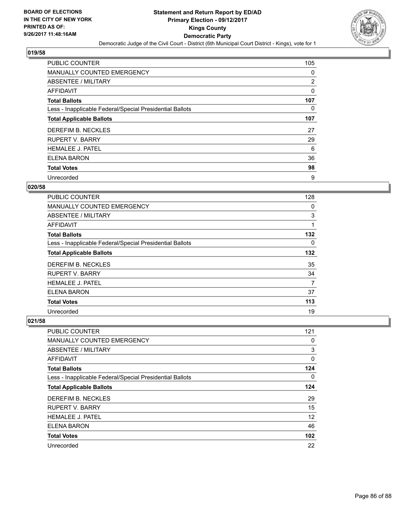

| <b>PUBLIC COUNTER</b>                                    | 105 |
|----------------------------------------------------------|-----|
| <b>MANUALLY COUNTED EMERGENCY</b>                        | 0   |
| ABSENTEE / MILITARY                                      | 2   |
| <b>AFFIDAVIT</b>                                         | 0   |
| <b>Total Ballots</b>                                     | 107 |
| Less - Inapplicable Federal/Special Presidential Ballots | 0   |
| <b>Total Applicable Ballots</b>                          | 107 |
| DEREFIM B. NECKLES                                       | 27  |
| <b>RUPERT V. BARRY</b>                                   | 29  |
| <b>HEMALEE J. PATEL</b>                                  | 6   |
| <b>ELENA BARON</b>                                       | 36  |
| <b>Total Votes</b>                                       | 98  |
| Unrecorded                                               | 9   |

### **020/58**

| <b>PUBLIC COUNTER</b>                                    | 128      |
|----------------------------------------------------------|----------|
| <b>MANUALLY COUNTED EMERGENCY</b>                        | 0        |
| ABSENTEE / MILITARY                                      | 3        |
| AFFIDAVIT                                                | 1        |
| <b>Total Ballots</b>                                     | 132      |
| Less - Inapplicable Federal/Special Presidential Ballots | $\Omega$ |
| <b>Total Applicable Ballots</b>                          | 132      |
| DEREFIM B. NECKLES                                       | 35       |
| <b>RUPERT V. BARRY</b>                                   | 34       |
| <b>HEMALEE J. PATEL</b>                                  | 7        |
| ELENA BARON                                              | 37       |
| <b>Total Votes</b>                                       | 113      |
| Unrecorded                                               | 19       |

| <b>PUBLIC COUNTER</b>                                    | 121 |
|----------------------------------------------------------|-----|
| <b>MANUALLY COUNTED EMERGENCY</b>                        | 0   |
| ABSENTEE / MILITARY                                      | 3   |
| AFFIDAVIT                                                | 0   |
| <b>Total Ballots</b>                                     | 124 |
| Less - Inapplicable Federal/Special Presidential Ballots | 0   |
| <b>Total Applicable Ballots</b>                          | 124 |
| DEREFIM B. NECKLES                                       | 29  |
| <b>RUPERT V. BARRY</b>                                   | 15  |
| <b>HEMALEE J. PATEL</b>                                  | 12  |
| <b>ELENA BARON</b>                                       | 46  |
| <b>Total Votes</b>                                       | 102 |
| Unrecorded                                               | 22  |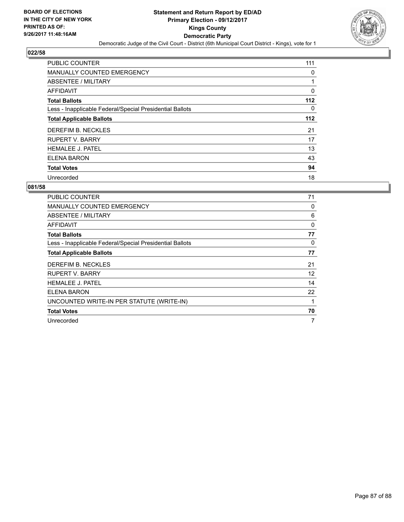

| <b>PUBLIC COUNTER</b>                                    | 111   |
|----------------------------------------------------------|-------|
| <b>MANUALLY COUNTED EMERGENCY</b>                        | 0     |
| ABSENTEE / MILITARY                                      |       |
| <b>AFFIDAVIT</b>                                         | 0     |
| <b>Total Ballots</b>                                     | $112$ |
| Less - Inapplicable Federal/Special Presidential Ballots | 0     |
| <b>Total Applicable Ballots</b>                          | $112$ |
| DEREFIM B. NECKLES                                       | 21    |
| <b>RUPERT V. BARRY</b>                                   | 17    |
| <b>HEMALEE J. PATEL</b>                                  | 13    |
| <b>ELENA BARON</b>                                       | 43    |
| <b>Total Votes</b>                                       | 94    |
| Unrecorded                                               | 18    |

| PUBLIC COUNTER                                           | 71          |
|----------------------------------------------------------|-------------|
| <b>MANUALLY COUNTED EMERGENCY</b>                        | 0           |
| ABSENTEE / MILITARY                                      | 6           |
| <b>AFFIDAVIT</b>                                         | $\mathbf 0$ |
| <b>Total Ballots</b>                                     | 77          |
| Less - Inapplicable Federal/Special Presidential Ballots | 0           |
| <b>Total Applicable Ballots</b>                          | 77          |
| DEREFIM B. NECKLES                                       | 21          |
| RUPERT V. BARRY                                          | 12          |
| <b>HEMALEE J. PATEL</b>                                  | 14          |
| <b>ELENA BARON</b>                                       | 22          |
| UNCOUNTED WRITE-IN PER STATUTE (WRITE-IN)                | 1           |
| <b>Total Votes</b>                                       | 70          |
| Unrecorded                                               | 7           |